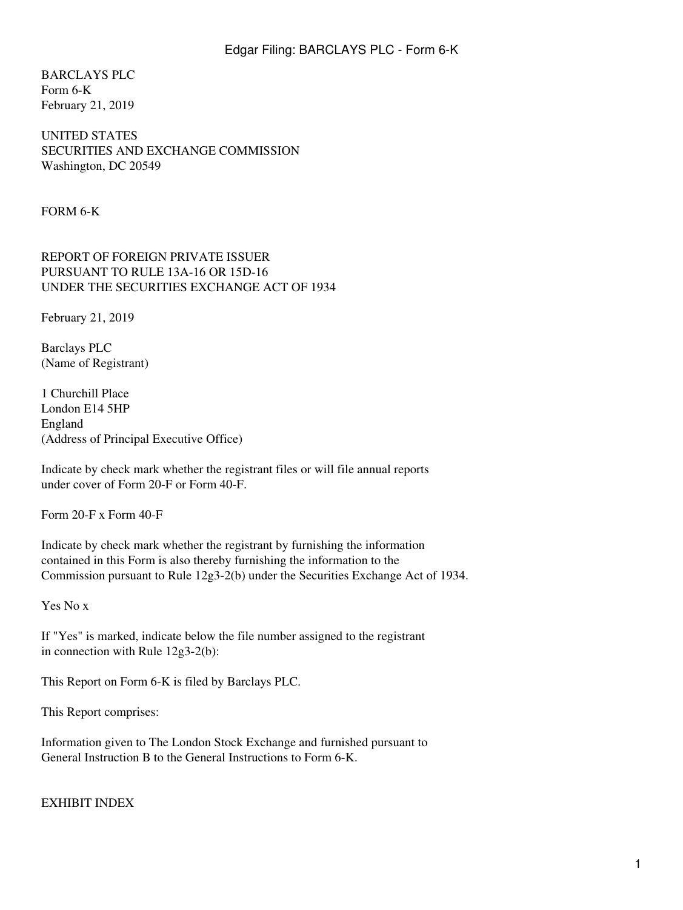BARCLAYS PLC Form 6-K February 21, 2019

UNITED STATES SECURITIES AND EXCHANGE COMMISSION Washington, DC 20549

FORM 6-K

REPORT OF FOREIGN PRIVATE ISSUER PURSUANT TO RULE 13A-16 OR 15D-16 UNDER THE SECURITIES EXCHANGE ACT OF 1934

February 21, 2019

Barclays PLC (Name of Registrant)

1 Churchill Place London E14 5HP England (Address of Principal Executive Office)

Indicate by check mark whether the registrant files or will file annual reports under cover of Form 20-F or Form 40-F.

Form 20-F x Form 40-F

Indicate by check mark whether the registrant by furnishing the information contained in this Form is also thereby furnishing the information to the Commission pursuant to Rule 12g3-2(b) under the Securities Exchange Act of 1934.

Yes No x

If "Yes" is marked, indicate below the file number assigned to the registrant in connection with Rule 12g3-2(b):

This Report on Form 6-K is filed by Barclays PLC.

This Report comprises:

Information given to The London Stock Exchange and furnished pursuant to General Instruction B to the General Instructions to Form 6-K.

EXHIBIT INDEX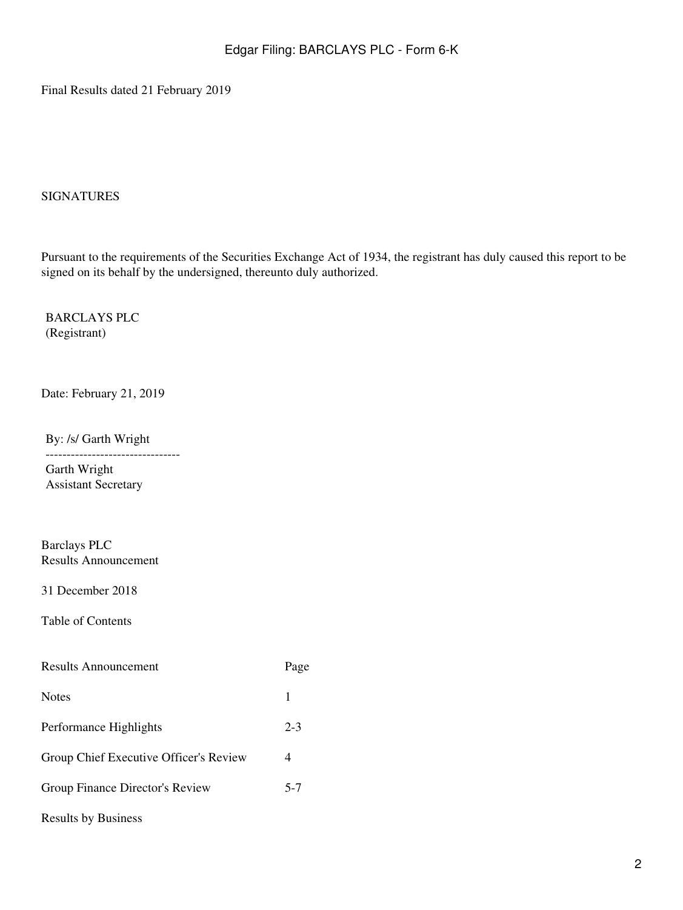Final Results dated 21 February 2019

#### SIGNATURES

Pursuant to the requirements of the Securities Exchange Act of 1934, the registrant has duly caused this report to be signed on its behalf by the undersigned, thereunto duly authorized.

BARCLAYS PLC (Registrant)

Date: February 21, 2019

By: /s/ Garth Wright

-------------------------------- Garth Wright Assistant Secretary

Barclays PLC Results Announcement

31 December 2018

Table of Contents

| <b>Results Announcement</b>            | Page    |
|----------------------------------------|---------|
| <b>Notes</b>                           | 1       |
| Performance Highlights                 | $2 - 3$ |
| Group Chief Executive Officer's Review | 4       |
| Group Finance Director's Review        | $5 - 7$ |
| <b>Results by Business</b>             |         |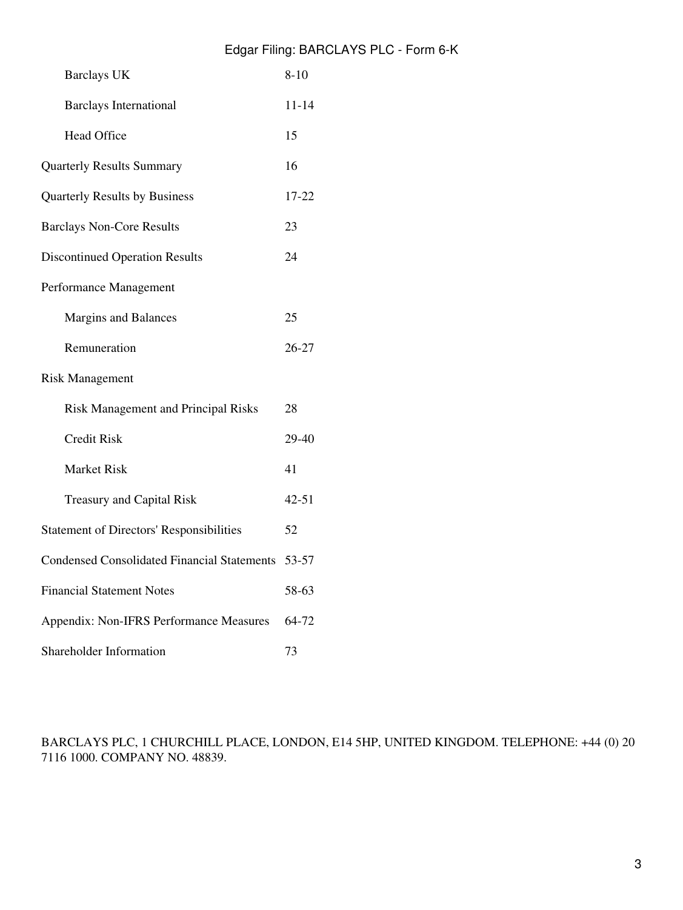| <b>Barclays UK</b>                                 | $8 - 10$  |
|----------------------------------------------------|-----------|
| <b>Barclays International</b>                      | $11 - 14$ |
| <b>Head Office</b>                                 | 15        |
| <b>Quarterly Results Summary</b>                   | 16        |
| Quarterly Results by Business                      | 17-22     |
| <b>Barclays Non-Core Results</b>                   | 23        |
| <b>Discontinued Operation Results</b>              | 24        |
| Performance Management                             |           |
| <b>Margins and Balances</b>                        | 25        |
| Remuneration                                       | 26-27     |
| <b>Risk Management</b>                             |           |
| <b>Risk Management and Principal Risks</b>         | 28        |
| <b>Credit Risk</b>                                 | 29-40     |
| <b>Market Risk</b>                                 | 41        |
| <b>Treasury and Capital Risk</b>                   | $42 - 51$ |
| <b>Statement of Directors' Responsibilities</b>    | 52        |
| <b>Condensed Consolidated Financial Statements</b> | 53-57     |
| <b>Financial Statement Notes</b>                   | 58-63     |
| Appendix: Non-IFRS Performance Measures            | 64-72     |
| Shareholder Information                            | 73        |

BARCLAYS PLC, 1 CHURCHILL PLACE, LONDON, E14 5HP, UNITED KINGDOM. TELEPHONE: +44 (0) 20 7116 1000. COMPANY NO. 48839.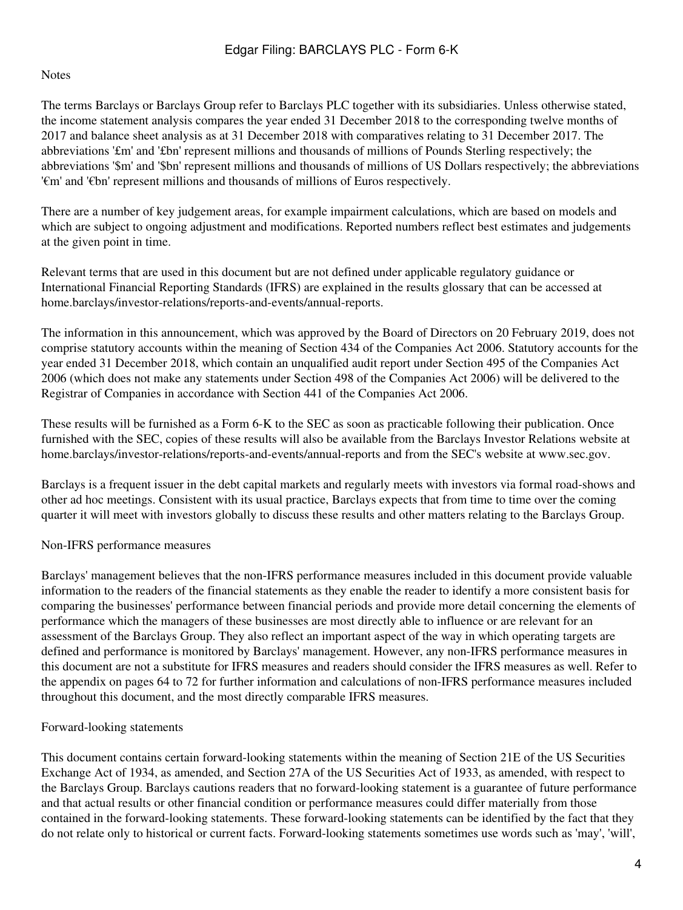#### Notes

The terms Barclays or Barclays Group refer to Barclays PLC together with its subsidiaries. Unless otherwise stated, the income statement analysis compares the year ended 31 December 2018 to the corresponding twelve months of 2017 and balance sheet analysis as at 31 December 2018 with comparatives relating to 31 December 2017. The abbreviations '£m' and '£bn' represent millions and thousands of millions of Pounds Sterling respectively; the abbreviations '\$m' and '\$bn' represent millions and thousands of millions of US Dollars respectively; the abbreviations '€m' and '€bn' represent millions and thousands of millions of Euros respectively.

There are a number of key judgement areas, for example impairment calculations, which are based on models and which are subject to ongoing adjustment and modifications. Reported numbers reflect best estimates and judgements at the given point in time.

Relevant terms that are used in this document but are not defined under applicable regulatory guidance or International Financial Reporting Standards (IFRS) are explained in the results glossary that can be accessed at home.barclays/investor-relations/reports-and-events/annual-reports.

The information in this announcement, which was approved by the Board of Directors on 20 February 2019, does not comprise statutory accounts within the meaning of Section 434 of the Companies Act 2006. Statutory accounts for the year ended 31 December 2018, which contain an unqualified audit report under Section 495 of the Companies Act 2006 (which does not make any statements under Section 498 of the Companies Act 2006) will be delivered to the Registrar of Companies in accordance with Section 441 of the Companies Act 2006.

These results will be furnished as a Form 6-K to the SEC as soon as practicable following their publication. Once furnished with the SEC, copies of these results will also be available from the Barclays Investor Relations website at home.barclays/investor-relations/reports-and-events/annual-reports and from the SEC's website at www.sec.gov.

Barclays is a frequent issuer in the debt capital markets and regularly meets with investors via formal road-shows and other ad hoc meetings. Consistent with its usual practice, Barclays expects that from time to time over the coming quarter it will meet with investors globally to discuss these results and other matters relating to the Barclays Group.

#### Non-IFRS performance measures

Barclays' management believes that the non-IFRS performance measures included in this document provide valuable information to the readers of the financial statements as they enable the reader to identify a more consistent basis for comparing the businesses' performance between financial periods and provide more detail concerning the elements of performance which the managers of these businesses are most directly able to influence or are relevant for an assessment of the Barclays Group. They also reflect an important aspect of the way in which operating targets are defined and performance is monitored by Barclays' management. However, any non-IFRS performance measures in this document are not a substitute for IFRS measures and readers should consider the IFRS measures as well. Refer to the appendix on pages 64 to 72 for further information and calculations of non-IFRS performance measures included throughout this document, and the most directly comparable IFRS measures.

#### Forward-looking statements

This document contains certain forward-looking statements within the meaning of Section 21E of the US Securities Exchange Act of 1934, as amended, and Section 27A of the US Securities Act of 1933, as amended, with respect to the Barclays Group. Barclays cautions readers that no forward-looking statement is a guarantee of future performance and that actual results or other financial condition or performance measures could differ materially from those contained in the forward-looking statements. These forward-looking statements can be identified by the fact that they do not relate only to historical or current facts. Forward-looking statements sometimes use words such as 'may', 'will',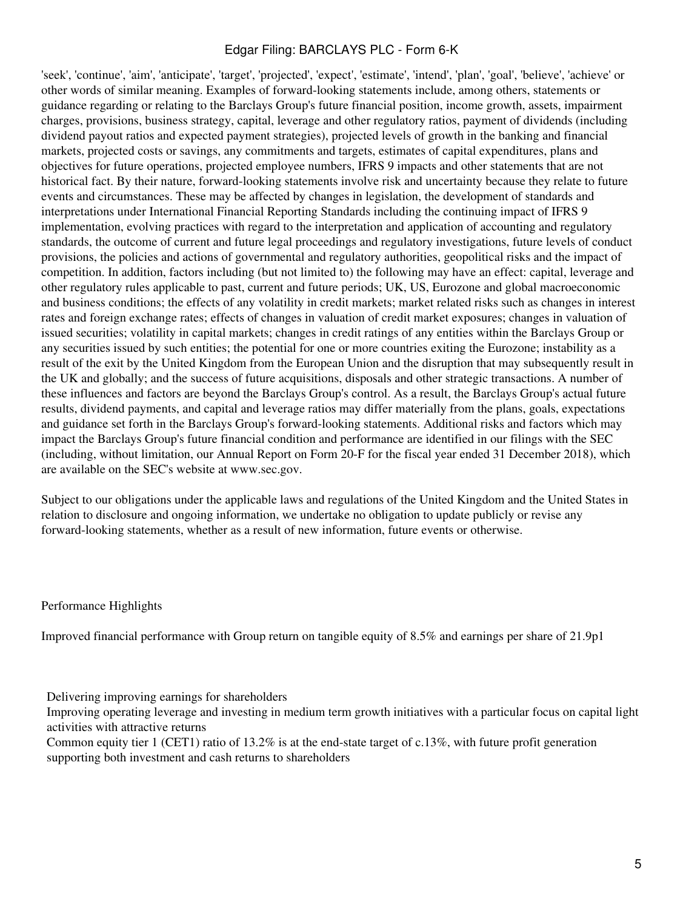'seek', 'continue', 'aim', 'anticipate', 'target', 'projected', 'expect', 'estimate', 'intend', 'plan', 'goal', 'believe', 'achieve' or other words of similar meaning. Examples of forward-looking statements include, among others, statements or guidance regarding or relating to the Barclays Group's future financial position, income growth, assets, impairment charges, provisions, business strategy, capital, leverage and other regulatory ratios, payment of dividends (including dividend payout ratios and expected payment strategies), projected levels of growth in the banking and financial markets, projected costs or savings, any commitments and targets, estimates of capital expenditures, plans and objectives for future operations, projected employee numbers, IFRS 9 impacts and other statements that are not historical fact. By their nature, forward-looking statements involve risk and uncertainty because they relate to future events and circumstances. These may be affected by changes in legislation, the development of standards and interpretations under International Financial Reporting Standards including the continuing impact of IFRS 9 implementation, evolving practices with regard to the interpretation and application of accounting and regulatory standards, the outcome of current and future legal proceedings and regulatory investigations, future levels of conduct provisions, the policies and actions of governmental and regulatory authorities, geopolitical risks and the impact of competition. In addition, factors including (but not limited to) the following may have an effect: capital, leverage and other regulatory rules applicable to past, current and future periods; UK, US, Eurozone and global macroeconomic and business conditions; the effects of any volatility in credit markets; market related risks such as changes in interest rates and foreign exchange rates; effects of changes in valuation of credit market exposures; changes in valuation of issued securities; volatility in capital markets; changes in credit ratings of any entities within the Barclays Group or any securities issued by such entities; the potential for one or more countries exiting the Eurozone; instability as a result of the exit by the United Kingdom from the European Union and the disruption that may subsequently result in the UK and globally; and the success of future acquisitions, disposals and other strategic transactions. A number of these influences and factors are beyond the Barclays Group's control. As a result, the Barclays Group's actual future results, dividend payments, and capital and leverage ratios may differ materially from the plans, goals, expectations and guidance set forth in the Barclays Group's forward-looking statements. Additional risks and factors which may impact the Barclays Group's future financial condition and performance are identified in our filings with the SEC (including, without limitation, our Annual Report on Form 20-F for the fiscal year ended 31 December 2018), which are available on the SEC's website at www.sec.gov.

Subject to our obligations under the applicable laws and regulations of the United Kingdom and the United States in relation to disclosure and ongoing information, we undertake no obligation to update publicly or revise any forward-looking statements, whether as a result of new information, future events or otherwise.

Performance Highlights

Improved financial performance with Group return on tangible equity of 8.5% and earnings per share of 21.9p1

Delivering improving earnings for shareholders

Improving operating leverage and investing in medium term growth initiatives with a particular focus on capital light activities with attractive returns

Common equity tier 1 (CET1) ratio of 13.2% is at the end-state target of c.13%, with future profit generation supporting both investment and cash returns to shareholders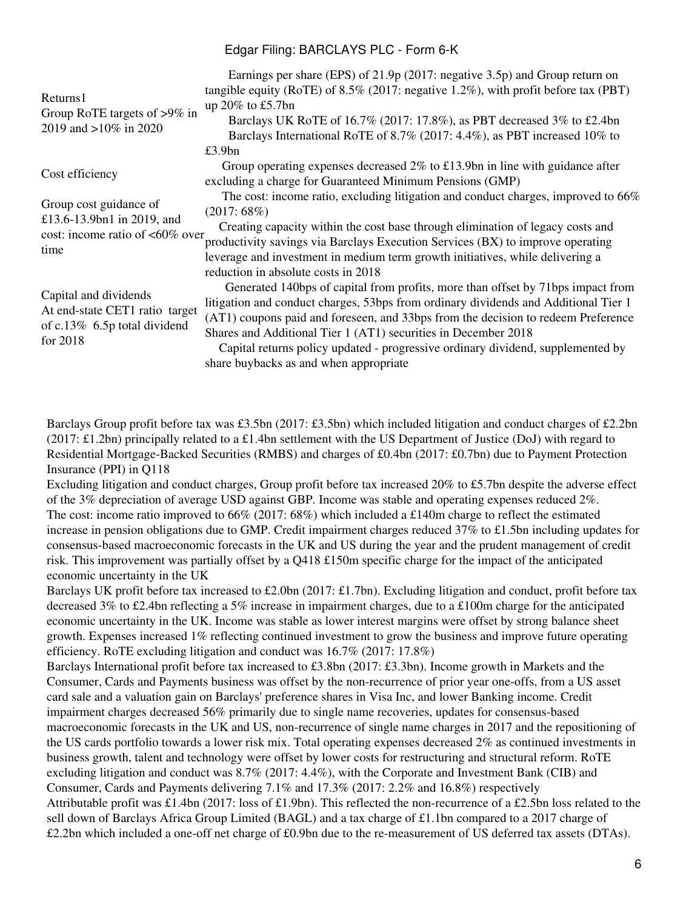| Returns1<br>Group RoTE targets of >9% in<br>2019 and >10% in 2020                                   | Earnings per share (EPS) of 21.9p (2017: negative 3.5p) and Group return on<br>tangible equity (RoTE) of $8.5\%$ (2017: negative 1.2%), with profit before tax (PBT)<br>up $20\%$ to £5.7bn<br>Barclays UK RoTE of 16.7% (2017: 17.8%), as PBT decreased 3% to £2.4bn<br>Barclays International RoTE of 8.7% (2017: 4.4%), as PBT increased 10% to<br>£3.9bn                                                                                                                                      |
|-----------------------------------------------------------------------------------------------------|---------------------------------------------------------------------------------------------------------------------------------------------------------------------------------------------------------------------------------------------------------------------------------------------------------------------------------------------------------------------------------------------------------------------------------------------------------------------------------------------------|
| Cost efficiency                                                                                     | Group operating expenses decreased $2\%$ to £13.9bn in line with guidance after<br>excluding a charge for Guaranteed Minimum Pensions (GMP)                                                                                                                                                                                                                                                                                                                                                       |
| Group cost guidance of<br>£13.6-13.9bn1 in 2019, and<br>cost: income ratio of $<60\%$ over<br>time  | The cost: income ratio, excluding litigation and conduct charges, improved to 66%<br>(2017:68%)<br>Creating capacity within the cost base through elimination of legacy costs and<br>productivity savings via Barclays Execution Services (BX) to improve operating<br>leverage and investment in medium term growth initiatives, while delivering a                                                                                                                                              |
| Capital and dividends<br>At end-state CET1 ratio target<br>of c.13% 6.5p total dividend<br>for 2018 | reduction in absolute costs in 2018<br>Generated 140bps of capital from profits, more than offset by 71bps impact from<br>litigation and conduct charges, 53bps from ordinary dividends and Additional Tier 1<br>(AT1) coupons paid and foreseen, and 33bps from the decision to redeem Preference<br>Shares and Additional Tier 1 (AT1) securities in December 2018<br>Capital returns policy updated - progressive ordinary dividend, supplemented by<br>share buybacks as and when appropriate |

Barclays Group profit before tax was £3.5bn (2017: £3.5bn) which included litigation and conduct charges of £2.2bn (2017: £1.2bn) principally related to a £1.4bn settlement with the US Department of Justice (DoJ) with regard to Residential Mortgage-Backed Securities (RMBS) and charges of £0.4bn (2017: £0.7bn) due to Payment Protection Insurance (PPI) in Q118

Excluding litigation and conduct charges, Group profit before tax increased 20% to £5.7bn despite the adverse effect of the 3% depreciation of average USD against GBP. Income was stable and operating expenses reduced 2%. The cost: income ratio improved to 66% (2017: 68%) which included a £140m charge to reflect the estimated increase in pension obligations due to GMP. Credit impairment charges reduced 37% to £1.5bn including updates for consensus-based macroeconomic forecasts in the UK and US during the year and the prudent management of credit risk. This improvement was partially offset by a Q418 £150m specific charge for the impact of the anticipated economic uncertainty in the UK

Barclays UK profit before tax increased to £2.0bn (2017: £1.7bn). Excluding litigation and conduct, profit before tax decreased 3% to £2.4bn reflecting a 5% increase in impairment charges, due to a £100m charge for the anticipated economic uncertainty in the UK. Income was stable as lower interest margins were offset by strong balance sheet growth. Expenses increased 1% reflecting continued investment to grow the business and improve future operating efficiency. RoTE excluding litigation and conduct was 16.7% (2017: 17.8%)

Barclays International profit before tax increased to £3.8bn (2017: £3.3bn). Income growth in Markets and the Consumer, Cards and Payments business was offset by the non-recurrence of prior year one-offs, from a US asset card sale and a valuation gain on Barclays' preference shares in Visa Inc, and lower Banking income. Credit impairment charges decreased 56% primarily due to single name recoveries, updates for consensus-based macroeconomic forecasts in the UK and US, non-recurrence of single name charges in 2017 and the repositioning of the US cards portfolio towards a lower risk mix. Total operating expenses decreased 2% as continued investments in business growth, talent and technology were offset by lower costs for restructuring and structural reform. RoTE excluding litigation and conduct was 8.7% (2017: 4.4%), with the Corporate and Investment Bank (CIB) and Consumer, Cards and Payments delivering 7.1% and 17.3% (2017: 2.2% and 16.8%) respectively Attributable profit was £1.4bn (2017: loss of £1.9bn). This reflected the non-recurrence of a £2.5bn loss related to the sell down of Barclays Africa Group Limited (BAGL) and a tax charge of £1.1bn compared to a 2017 charge of £2.2bn which included a one-off net charge of £0.9bn due to the re-measurement of US deferred tax assets (DTAs).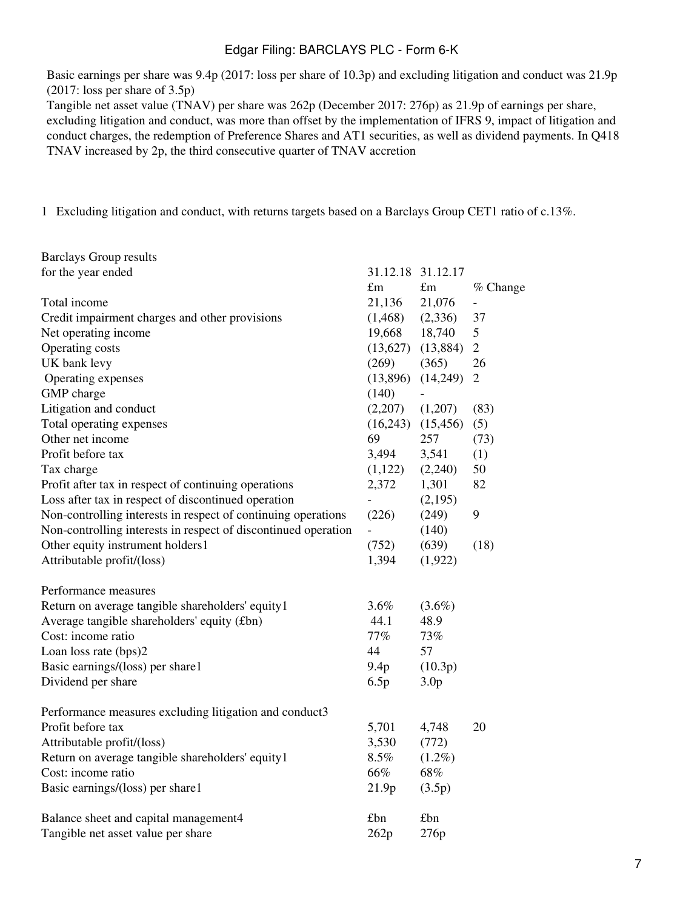Basic earnings per share was 9.4p (2017: loss per share of 10.3p) and excluding litigation and conduct was 21.9p (2017: loss per share of 3.5p)

Tangible net asset value (TNAV) per share was 262p (December 2017: 276p) as 21.9p of earnings per share, excluding litigation and conduct, was more than offset by the implementation of IFRS 9, impact of litigation and conduct charges, the redemption of Preference Shares and AT1 securities, as well as dividend payments. In Q418 TNAV increased by 2p, the third consecutive quarter of TNAV accretion

1 Excluding litigation and conduct, with returns targets based on a Barclays Group CET1 ratio of c.13%.

| <b>Barclays Group results</b>                                  |                |                          |                          |
|----------------------------------------------------------------|----------------|--------------------------|--------------------------|
| for the year ended                                             |                | 31.12.18 31.12.17        |                          |
|                                                                | $\pounds$ m    | $\pounds$ m              | % Change                 |
| Total income                                                   | 21,136         | 21,076                   | $\overline{\phantom{0}}$ |
| Credit impairment charges and other provisions                 | (1, 468)       | (2,336)                  | 37                       |
| Net operating income                                           | 19,668         | 18,740                   | 5                        |
| Operating costs                                                |                | $(13,627)$ $(13,884)$    | $\overline{2}$           |
| UK bank levy                                                   | (269)          | (365)                    | 26                       |
| Operating expenses                                             | (13,896)       | (14,249)                 | $\overline{2}$           |
| GMP charge                                                     | (140)          | $\overline{\phantom{0}}$ |                          |
| Litigation and conduct                                         | (2,207)        | (1,207)                  | (83)                     |
| Total operating expenses                                       | (16,243)       | (15, 456)                | (5)                      |
| Other net income                                               | 69             | 257                      | (73)                     |
| Profit before tax                                              | 3,494          | 3,541                    | (1)                      |
| Tax charge                                                     | (1,122)        | (2,240)                  | 50                       |
| Profit after tax in respect of continuing operations           | 2,372          | 1,301                    | 82                       |
| Loss after tax in respect of discontinued operation            |                | (2,195)                  |                          |
| Non-controlling interests in respect of continuing operations  | (226)          | (249)                    | 9                        |
| Non-controlling interests in respect of discontinued operation | $\overline{a}$ | (140)                    |                          |
| Other equity instrument holders1                               | (752)          | (639)                    | (18)                     |
| Attributable profit/(loss)                                     | 1,394          | (1,922)                  |                          |
| Performance measures                                           |                |                          |                          |
| Return on average tangible shareholders' equity1               | $3.6\%$        | $(3.6\%)$                |                          |
| Average tangible shareholders' equity (£bn)                    | 44.1           | 48.9                     |                          |
| Cost: income ratio                                             | 77%            | 73%                      |                          |
| Loan loss rate (bps)2                                          | 44             | 57                       |                          |
| Basic earnings/(loss) per share1                               | 9.4p           | (10.3p)                  |                          |
| Dividend per share                                             | 6.5p           | 3.0 <sub>p</sub>         |                          |
| Performance measures excluding litigation and conduct3         |                |                          |                          |
| Profit before tax                                              | 5,701          | 4,748                    | 20                       |
| Attributable profit/(loss)                                     | 3,530          | (772)                    |                          |
| Return on average tangible shareholders' equity1               | 8.5%           | $(1.2\%)$                |                          |
| Cost: income ratio                                             | 66%            | 68%                      |                          |
| Basic earnings/(loss) per share1                               | 21.9p          | (3.5p)                   |                          |
| Balance sheet and capital management4                          | £bn            | £bn                      |                          |
| Tangible net asset value per share                             | 262p           | 276p                     |                          |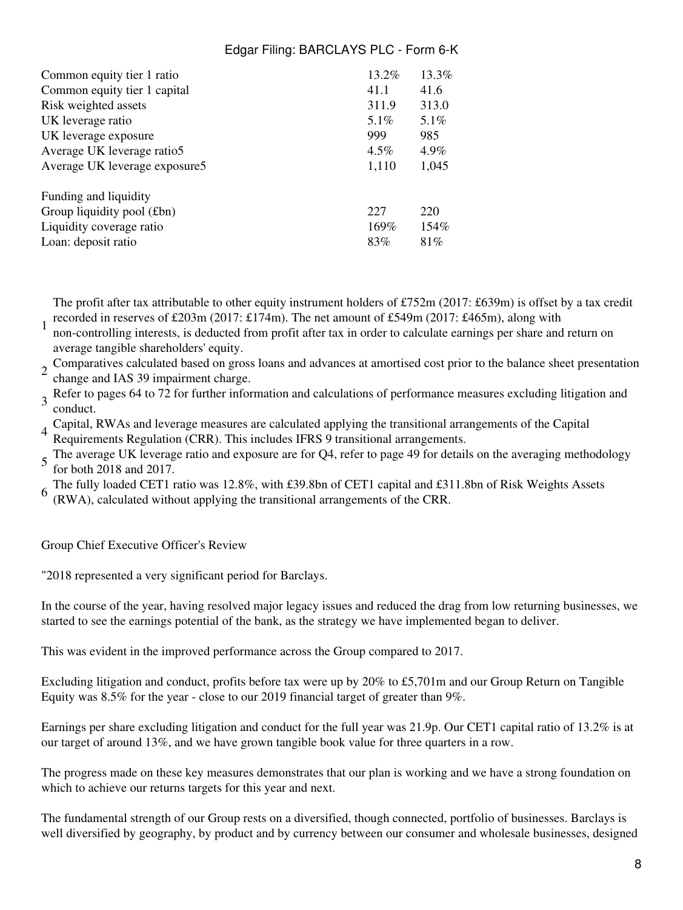| Common equity tier 1 ratio    | $13.2\%$ | 13.3%   |
|-------------------------------|----------|---------|
| Common equity tier 1 capital  | 41.1     | 41.6    |
| Risk weighted assets          | 311.9    | 313.0   |
| UK leverage ratio             | $5.1\%$  | 5.1%    |
| UK leverage exposure          | 999      | 985     |
| Average UK leverage ratio5    | $4.5\%$  | $4.9\%$ |
| Average UK leverage exposure5 | 1,110    | 1,045   |
| Funding and liquidity         |          |         |
| Group liquidity pool (£bn)    | 227      | 220     |
| Liquidity coverage ratio      | 169%     | 154%    |
| Loan: deposit ratio           | 83%      | 81\%    |

The profit after tax attributable to other equity instrument holders of £752m (2017: £639m) is offset by a tax credit recorded in reserves of £203m (2017: £174m). The net amount of £549m (2017: £465m), along with

- 1 non-controlling interests, is deducted from profit after tax in order to calculate earnings per share and return on average tangible shareholders' equity.
- 2 Comparatives calculated based on gross loans and advances at amortised cost prior to the balance sheet presentation change and IAS 39 impairment charge.

3 Refer to pages 64 to 72 for further information and calculations of performance measures excluding litigation and<br>3 conduct conduct.

4 Capital, RWAs and leverage measures are calculated applying the transitional arrangements of the Capital Requirements Regulation (CRR). This includes IFRS 9 transitional arrangements.

5 The average UK leverage ratio and exposure are for Q4, refer to page 49 for details on the averaging methodology for both 2018 and 2017.

- The fully loaded CET1 ratio was 12.8%, with £39.8bn of CET1 capital and £311.8bn of Risk Weights Assets
- 6 (RWA), calculated without applying the transitional arrangements of the CRR.

Group Chief Executive Officer's Review

"2018 represented a very significant period for Barclays.

In the course of the year, having resolved major legacy issues and reduced the drag from low returning businesses, we started to see the earnings potential of the bank, as the strategy we have implemented began to deliver.

This was evident in the improved performance across the Group compared to 2017.

Excluding litigation and conduct, profits before tax were up by 20% to £5,701m and our Group Return on Tangible Equity was 8.5% for the year - close to our 2019 financial target of greater than 9%.

Earnings per share excluding litigation and conduct for the full year was 21.9p. Our CET1 capital ratio of 13.2% is at our target of around 13%, and we have grown tangible book value for three quarters in a row.

The progress made on these key measures demonstrates that our plan is working and we have a strong foundation on which to achieve our returns targets for this year and next.

The fundamental strength of our Group rests on a diversified, though connected, portfolio of businesses. Barclays is well diversified by geography, by product and by currency between our consumer and wholesale businesses, designed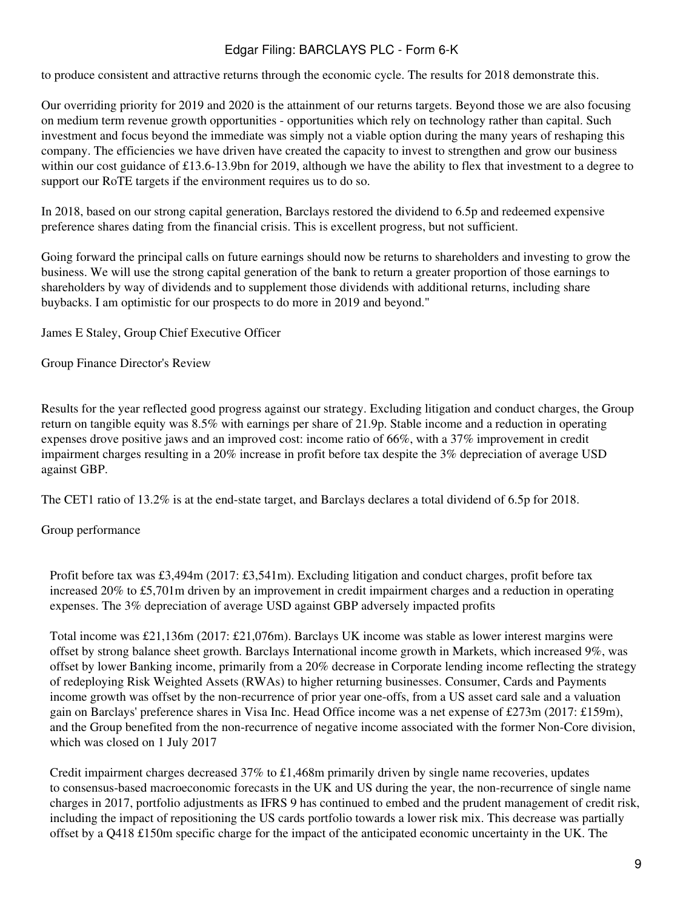to produce consistent and attractive returns through the economic cycle. The results for 2018 demonstrate this.

Our overriding priority for 2019 and 2020 is the attainment of our returns targets. Beyond those we are also focusing on medium term revenue growth opportunities - opportunities which rely on technology rather than capital. Such investment and focus beyond the immediate was simply not a viable option during the many years of reshaping this company. The efficiencies we have driven have created the capacity to invest to strengthen and grow our business within our cost guidance of £13.6-13.9bn for 2019, although we have the ability to flex that investment to a degree to support our RoTE targets if the environment requires us to do so.

In 2018, based on our strong capital generation, Barclays restored the dividend to 6.5p and redeemed expensive preference shares dating from the financial crisis. This is excellent progress, but not sufficient.

Going forward the principal calls on future earnings should now be returns to shareholders and investing to grow the business. We will use the strong capital generation of the bank to return a greater proportion of those earnings to shareholders by way of dividends and to supplement those dividends with additional returns, including share buybacks. I am optimistic for our prospects to do more in 2019 and beyond."

James E Staley, Group Chief Executive Officer

Group Finance Director's Review

Results for the year reflected good progress against our strategy. Excluding litigation and conduct charges, the Group return on tangible equity was 8.5% with earnings per share of 21.9p. Stable income and a reduction in operating expenses drove positive jaws and an improved cost: income ratio of 66%, with a 37% improvement in credit impairment charges resulting in a 20% increase in profit before tax despite the 3% depreciation of average USD against GBP.

The CET1 ratio of 13.2% is at the end-state target, and Barclays declares a total dividend of 6.5p for 2018.

#### Group performance

Profit before tax was £3,494m (2017: £3,541m). Excluding litigation and conduct charges, profit before tax increased 20% to £5,701m driven by an improvement in credit impairment charges and a reduction in operating expenses. The 3% depreciation of average USD against GBP adversely impacted profits

Total income was £21,136m (2017: £21,076m). Barclays UK income was stable as lower interest margins were offset by strong balance sheet growth. Barclays International income growth in Markets, which increased 9%, was offset by lower Banking income, primarily from a 20% decrease in Corporate lending income reflecting the strategy of redeploying Risk Weighted Assets (RWAs) to higher returning businesses. Consumer, Cards and Payments income growth was offset by the non-recurrence of prior year one-offs, from a US asset card sale and a valuation gain on Barclays' preference shares in Visa Inc. Head Office income was a net expense of £273m (2017: £159m), and the Group benefited from the non-recurrence of negative income associated with the former Non-Core division, which was closed on 1 July 2017

Credit impairment charges decreased 37% to £1,468m primarily driven by single name recoveries, updates to consensus-based macroeconomic forecasts in the UK and US during the year, the non-recurrence of single name charges in 2017, portfolio adjustments as IFRS 9 has continued to embed and the prudent management of credit risk, including the impact of repositioning the US cards portfolio towards a lower risk mix. This decrease was partially offset by a Q418 £150m specific charge for the impact of the anticipated economic uncertainty in the UK. The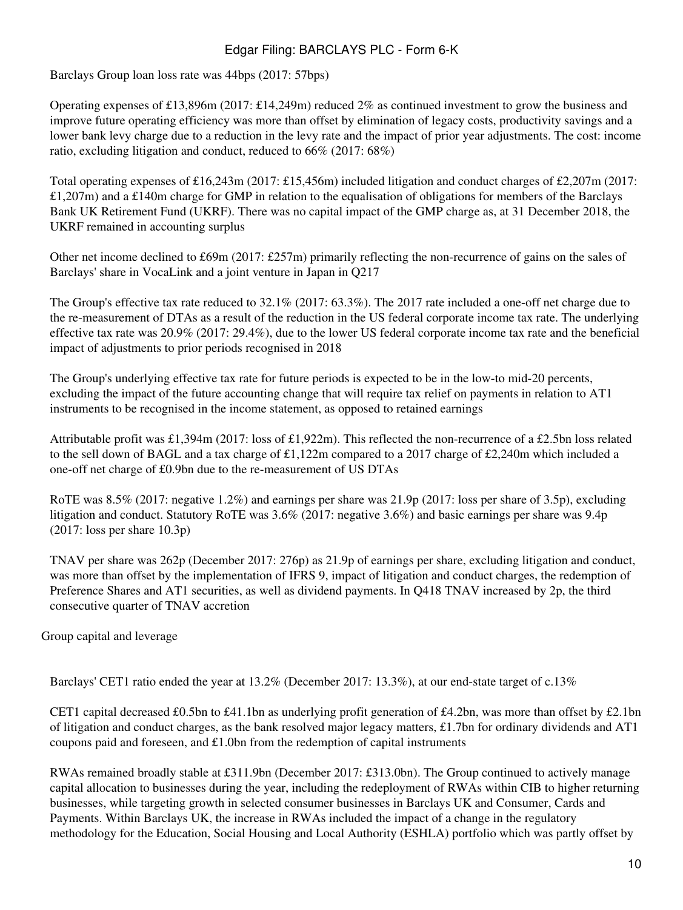Barclays Group loan loss rate was 44bps (2017: 57bps)

Operating expenses of £13,896m (2017: £14,249m) reduced 2% as continued investment to grow the business and improve future operating efficiency was more than offset by elimination of legacy costs, productivity savings and a lower bank levy charge due to a reduction in the levy rate and the impact of prior year adjustments. The cost: income ratio, excluding litigation and conduct, reduced to 66% (2017: 68%)

Total operating expenses of £16,243m (2017: £15,456m) included litigation and conduct charges of £2,207m (2017:  $\text{\pounds}1,207\text{m}$ ) and a  $\text{\pounds}140\text{m}$  charge for GMP in relation to the equalisation of obligations for members of the Barclays Bank UK Retirement Fund (UKRF). There was no capital impact of the GMP charge as, at 31 December 2018, the UKRF remained in accounting surplus

Other net income declined to £69m (2017: £257m) primarily reflecting the non-recurrence of gains on the sales of Barclays' share in VocaLink and a joint venture in Japan in Q217

The Group's effective tax rate reduced to 32.1% (2017: 63.3%). The 2017 rate included a one-off net charge due to the re-measurement of DTAs as a result of the reduction in the US federal corporate income tax rate. The underlying effective tax rate was 20.9% (2017: 29.4%), due to the lower US federal corporate income tax rate and the beneficial impact of adjustments to prior periods recognised in 2018

The Group's underlying effective tax rate for future periods is expected to be in the low-to mid-20 percents, excluding the impact of the future accounting change that will require tax relief on payments in relation to AT1 instruments to be recognised in the income statement, as opposed to retained earnings

Attributable profit was £1,394m (2017: loss of £1,922m). This reflected the non-recurrence of a £2.5bn loss related to the sell down of BAGL and a tax charge of £1,122m compared to a 2017 charge of £2,240m which included a one-off net charge of £0.9bn due to the re-measurement of US DTAs

RoTE was 8.5% (2017: negative 1.2%) and earnings per share was 21.9p (2017: loss per share of 3.5p), excluding litigation and conduct. Statutory RoTE was 3.6% (2017: negative 3.6%) and basic earnings per share was 9.4p (2017: loss per share 10.3p)

TNAV per share was 262p (December 2017: 276p) as 21.9p of earnings per share, excluding litigation and conduct, was more than offset by the implementation of IFRS 9, impact of litigation and conduct charges, the redemption of Preference Shares and AT1 securities, as well as dividend payments. In Q418 TNAV increased by 2p, the third consecutive quarter of TNAV accretion

Group capital and leverage

Barclays' CET1 ratio ended the year at 13.2% (December 2017: 13.3%), at our end-state target of c.13%

CET1 capital decreased £0.5bn to £41.1bn as underlying profit generation of £4.2bn, was more than offset by £2.1bn of litigation and conduct charges, as the bank resolved major legacy matters, £1.7bn for ordinary dividends and AT1 coupons paid and foreseen, and £1.0bn from the redemption of capital instruments

RWAs remained broadly stable at £311.9bn (December 2017: £313.0bn). The Group continued to actively manage capital allocation to businesses during the year, including the redeployment of RWAs within CIB to higher returning businesses, while targeting growth in selected consumer businesses in Barclays UK and Consumer, Cards and Payments. Within Barclays UK, the increase in RWAs included the impact of a change in the regulatory methodology for the Education, Social Housing and Local Authority (ESHLA) portfolio which was partly offset by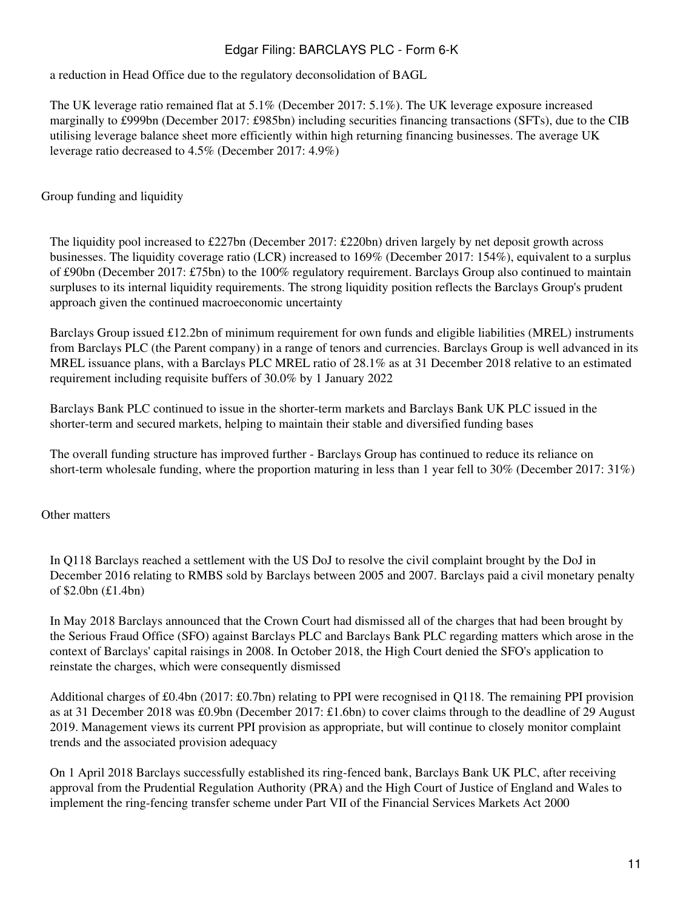a reduction in Head Office due to the regulatory deconsolidation of BAGL

The UK leverage ratio remained flat at 5.1% (December 2017: 5.1%). The UK leverage exposure increased marginally to £999bn (December 2017: £985bn) including securities financing transactions (SFTs), due to the CIB utilising leverage balance sheet more efficiently within high returning financing businesses. The average UK leverage ratio decreased to 4.5% (December 2017: 4.9%)

Group funding and liquidity

The liquidity pool increased to £227bn (December 2017: £220bn) driven largely by net deposit growth across businesses. The liquidity coverage ratio (LCR) increased to 169% (December 2017: 154%), equivalent to a surplus of £90bn (December 2017: £75bn) to the 100% regulatory requirement. Barclays Group also continued to maintain surpluses to its internal liquidity requirements. The strong liquidity position reflects the Barclays Group's prudent approach given the continued macroeconomic uncertainty

Barclays Group issued £12.2bn of minimum requirement for own funds and eligible liabilities (MREL) instruments from Barclays PLC (the Parent company) in a range of tenors and currencies. Barclays Group is well advanced in its MREL issuance plans, with a Barclays PLC MREL ratio of 28.1% as at 31 December 2018 relative to an estimated requirement including requisite buffers of 30.0% by 1 January 2022

Barclays Bank PLC continued to issue in the shorter-term markets and Barclays Bank UK PLC issued in the shorter-term and secured markets, helping to maintain their stable and diversified funding bases

The overall funding structure has improved further - Barclays Group has continued to reduce its reliance on short-term wholesale funding, where the proportion maturing in less than 1 year fell to 30% (December 2017: 31%)

Other matters

In Q118 Barclays reached a settlement with the US DoJ to resolve the civil complaint brought by the DoJ in December 2016 relating to RMBS sold by Barclays between 2005 and 2007. Barclays paid a civil monetary penalty of \$2.0bn (£1.4bn)

In May 2018 Barclays announced that the Crown Court had dismissed all of the charges that had been brought by the Serious Fraud Office (SFO) against Barclays PLC and Barclays Bank PLC regarding matters which arose in the context of Barclays' capital raisings in 2008. In October 2018, the High Court denied the SFO's application to reinstate the charges, which were consequently dismissed

Additional charges of £0.4bn (2017: £0.7bn) relating to PPI were recognised in Q118. The remaining PPI provision as at 31 December 2018 was £0.9bn (December 2017: £1.6bn) to cover claims through to the deadline of 29 August 2019. Management views its current PPI provision as appropriate, but will continue to closely monitor complaint trends and the associated provision adequacy

On 1 April 2018 Barclays successfully established its ring-fenced bank, Barclays Bank UK PLC, after receiving approval from the Prudential Regulation Authority (PRA) and the High Court of Justice of England and Wales to implement the ring-fencing transfer scheme under Part VII of the Financial Services Markets Act 2000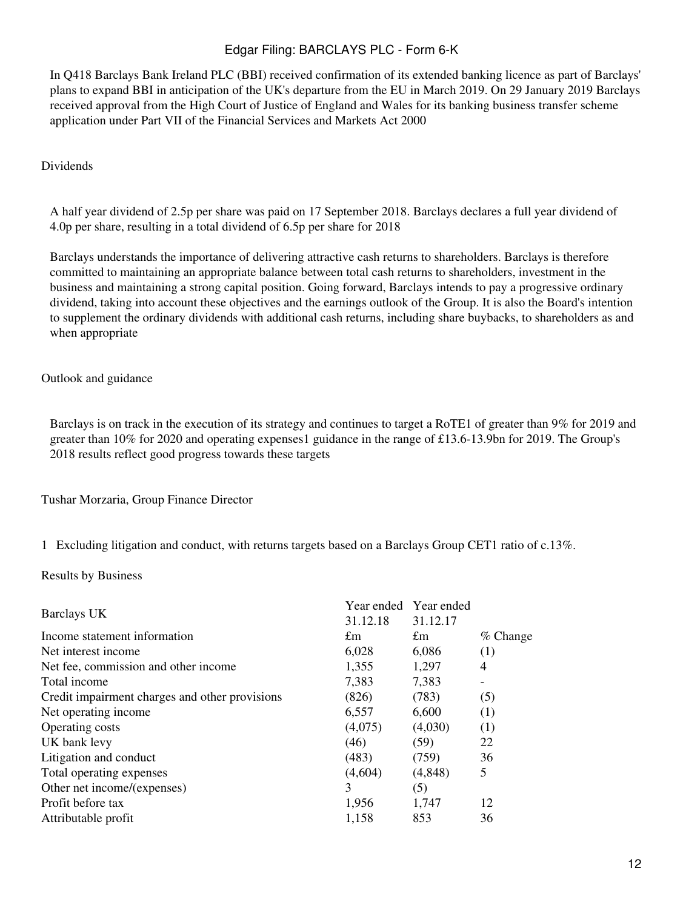In Q418 Barclays Bank Ireland PLC (BBI) received confirmation of its extended banking licence as part of Barclays' plans to expand BBI in anticipation of the UK's departure from the EU in March 2019. On 29 January 2019 Barclays received approval from the High Court of Justice of England and Wales for its banking business transfer scheme application under Part VII of the Financial Services and Markets Act 2000

#### Dividends

A half year dividend of 2.5p per share was paid on 17 September 2018. Barclays declares a full year dividend of 4.0p per share, resulting in a total dividend of 6.5p per share for 2018

Barclays understands the importance of delivering attractive cash returns to shareholders. Barclays is therefore committed to maintaining an appropriate balance between total cash returns to shareholders, investment in the business and maintaining a strong capital position. Going forward, Barclays intends to pay a progressive ordinary dividend, taking into account these objectives and the earnings outlook of the Group. It is also the Board's intention to supplement the ordinary dividends with additional cash returns, including share buybacks, to shareholders as and when appropriate

#### Outlook and guidance

Barclays is on track in the execution of its strategy and continues to target a RoTE1 of greater than 9% for 2019 and greater than 10% for 2020 and operating expenses1 guidance in the range of £13.6-13.9bn for 2019. The Group's 2018 results reflect good progress towards these targets

Tushar Morzaria, Group Finance Director

1 Excluding litigation and conduct, with returns targets based on a Barclays Group CET1 ratio of c.13%.

Results by Business

| Barclays UK                                    | Year ended Year ended<br>31.12.18 | 31.12.17    |            |
|------------------------------------------------|-----------------------------------|-------------|------------|
| Income statement information                   | $\pounds$ m                       | $\pounds$ m | $%$ Change |
| Net interest income                            | 6,028                             | 6,086       | (1)        |
| Net fee, commission and other income           | 1,355                             | 1,297       | 4          |
| Total income                                   | 7,383                             | 7,383       |            |
| Credit impairment charges and other provisions | (826)                             | (783)       | (5)        |
| Net operating income                           | 6,557                             | 6,600       | (1)        |
| Operating costs                                | (4,075)                           | (4,030)     | (1)        |
| UK bank levy                                   | (46)                              | (59)        | 22         |
| Litigation and conduct                         | (483)                             | (759)       | 36         |
| Total operating expenses                       | (4,604)                           | (4,848)     | 5          |
| Other net income/(expenses)                    | 3                                 | (5)         |            |
| Profit before tax                              | 1,956                             | 1,747       | 12         |
| Attributable profit                            | 1,158                             | 853         | 36         |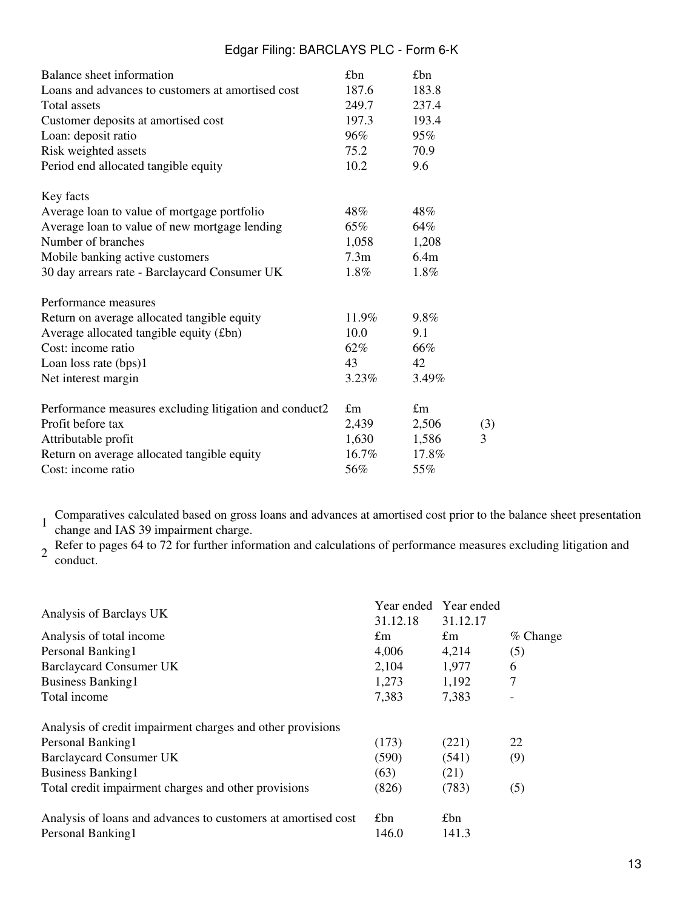| Balance sheet information                              | £bn              | £bn         |     |
|--------------------------------------------------------|------------------|-------------|-----|
| Loans and advances to customers at amortised cost      | 187.6            | 183.8       |     |
| Total assets                                           | 249.7            | 237.4       |     |
| Customer deposits at amortised cost                    | 197.3            | 193.4       |     |
| Loan: deposit ratio                                    | 96%              | 95%         |     |
| Risk weighted assets                                   | 75.2             | 70.9        |     |
| Period end allocated tangible equity                   | 10.2             | 9.6         |     |
| Key facts                                              |                  |             |     |
| Average loan to value of mortgage portfolio            | 48%              | 48%         |     |
| Average loan to value of new mortgage lending          | 65%              | 64%         |     |
| Number of branches                                     | 1,058            | 1,208       |     |
| Mobile banking active customers                        | 7.3 <sub>m</sub> | 6.4m        |     |
| 30 day arrears rate - Barclaycard Consumer UK          | $1.8\%$          | 1.8%        |     |
| Performance measures                                   |                  |             |     |
| Return on average allocated tangible equity            | 11.9%            | 9.8%        |     |
| Average allocated tangible equity (£bn)                | 10.0             | 9.1         |     |
| Cost: income ratio                                     | 62%              | 66%         |     |
| Loan loss rate (bps)1                                  | 43               | 42          |     |
| Net interest margin                                    | $3.23\%$         | 3.49%       |     |
| Performance measures excluding litigation and conduct2 | $\pounds$ m      | $\pounds$ m |     |
| Profit before tax                                      | 2,439            | 2,506       | (3) |
| Attributable profit                                    | 1,630            | 1,586       | 3   |
| Return on average allocated tangible equity            | $16.7\%$         | 17.8%       |     |
| Cost: income ratio                                     | 56%              | 55%         |     |

1 Comparatives calculated based on gross loans and advances at amortised cost prior to the balance sheet presentation change and IAS 39 impairment charge.

2 Refer to pages 64 to 72 for further information and calculations of performance measures excluding litigation and<br>conduct conduct.

|                                                               |             | Year ended Year ended |            |
|---------------------------------------------------------------|-------------|-----------------------|------------|
| Analysis of Barclays UK                                       | 31.12.18    | 31.12.17              |            |
| Analysis of total income                                      | $\pounds$ m | £m                    | $%$ Change |
| Personal Banking1                                             | 4,006       | 4,214                 | (5)        |
| <b>Barclaycard Consumer UK</b>                                | 2,104       | 1,977                 | 6          |
| <b>Business Banking1</b>                                      | 1,273       | 1,192                 | 7          |
| Total income                                                  | 7,383       | 7,383                 |            |
| Analysis of credit impairment charges and other provisions    |             |                       |            |
| Personal Banking1                                             | (173)       | (221)                 | 22         |
| <b>Barclaycard Consumer UK</b>                                | (590)       | (541)                 | (9)        |
| <b>Business Banking1</b>                                      | (63)        | (21)                  |            |
| Total credit impairment charges and other provisions          | (826)       | (783)                 | (5)        |
| Analysis of loans and advances to customers at amortised cost | £bn         | £bn                   |            |
| Personal Banking1                                             | 146.0       | 141.3                 |            |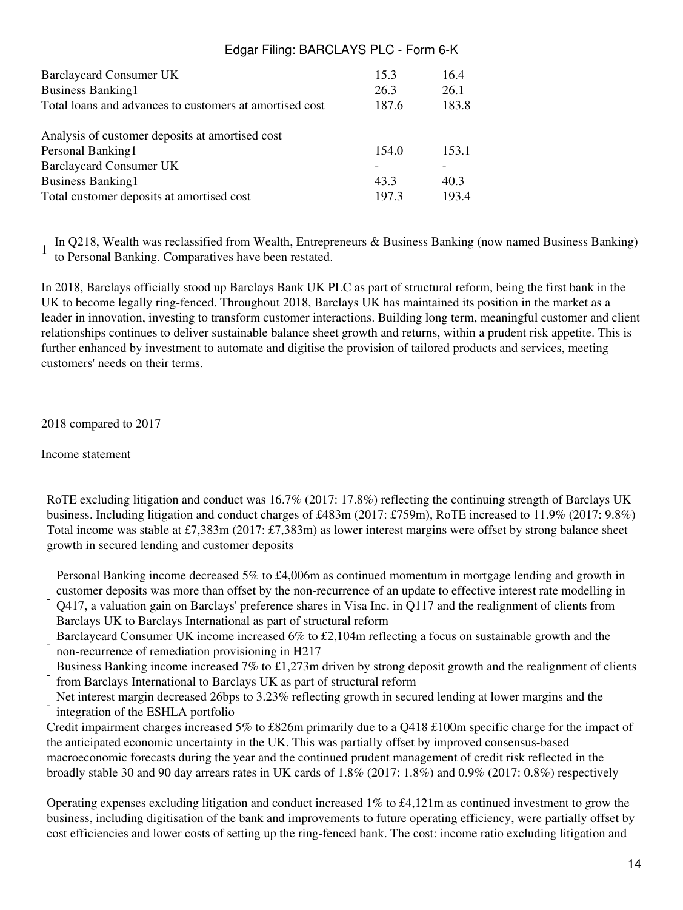| 15.3  | 16.4  |
|-------|-------|
| 26.3  | 26.1  |
| 187.6 | 183.8 |
|       |       |
| 154.0 | 153.1 |
|       |       |
| 43.3  | 40.3  |
| 197.3 | 193.4 |
|       |       |

In Q218, Wealth was reclassified from Wealth, Entrepreneurs & Business Banking (now named Business Banking) to Personal Banking. Comparatives have been restated.

In 2018, Barclays officially stood up Barclays Bank UK PLC as part of structural reform, being the first bank in the UK to become legally ring-fenced. Throughout 2018, Barclays UK has maintained its position in the market as a leader in innovation, investing to transform customer interactions. Building long term, meaningful customer and client relationships continues to deliver sustainable balance sheet growth and returns, within a prudent risk appetite. This is further enhanced by investment to automate and digitise the provision of tailored products and services, meeting customers' needs on their terms.

2018 compared to 2017

Income statement

RoTE excluding litigation and conduct was 16.7% (2017: 17.8%) reflecting the continuing strength of Barclays UK business. Including litigation and conduct charges of £483m (2017: £759m), RoTE increased to 11.9% (2017: 9.8%) Total income was stable at £7,383m (2017: £7,383m) as lower interest margins were offset by strong balance sheet growth in secured lending and customer deposits

Personal Banking income decreased 5% to £4,006m as continued momentum in mortgage lending and growth in customer deposits was more than offset by the non-recurrence of an update to effective interest rate modelling in

- Q417, a valuation gain on Barclays' preference shares in Visa Inc. in Q117 and the realignment of clients from Barclays UK to Barclays International as part of structural reform
- Barclaycard Consumer UK income increased 6% to £2,104m reflecting a focus on sustainable growth and the non-recurrence of remediation provisioning in H217
- Business Banking income increased 7% to £1,273m driven by strong deposit growth and the realignment of clients from Barclays International to Barclays UK as part of structural reform
- Net interest margin decreased 26bps to 3.23% reflecting growth in secured lending at lower margins and the integration of the ESHLA portfolio

Credit impairment charges increased 5% to £826m primarily due to a Q418 £100m specific charge for the impact of the anticipated economic uncertainty in the UK. This was partially offset by improved consensus-based macroeconomic forecasts during the year and the continued prudent management of credit risk reflected in the broadly stable 30 and 90 day arrears rates in UK cards of 1.8% (2017: 1.8%) and 0.9% (2017: 0.8%) respectively

Operating expenses excluding litigation and conduct increased 1% to £4,121m as continued investment to grow the business, including digitisation of the bank and improvements to future operating efficiency, were partially offset by cost efficiencies and lower costs of setting up the ring-fenced bank. The cost: income ratio excluding litigation and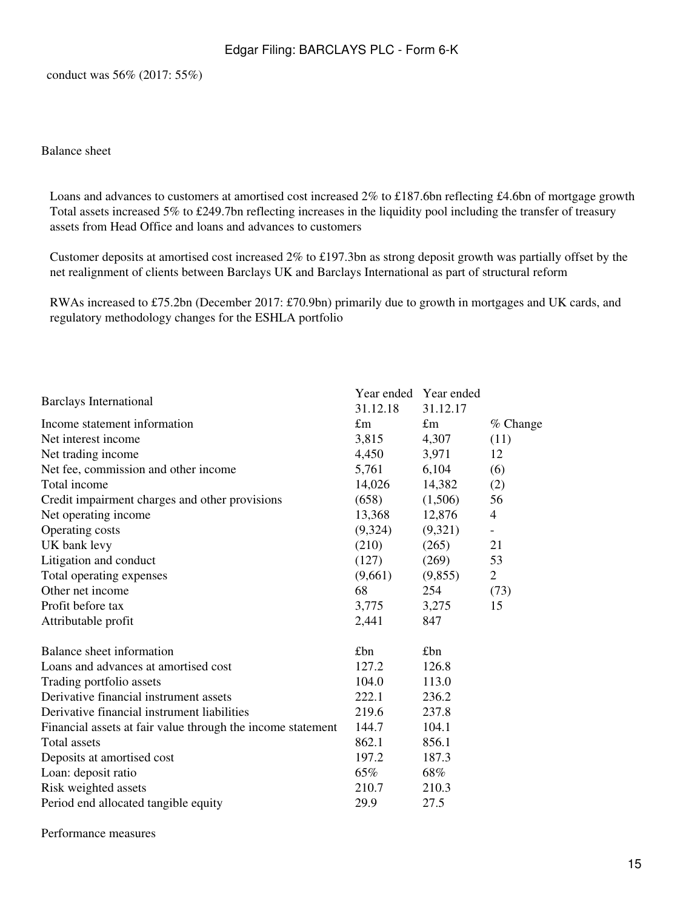conduct was 56% (2017: 55%)

#### Balance sheet

Loans and advances to customers at amortised cost increased 2% to £187.6bn reflecting £4.6bn of mortgage growth Total assets increased 5% to £249.7bn reflecting increases in the liquidity pool including the transfer of treasury assets from Head Office and loans and advances to customers

Customer deposits at amortised cost increased 2% to £197.3bn as strong deposit growth was partially offset by the net realignment of clients between Barclays UK and Barclays International as part of structural reform

RWAs increased to £75.2bn (December 2017: £70.9bn) primarily due to growth in mortgages and UK cards, and regulatory methodology changes for the ESHLA portfolio

|                                                             |          | Year ended Year ended |                |
|-------------------------------------------------------------|----------|-----------------------|----------------|
| <b>Barclays International</b>                               | 31.12.18 | 31.12.17              |                |
| Income statement information                                | £m       | £m                    | % Change       |
| Net interest income                                         | 3,815    | 4,307                 | (11)           |
| Net trading income                                          | 4,450    | 3,971                 | 12             |
| Net fee, commission and other income                        | 5,761    | 6,104                 | (6)            |
| Total income                                                | 14,026   | 14,382                | (2)            |
| Credit impairment charges and other provisions              | (658)    | (1,506)               | 56             |
| Net operating income                                        | 13,368   | 12,876                | 4              |
| Operating costs                                             | (9,324)  | (9,321)               | $\sim$         |
| UK bank levy                                                | (210)    | (265)                 | 21             |
| Litigation and conduct                                      | (127)    | (269)                 | 53             |
| Total operating expenses                                    | (9,661)  | (9,855)               | $\overline{2}$ |
| Other net income                                            | 68       | 254                   | (73)           |
| Profit before tax                                           | 3,775    | 3,275                 | 15             |
| Attributable profit                                         | 2,441    | 847                   |                |
| Balance sheet information                                   | £bn      | £bn                   |                |
| Loans and advances at amortised cost                        | 127.2    | 126.8                 |                |
| Trading portfolio assets                                    | 104.0    | 113.0                 |                |
| Derivative financial instrument assets                      | 222.1    | 236.2                 |                |
| Derivative financial instrument liabilities                 | 219.6    | 237.8                 |                |
| Financial assets at fair value through the income statement | 144.7    | 104.1                 |                |
| Total assets                                                | 862.1    | 856.1                 |                |
| Deposits at amortised cost                                  | 197.2    | 187.3                 |                |
| Loan: deposit ratio                                         | 65%      | 68%                   |                |
| Risk weighted assets                                        | 210.7    | 210.3                 |                |
| Period end allocated tangible equity                        | 29.9     | 27.5                  |                |
|                                                             |          |                       |                |

Performance measures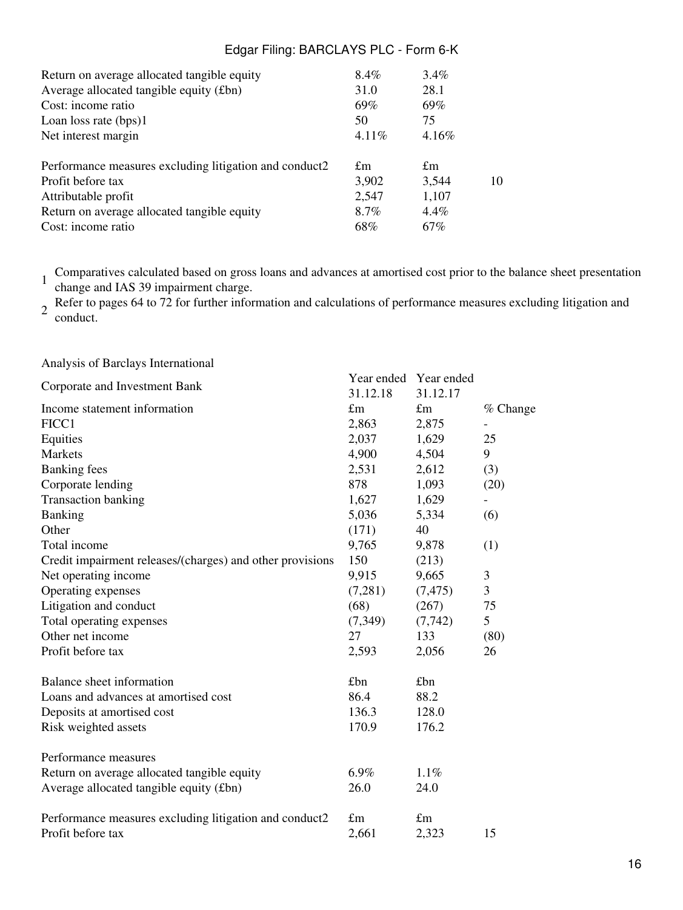| Return on average allocated tangible equity            | 8.4%        | 3.4%        |    |
|--------------------------------------------------------|-------------|-------------|----|
| Average allocated tangible equity (£bn)                | 31.0        | 28.1        |    |
| Cost: income ratio                                     | 69%         | 69%         |    |
| Loan loss rate $(bps)1$                                | 50          | 75          |    |
| Net interest margin                                    | 4.11%       | $4.16\%$    |    |
| Performance measures excluding litigation and conduct2 | $\pounds$ m | $\pounds$ m |    |
| Profit before tax                                      | 3,902       | 3,544       | 10 |
| Attributable profit                                    | 2,547       | 1,107       |    |
| Return on average allocated tangible equity            | 8.7%        | $4.4\%$     |    |
| Cost: income ratio                                     | 68%         | 67%         |    |

1 Comparatives calculated based on gross loans and advances at amortised cost prior to the balance sheet presentation change and IAS 39 impairment charge.

2 Refer to pages 64 to 72 for further information and calculations of performance measures excluding litigation and<br>conduct conduct.

Analysis of Barclays International

|                                                           | Year ended  | Year ended  |            |
|-----------------------------------------------------------|-------------|-------------|------------|
| Corporate and Investment Bank                             | 31.12.18    | 31.12.17    |            |
| Income statement information                              | $\pounds$ m | $\pounds$ m | $%$ Change |
| FICC1                                                     | 2,863       | 2,875       |            |
| Equities                                                  | 2,037       | 1,629       | 25         |
| <b>Markets</b>                                            | 4,900       | 4,504       | 9          |
| <b>Banking</b> fees                                       | 2,531       | 2,612       | (3)        |
| Corporate lending                                         | 878         | 1,093       | (20)       |
| <b>Transaction banking</b>                                | 1,627       | 1,629       |            |
| Banking                                                   | 5,036       | 5,334       | (6)        |
| Other                                                     | (171)       | 40          |            |
| Total income                                              | 9,765       | 9,878       | (1)        |
| Credit impairment releases/(charges) and other provisions | 150         | (213)       |            |
| Net operating income                                      | 9,915       | 9,665       | 3          |
| Operating expenses                                        | (7,281)     | (7, 475)    | 3          |
| Litigation and conduct                                    | (68)        | (267)       | 75         |
| Total operating expenses                                  | (7,349)     | (7, 742)    | 5          |
| Other net income                                          | 27          | 133         | (80)       |
| Profit before tax                                         | 2,593       | 2,056       | 26         |
| Balance sheet information                                 | £bn         | £bn         |            |
| Loans and advances at amortised cost                      | 86.4        | 88.2        |            |
| Deposits at amortised cost                                | 136.3       | 128.0       |            |
| Risk weighted assets                                      | 170.9       | 176.2       |            |
| Performance measures                                      |             |             |            |
| Return on average allocated tangible equity               | $6.9\%$     | 1.1%        |            |
| Average allocated tangible equity (£bn)                   | 26.0        | 24.0        |            |
| Performance measures excluding litigation and conduct2    | $\pounds$ m | $\pounds$ m |            |
| Profit before tax                                         | 2,661       | 2,323       | 15         |
|                                                           |             |             |            |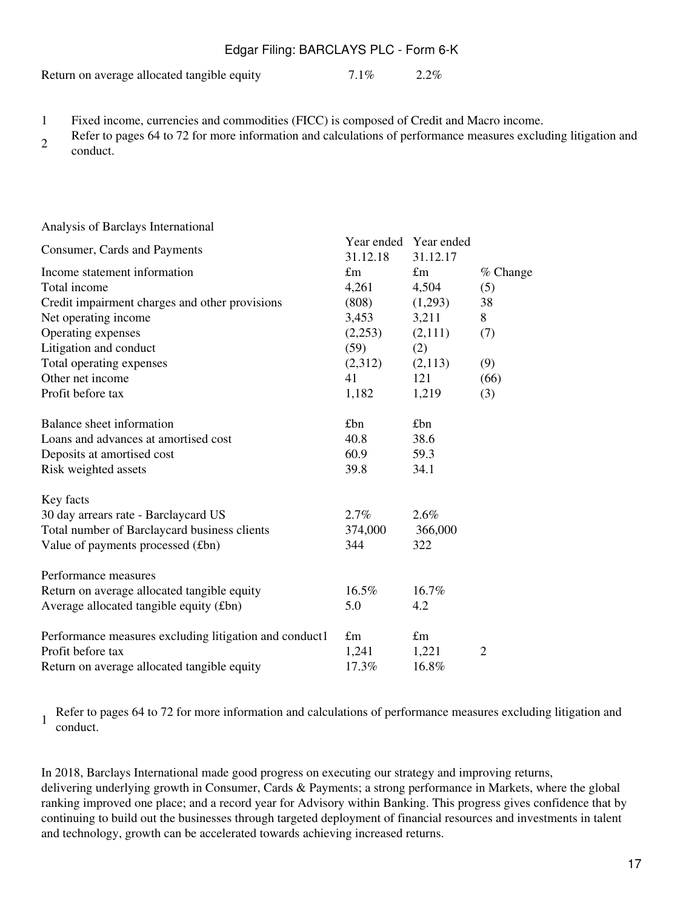Return on average allocated tangible equity 7.1% 2.2%

- 1 Fixed income, currencies and commodities (FICC) is composed of Credit and Macro income.
- <sup>2</sup>Refer to pages 64 to 72 for more information and calculations of performance measures excluding litigation and conduct.

#### Analysis of Barclays International

| Consumer, Cards and Payments                           |             | Year ended Year ended |                |
|--------------------------------------------------------|-------------|-----------------------|----------------|
|                                                        | 31.12.18    | 31.12.17              |                |
| Income statement information                           | $\pounds$ m | $\pounds$ m           | % Change       |
| Total income                                           | 4,261       | 4,504                 | (5)            |
| Credit impairment charges and other provisions         | (808)       | (1,293)               | 38             |
| Net operating income                                   | 3,453       | 3,211                 | 8              |
| Operating expenses                                     | (2,253)     | (2,111)               | (7)            |
| Litigation and conduct                                 | (59)        | (2)                   |                |
| Total operating expenses                               | (2,312)     | (2,113)               | (9)            |
| Other net income                                       | 41          | 121                   | (66)           |
| Profit before tax                                      | 1,182       | 1,219                 | (3)            |
| Balance sheet information                              | £bn         | £bn                   |                |
| Loans and advances at amortised cost                   | 40.8        | 38.6                  |                |
| Deposits at amortised cost                             | 60.9        | 59.3                  |                |
| Risk weighted assets                                   | 39.8        | 34.1                  |                |
|                                                        |             |                       |                |
| Key facts                                              |             |                       |                |
| 30 day arrears rate - Barclaycard US                   | 2.7%        | 2.6%                  |                |
| Total number of Barclaycard business clients           | 374,000     | 366,000               |                |
| Value of payments processed (£bn)                      | 344         | 322                   |                |
| Performance measures                                   |             |                       |                |
| Return on average allocated tangible equity            | 16.5%       | 16.7%                 |                |
| Average allocated tangible equity (£bn)                | 5.0         | 4.2                   |                |
|                                                        |             |                       |                |
| Performance measures excluding litigation and conduct1 | $\pounds$ m | $\pounds$ m           |                |
| Profit before tax                                      | 1,241       | 1,221                 | $\overline{2}$ |
| Return on average allocated tangible equity            | 17.3%       | 16.8%                 |                |

1 Refer to pages 64 to 72 for more information and calculations of performance measures excluding litigation and conduct.

In 2018, Barclays International made good progress on executing our strategy and improving returns, delivering underlying growth in Consumer, Cards & Payments; a strong performance in Markets, where the global ranking improved one place; and a record year for Advisory within Banking. This progress gives confidence that by continuing to build out the businesses through targeted deployment of financial resources and investments in talent and technology, growth can be accelerated towards achieving increased returns.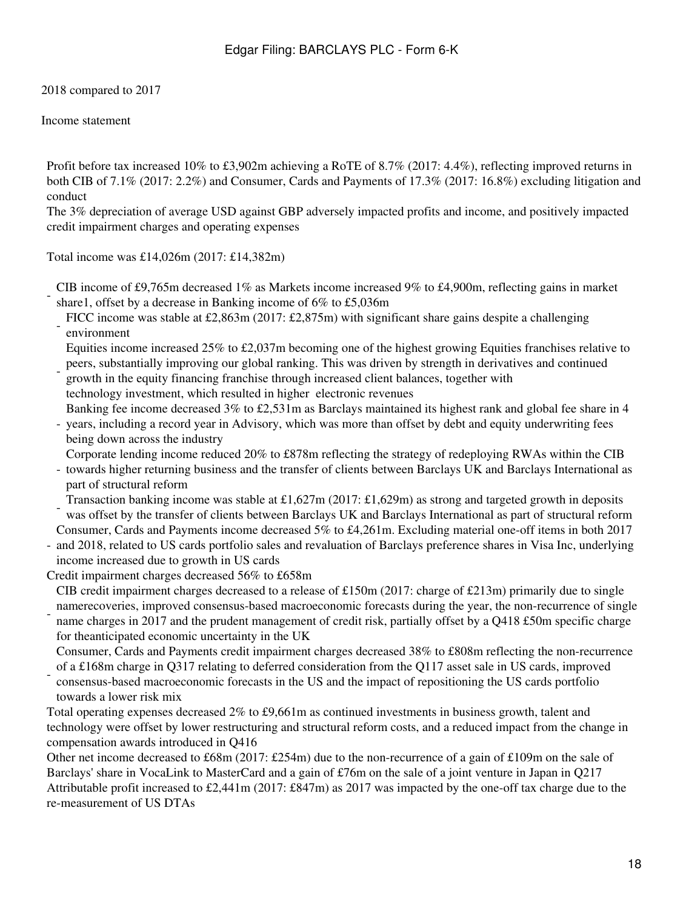2018 compared to 2017

Income statement

Profit before tax increased 10% to £3,902m achieving a RoTE of 8.7% (2017: 4.4%), reflecting improved returns in both CIB of 7.1% (2017: 2.2%) and Consumer, Cards and Payments of 17.3% (2017: 16.8%) excluding litigation and conduct

The 3% depreciation of average USD against GBP adversely impacted profits and income, and positively impacted credit impairment charges and operating expenses

Total income was £14,026m (2017: £14,382m)

- CIB income of £9,765m decreased 1% as Markets income increased 9% to £4,900m, reflecting gains in market share1, offset by a decrease in Banking income of 6% to £5,036m
- FICC income was stable at £2,863m (2017: £2,875m) with significant share gains despite a challenging environment
- Equities income increased 25% to £2,037m becoming one of the highest growing Equities franchises relative to peers, substantially improving our global ranking. This was driven by strength in derivatives and continued
- growth in the equity financing franchise through increased client balances, together with technology investment, which resulted in higher electronic revenues Banking fee income decreased 3% to £2,531m as Barclays maintained its highest rank and global fee share in 4
- years, including a record year in Advisory, which was more than offset by debt and equity underwriting fees being down across the industry
- Corporate lending income reduced 20% to £878m reflecting the strategy of redeploying RWAs within the CIB
- towards higher returning business and the transfer of clients between Barclays UK and Barclays International as part of structural reform

- Transaction banking income was stable at £1,627m (2017: £1,629m) as strong and targeted growth in deposits was offset by the transfer of clients between Barclays UK and Barclays International as part of structural reform

- and 2018, related to US cards portfolio sales and revaluation of Barclays preference shares in Visa Inc, underlying Consumer, Cards and Payments income decreased 5% to £4,261m. Excluding material one-off items in both 2017 income increased due to growth in US cards
- Credit impairment charges decreased 56% to £658m

CIB credit impairment charges decreased to a release of £150m (2017: charge of £213m) primarily due to single

 namerecoveries, improved consensus-based macroeconomic forecasts during the year, the non-recurrence of single name charges in 2017 and the prudent management of credit risk, partially offset by a Q418 £50m specific charge for theanticipated economic uncertainty in the UK

Consumer, Cards and Payments credit impairment charges decreased 38% to £808m reflecting the non-recurrence of a £168m charge in Q317 relating to deferred consideration from the Q117 asset sale in US cards, improved

 consensus-based macroeconomic forecasts in the US and the impact of repositioning the US cards portfolio towards a lower risk mix

Total operating expenses decreased 2% to £9,661m as continued investments in business growth, talent and technology were offset by lower restructuring and structural reform costs, and a reduced impact from the change in compensation awards introduced in Q416

Other net income decreased to £68m (2017: £254m) due to the non-recurrence of a gain of £109m on the sale of Barclays' share in VocaLink to MasterCard and a gain of £76m on the sale of a joint venture in Japan in Q217 Attributable profit increased to £2,441m (2017: £847m) as 2017 was impacted by the one-off tax charge due to the re-measurement of US DTAs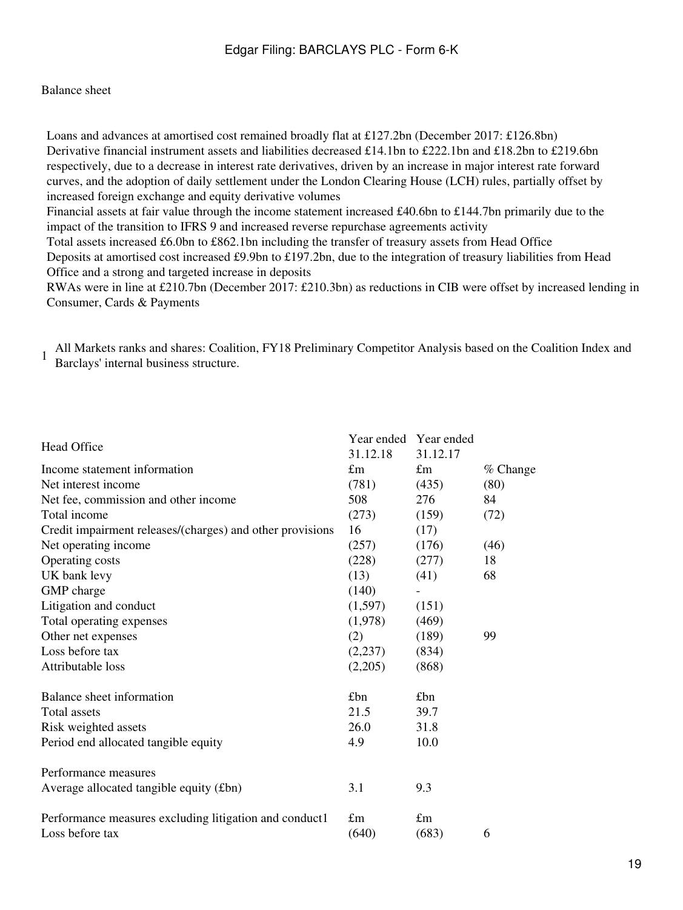#### Balance sheet

Loans and advances at amortised cost remained broadly flat at £127.2bn (December 2017: £126.8bn) Derivative financial instrument assets and liabilities decreased £14.1bn to £222.1bn and £18.2bn to £219.6bn respectively, due to a decrease in interest rate derivatives, driven by an increase in major interest rate forward curves, and the adoption of daily settlement under the London Clearing House (LCH) rules, partially offset by increased foreign exchange and equity derivative volumes Financial assets at fair value through the income statement increased £40.6bn to £144.7bn primarily due to the impact of the transition to IFRS 9 and increased reverse repurchase agreements activity Total assets increased £6.0bn to £862.1bn including the transfer of treasury assets from Head Office Deposits at amortised cost increased £9.9bn to £197.2bn, due to the integration of treasury liabilities from Head Office and a strong and targeted increase in deposits

RWAs were in line at £210.7bn (December 2017: £210.3bn) as reductions in CIB were offset by increased lending in Consumer, Cards & Payments

1 All Markets ranks and shares: Coalition, FY18 Preliminary Competitor Analysis based on the Coalition Index and Barclays' internal business structure.

|                                                           |             | Year ended Year ended |          |
|-----------------------------------------------------------|-------------|-----------------------|----------|
| Head Office                                               | 31.12.18    | 31.12.17              |          |
| Income statement information                              | $\pounds$ m | $\pounds$ m           | % Change |
| Net interest income                                       | (781)       | (435)                 | (80)     |
| Net fee, commission and other income                      | 508         | 276                   | 84       |
| Total income                                              | (273)       | (159)                 | (72)     |
| Credit impairment releases/(charges) and other provisions | 16          | (17)                  |          |
| Net operating income                                      | (257)       | (176)                 | (46)     |
| Operating costs                                           | (228)       | (277)                 | 18       |
| UK bank levy                                              | (13)        | (41)                  | 68       |
| GMP charge                                                | (140)       |                       |          |
| Litigation and conduct                                    | (1,597)     | (151)                 |          |
| Total operating expenses                                  | (1,978)     | (469)                 |          |
| Other net expenses                                        | (2)         | (189)                 | 99       |
| Loss before tax                                           | (2,237)     | (834)                 |          |
| Attributable loss                                         | (2,205)     | (868)                 |          |
| Balance sheet information                                 | £bn         | £bn                   |          |
| <b>Total assets</b>                                       | 21.5        | 39.7                  |          |
| Risk weighted assets                                      | 26.0        | 31.8                  |          |
| Period end allocated tangible equity                      | 4.9         | 10.0                  |          |
| Performance measures                                      |             |                       |          |
| Average allocated tangible equity (£bn)                   | 3.1         | 9.3                   |          |
| Performance measures excluding litigation and conduct1    | $\pounds$ m | $\pounds$ m           |          |
| Loss before tax                                           | (640)       | (683)                 | 6        |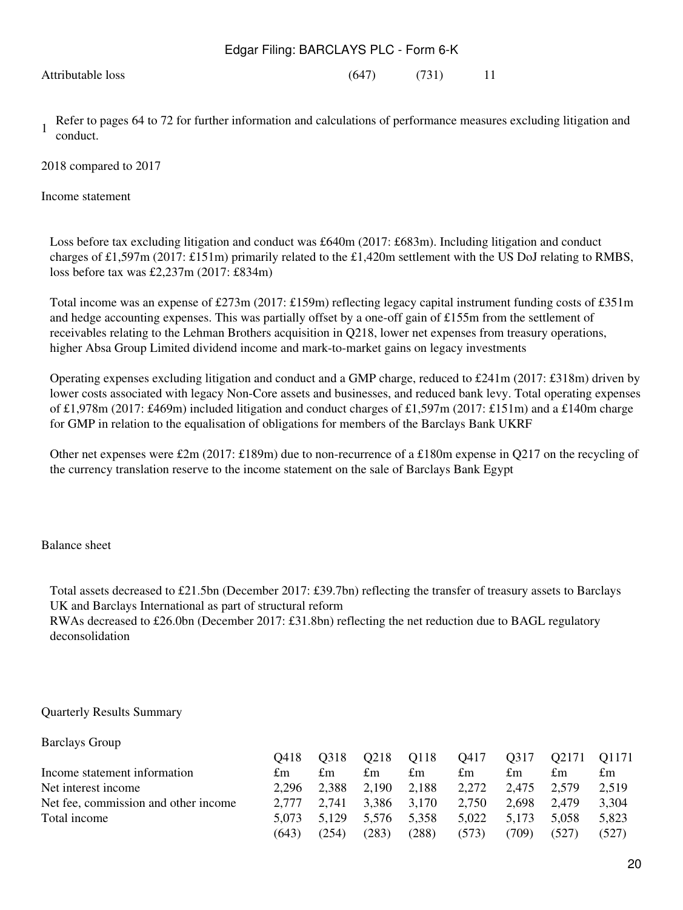Attributable loss (647) (731) 11

1 Refer to pages 64 to 72 for further information and calculations of performance measures excluding litigation and conduct.

2018 compared to 2017

Income statement

Loss before tax excluding litigation and conduct was £640m (2017: £683m). Including litigation and conduct charges of £1,597m (2017: £151m) primarily related to the £1,420m settlement with the US DoJ relating to RMBS, loss before tax was £2,237m (2017: £834m)

Total income was an expense of £273m (2017: £159m) reflecting legacy capital instrument funding costs of £351m and hedge accounting expenses. This was partially offset by a one-off gain of £155m from the settlement of receivables relating to the Lehman Brothers acquisition in Q218, lower net expenses from treasury operations, higher Absa Group Limited dividend income and mark-to-market gains on legacy investments

Operating expenses excluding litigation and conduct and a GMP charge, reduced to £241m (2017: £318m) driven by lower costs associated with legacy Non-Core assets and businesses, and reduced bank levy. Total operating expenses of £1,978m (2017: £469m) included litigation and conduct charges of £1,597m (2017: £151m) and a £140m charge for GMP in relation to the equalisation of obligations for members of the Barclays Bank UKRF

Other net expenses were £2m (2017: £189m) due to non-recurrence of a £180m expense in Q217 on the recycling of the currency translation reserve to the income statement on the sale of Barclays Bank Egypt

Balance sheet

Total assets decreased to £21.5bn (December 2017: £39.7bn) reflecting the transfer of treasury assets to Barclays UK and Barclays International as part of structural reform RWAs decreased to £26.0bn (December 2017: £31.8bn) reflecting the net reduction due to BAGL regulatory deconsolidation

#### Quarterly Results Summary

| <b>Barclays Group</b>                |       |       |       |       |       |       |       |       |
|--------------------------------------|-------|-------|-------|-------|-------|-------|-------|-------|
|                                      | O418  | O318  | Q218  | Q118  | Q417  | Q317  | Q2171 | O1171 |
| Income statement information         | £m    | £m    | £m    | £m    | £m    | £m    | £m    | £m    |
| Net interest income                  | 2.296 | 2,388 | 2,190 | 2,188 | 2,272 | 2.475 | 2.579 | 2,519 |
| Net fee, commission and other income | 2.777 | 2.741 | 3.386 | 3.170 | 2,750 | 2.698 | 2,479 | 3.304 |
| Total income                         | 5.073 | 5.129 | 5.576 | 5.358 | 5.022 | 5.173 | 5,058 | 5,823 |
|                                      | (643) | (254) | (283) | (288) | (573) | (709) | (527) | (527) |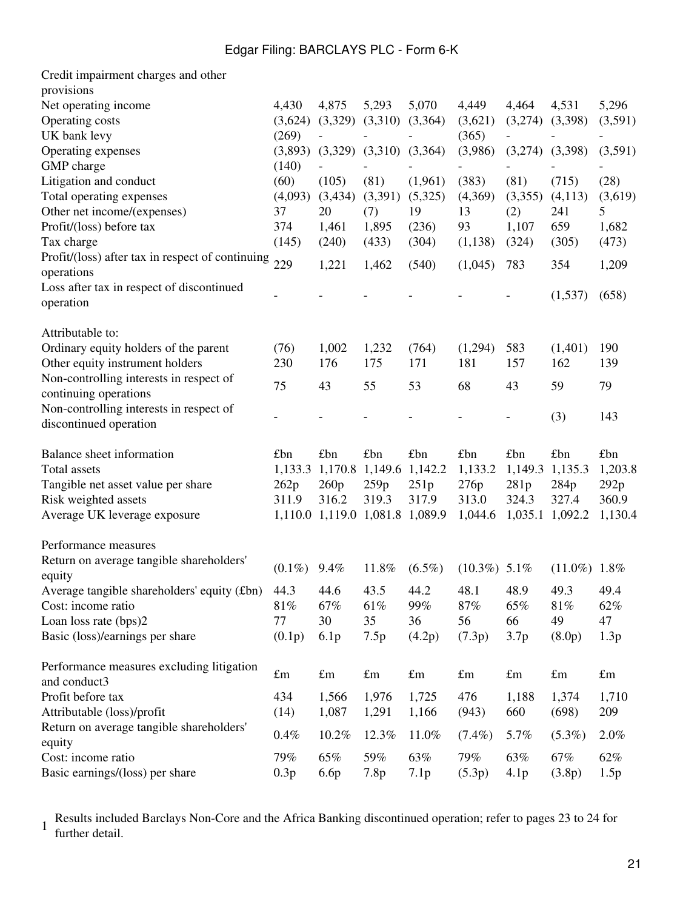| Credit impairment charges and other                   |             |                                 |                         |             |                 |                  |                 |             |
|-------------------------------------------------------|-------------|---------------------------------|-------------------------|-------------|-----------------|------------------|-----------------|-------------|
| provisions                                            |             |                                 |                         |             |                 |                  |                 |             |
| Net operating income                                  | 4,430       | 4,875                           | 5,293                   | 5,070       | 4,449           | 4,464            | 4,531           | 5,296       |
| Operating costs                                       | (3,624)     | (3,329)                         | (3,310)                 | (3,364)     | (3,621)         | (3,274)          | (3,398)         | (3,591)     |
| UK bank levy                                          | (269)       |                                 |                         |             | (365)           |                  |                 |             |
| Operating expenses                                    | (3,893)     | (3,329)                         | (3,310)                 | (3,364)     | (3,986)         | (3,274)          | (3,398)         | (3,591)     |
| GMP charge                                            | (140)       |                                 |                         |             |                 |                  |                 |             |
| Litigation and conduct                                | (60)        | (105)                           | (81)                    | (1,961)     | (383)           | (81)             | (715)           | (28)        |
| Total operating expenses                              | (4,093)     | (3,434)                         | (3,391)                 | (5,325)     | (4,369)         | (3,355)          | (4,113)         | (3,619)     |
| Other net income/(expenses)                           | 37          | 20                              | (7)                     | 19          | 13              | (2)              | 241             | 5           |
| Profit/(loss) before tax                              | 374         | 1,461                           | 1,895                   | (236)       | 93              | 1,107            | 659             | 1,682       |
| Tax charge                                            | (145)       | (240)                           | (433)                   | (304)       | (1,138)         | (324)            | (305)           | (473)       |
| Profit/(loss) after tax in respect of continuing      |             |                                 |                         |             |                 |                  |                 |             |
| operations                                            | 229         | 1,221                           | 1,462                   | (540)       | (1,045)         | 783              | 354             | 1,209       |
| Loss after tax in respect of discontinued             |             |                                 |                         |             |                 |                  |                 |             |
| operation                                             |             |                                 |                         |             |                 |                  | (1,537)         | (658)       |
| Attributable to:                                      |             |                                 |                         |             |                 |                  |                 |             |
| Ordinary equity holders of the parent                 | (76)        | 1,002                           | 1,232                   | (764)       | (1,294)         | 583              | (1,401)         | 190         |
| Other equity instrument holders                       | 230         | 176                             | 175                     | 171         | 181             | 157              | 162             | 139         |
| Non-controlling interests in respect of               | 75          | 43                              | 55                      | 53          | 68              | 43               | 59              | 79          |
| continuing operations                                 |             |                                 |                         |             |                 |                  |                 |             |
| Non-controlling interests in respect of               |             |                                 |                         |             |                 |                  | (3)             | 143         |
| discontinued operation                                |             |                                 |                         |             |                 |                  |                 |             |
| Balance sheet information                             | £bn         | £bn                             | £bn                     | £bn         | £bn             | £bn              | £bn             | £bn         |
| Total assets                                          | 1,133.3     |                                 | 1,170.8 1,149.6 1,142.2 |             | 1,133.2         | 1,149.3          | 1,135.3         | 1,203.8     |
| Tangible net asset value per share                    | 262p        | 260p                            | 259p                    | 251p        | 276p            | 281p             | 284p            | 292p        |
| Risk weighted assets                                  | 311.9       | 316.2                           | 319.3                   | 317.9       | 313.0           | 324.3            | 327.4           | 360.9       |
| Average UK leverage exposure                          |             | 1,110.0 1,119.0 1,081.8 1,089.9 |                         |             | 1,044.6         | 1,035.1          | 1,092.2         | 1,130.4     |
| Performance measures                                  |             |                                 |                         |             |                 |                  |                 |             |
| Return on average tangible shareholders'              | $(0.1\%)$   | 9.4%                            | 11.8%                   | $(6.5\%)$   | $(10.3\%)$ 5.1% |                  | $(11.0\%)$ 1.8% |             |
| equity<br>Average tangible shareholders' equity (£bn) | 44.3        | 44.6                            | 43.5                    | 44.2        | 48.1            | 48.9             | 49.3            | 49.4        |
| Cost: income ratio                                    | 81%         | 67%                             | 61%                     | 99%         | 87%             | 65%              | 81%             | 62%         |
| Loan loss rate (bps)2                                 | 77          | 30                              | 35                      | 36          | 56              | 66               | 49              | 47          |
| Basic (loss)/earnings per share                       | (0.1p)      | 6.1p                            | 7.5p                    | (4.2p)      | (7.3p)          | 3.7p             | (8.0p)          | 1.3p        |
| Performance measures excluding litigation             |             |                                 |                         |             |                 |                  |                 |             |
| and conduct3                                          | $\pounds$ m | $\pounds$ m                     | $\pounds$ m             | $\pounds$ m | $\pounds$ m     | $\pounds$ m      | $\pounds$ m     | $\pounds$ m |
| Profit before tax                                     | 434         | 1,566                           | 1,976                   | 1,725       | 476             | 1,188            | 1,374           | 1,710       |
| Attributable (loss)/profit                            | (14)        | 1,087                           | 1,291                   | 1,166       | (943)           | 660              | (698)           | 209         |
| Return on average tangible shareholders'              |             |                                 |                         |             |                 |                  |                 |             |
| equity                                                | 0.4%        | 10.2%                           | 12.3%                   | 11.0%       | $(7.4\%)$       | 5.7%             | $(5.3\%)$       | 2.0%        |
| Cost: income ratio                                    | 79%         | 65%                             | 59%                     | 63%         | 79%             | 63%              | 67%             | 62%         |
| Basic earnings/(loss) per share                       | 0.3p        | 6.6p                            | 7.8p                    | 7.1p        | (5.3p)          | 4.1 <sub>p</sub> | (3.8p)          | 1.5p        |

1 Results included Barclays Non-Core and the Africa Banking discontinued operation; refer to pages 23 to 24 for further detail.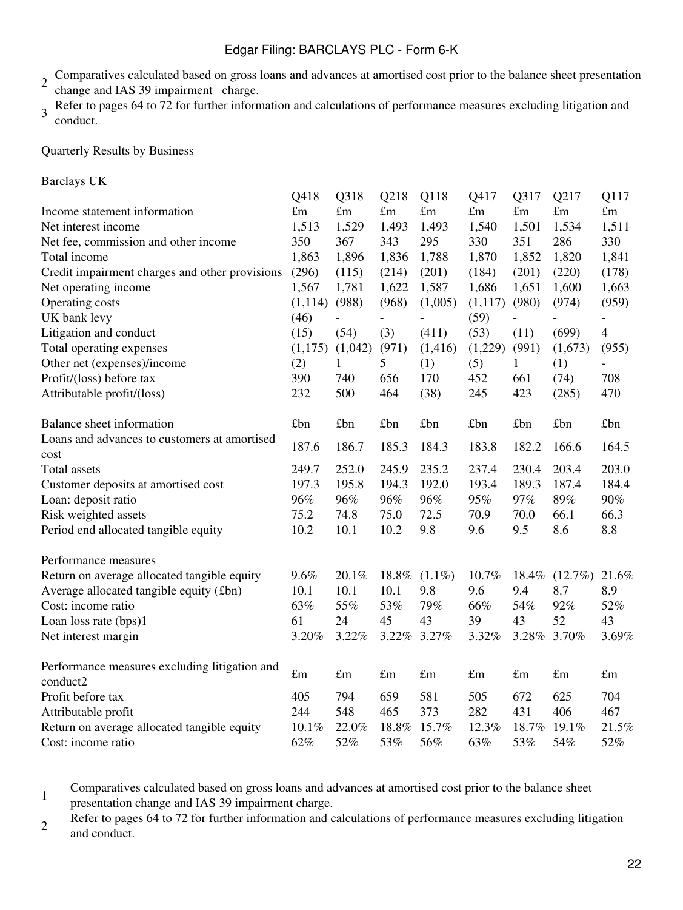- 2 Comparatives calculated based on gross loans and advances at amortised cost prior to the balance sheet presentation change and IAS 39 impairment charge.
- 3 Refer to pages 64 to 72 for further information and calculations of performance measures excluding litigation and conduct.

Quarterly Results by Business

| <b>Barclays UK</b> |  |
|--------------------|--|
|--------------------|--|

|                                                      | Q418        | Q318        | Q218        | Q118        | Q417        | Q317        | Q217        | Q117           |
|------------------------------------------------------|-------------|-------------|-------------|-------------|-------------|-------------|-------------|----------------|
| Income statement information                         | $\pounds$ m | $\pounds$ m | $\pounds$ m | $\pounds$ m | $\pounds$ m | $\pounds$ m | $\pounds$ m | $\pounds$ m    |
| Net interest income                                  | 1,513       | 1,529       | 1,493       | 1,493       | 1,540       | 1,501       | 1,534       | 1,511          |
| Net fee, commission and other income                 | 350         | 367         | 343         | 295         | 330         | 351         | 286         | 330            |
| Total income                                         | 1,863       | 1,896       | 1,836       | 1,788       | 1,870       | 1,852       | 1,820       | 1,841          |
| Credit impairment charges and other provisions       | (296)       | (115)       | (214)       | (201)       | (184)       | (201)       | (220)       | (178)          |
| Net operating income                                 | 1,567       | 1,781       | 1,622       | 1,587       | 1,686       | 1,651       | 1,600       | 1,663          |
| Operating costs                                      | (1, 114)    | (988)       | (968)       | (1,005)     | (1,117)     | (980)       | (974)       | (959)          |
| UK bank levy                                         | (46)        |             |             |             | (59)        |             |             |                |
| Litigation and conduct                               | (15)        | (54)        | (3)         | (411)       | (53)        | (11)        | (699)       | $\overline{4}$ |
| Total operating expenses                             | (1,175)     | (1,042)     | (971)       | (1,416)     | (1,229)     | (991)       | (1,673)     | (955)          |
| Other net (expenses)/income                          | (2)         | 1           | 5           | (1)         | (5)         | 1           | (1)         |                |
| Profit/(loss) before tax                             | 390         | 740         | 656         | 170         | 452         | 661         | (74)        | 708            |
| Attributable profit/(loss)                           | 232         | 500         | 464         | (38)        | 245         | 423         | (285)       | 470            |
| Balance sheet information                            | £bn         | £bn         | £bn         | £bn         | £bn         | £bn         | £bn         | £bn            |
| Loans and advances to customers at amortised<br>cost | 187.6       | 186.7       | 185.3       | 184.3       | 183.8       | 182.2       | 166.6       | 164.5          |
| <b>Total</b> assets                                  | 249.7       | 252.0       | 245.9       | 235.2       | 237.4       | 230.4       | 203.4       | 203.0          |
| Customer deposits at amortised cost                  | 197.3       | 195.8       | 194.3       | 192.0       | 193.4       | 189.3       | 187.4       | 184.4          |
| Loan: deposit ratio                                  | 96%         | 96%         | 96%         | 96%         | 95%         | 97%         | 89%         | 90%            |
| Risk weighted assets                                 | 75.2        | 74.8        | 75.0        | 72.5        | 70.9        | 70.0        | 66.1        | 66.3           |
| Period end allocated tangible equity                 | 10.2        | 10.1        | 10.2        | 9.8         | 9.6         | 9.5         | 8.6         | 8.8            |
| Performance measures                                 |             |             |             |             |             |             |             |                |
| Return on average allocated tangible equity          | 9.6%        | 20.1%       | 18.8%       | $(1.1\%)$   | 10.7%       | 18.4%       | $(12.7\%)$  | 21.6%          |
| Average allocated tangible equity (£bn)              | 10.1        | 10.1        | 10.1        | 9.8         | 9.6         | 9.4         | 8.7         | 8.9            |
| Cost: income ratio                                   | 63%         | 55%         | 53%         | 79%         | 66%         | 54%         | 92%         | 52%            |
| Loan loss rate (bps)1                                | 61          | 24          | 45          | 43          | 39          | 43          | 52          | 43             |
| Net interest margin                                  | 3.20%       | 3.22%       |             | 3.22% 3.27% | 3.32%       |             | 3.28% 3.70% | 3.69%          |
| Performance measures excluding litigation and        | $\pounds$ m |             | $\pounds$ m | $\pounds$ m |             |             | $\pounds$ m | $\pounds$ m    |
| conduct2                                             |             | $\pounds$ m |             |             | $\pounds$ m | $\pounds m$ |             |                |
| Profit before tax                                    | 405         | 794         | 659         | 581         | 505         | 672         | 625         | 704            |
| Attributable profit                                  | 244         | 548         | 465         | 373         | 282         | 431         | 406         | 467            |
| Return on average allocated tangible equity          | 10.1%       | 22.0%       | 18.8%       | 15.7%       | 12.3%       | 18.7%       | 19.1%       | 21.5%          |
| Cost: income ratio                                   | 62%         | 52%         | 53%         | 56%         | 63%         | 53%         | 54%         | 52%            |

1 Comparatives calculated based on gross loans and advances at amortised cost prior to the balance sheet presentation change and IAS 39 impairment charge.

Refer to pages 64 to 72 for further information and calculations of performance measures excluding litigation and conduct.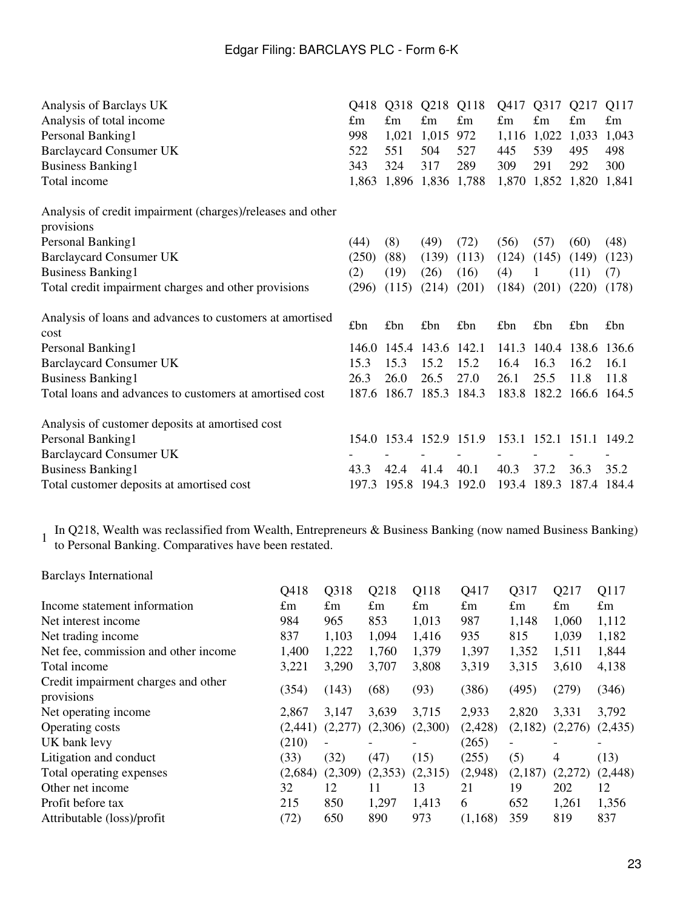| Analysis of Barclays UK                                                  | Q418        | Q318        | Q218                    | Q118        | Q417        | Q317                    | Q217              | Q117        |
|--------------------------------------------------------------------------|-------------|-------------|-------------------------|-------------|-------------|-------------------------|-------------------|-------------|
| Analysis of total income                                                 | $\pounds$ m | $\pounds$ m | $\pounds$ m             | $\pounds$ m | $\pounds$ m | $\pounds$ m             | $\pounds$ m       | $\pounds$ m |
| Personal Banking1                                                        | 998         | 1,021       | 1,015                   | 972         | 1,116       | 1,022                   | 1,033             | 1,043       |
| <b>Barclaycard Consumer UK</b>                                           | 522         | 551         | 504                     | 527         | 445         | 539                     | 495               | 498         |
| <b>Business Banking1</b>                                                 | 343         | 324         | 317                     | 289         | 309         | 291                     | 292               | 300         |
| Total income                                                             | 1,863       | 1,896       |                         | 1,836 1,788 | 1,870       |                         | 1,852 1,820       | 1,841       |
| Analysis of credit impairment (charges)/releases and other<br>provisions |             |             |                         |             |             |                         |                   |             |
| Personal Banking1                                                        | (44)        | (8)         | (49)                    | (72)        | (56)        | (57)                    | (60)              | (48)        |
| <b>Barclaycard Consumer UK</b>                                           | (250)       | (88)        | (139)                   | (113)       | (124)       | (145)                   | (149)             | (123)       |
| <b>Business Banking1</b>                                                 | (2)         | (19)        | (26)                    | (16)        | (4)         |                         | (11)              | (7)         |
| Total credit impairment charges and other provisions                     | (296)       | (115)       | (214)                   | (201)       | (184)       | (201)                   | (220)             | (178)       |
| Analysis of loans and advances to customers at amortised<br>cost         | £bn         | £bn         | £bn                     | £bn         | £bn         | £bn                     | £bn               | £bn         |
| Personal Banking1                                                        | 146.0       | 145.4       | 143.6 142.1             |             | 141.3       |                         | 140.4 138.6 136.6 |             |
| <b>Barclaycard Consumer UK</b>                                           | 15.3        | 15.3        | 15.2                    | 15.2        | 16.4        | 16.3                    | 16.2              | 16.1        |
| <b>Business Banking1</b>                                                 | 26.3        | 26.0        | 26.5                    | 27.0        | 26.1        | 25.5                    | 11.8              | 11.8        |
| Total loans and advances to customers at amortised cost                  | 187.6       | 186.7       |                         | 185.3 184.3 |             | 183.8 182.2 166.6 164.5 |                   |             |
| Analysis of customer deposits at amortised cost                          |             |             |                         |             |             |                         |                   |             |
| Personal Banking1                                                        |             |             | 154.0 153.4 152.9 151.9 |             | 153.1       | 152.1 151.1             |                   | 149.2       |
| <b>Barclaycard Consumer UK</b>                                           |             |             |                         |             |             |                         |                   |             |
| <b>Business Banking1</b>                                                 | 43.3        | 42.4        | 41.4                    | 40.1        | 40.3        | 37.2                    | 36.3              | 35.2        |
| Total customer deposits at amortised cost                                | 197.3       |             | 195.8 194.3 192.0       |             | 193.4       | 189.3                   | 187.4 184.4       |             |

In Q218, Wealth was reclassified from Wealth, Entrepreneurs & Business Banking (now named Business Banking) to Personal Banking. Comparatives have been restated.

| <b>Barclays International</b>                     |             |             |             |             |             |                          |                          |             |
|---------------------------------------------------|-------------|-------------|-------------|-------------|-------------|--------------------------|--------------------------|-------------|
|                                                   | Q418        | Q318        | Q218        | Q118        | Q417        | Q317                     | Q217                     | Q117        |
| Income statement information                      | $\pounds$ m | $\pounds$ m | $\pounds$ m | $\pounds$ m | $\pounds$ m | $\pounds$ m              | $\pounds$ m              | $\pounds$ m |
| Net interest income                               | 984         | 965         | 853         | 1,013       | 987         | 1,148                    | 1,060                    | 1,112       |
| Net trading income                                | 837         | 1,103       | 1,094       | 1,416       | 935         | 815                      | 1,039                    | 1,182       |
| Net fee, commission and other income              | 1,400       | 1,222       | 1,760       | 1,379       | 1,397       | 1,352                    | 1,511                    | 1,844       |
| Total income                                      | 3,221       | 3,290       | 3,707       | 3,808       | 3,319       | 3,315                    | 3,610                    | 4,138       |
| Credit impairment charges and other<br>provisions | (354)       | (143)       | (68)        | (93)        | (386)       | (495)                    | (279)                    | (346)       |
| Net operating income                              | 2,867       | 3.147       | 3,639       | 3,715       | 2,933       | 2,820                    | 3,331                    | 3,792       |
| Operating costs                                   | (2, 441)    | (2,277)     | (2,306)     | (2,300)     | (2,428)     | (2,182)                  | (2,276)                  | (2,435)     |
| UK bank levy                                      | (210)       |             |             |             | (265)       | $\overline{\phantom{0}}$ | $\overline{\phantom{a}}$ |             |
| Litigation and conduct                            | (33)        | (32)        | (47)        | (15)        | (255)       | (5)                      | $\overline{4}$           | (13)        |
| Total operating expenses                          | (2,684)     | (2,309)     | (2,353)     | (2,315)     | (2,948)     | (2,187)                  | (2,272)                  | (2, 448)    |
| Other net income                                  | 32          | 12          | 11          | 13          | 21          | 19                       | 202                      | 12          |
| Profit before tax                                 | 215         | 850         | 1,297       | 1,413       | 6           | 652                      | 1,261                    | 1,356       |
| Attributable (loss)/profit                        | (72)        | 650         | 890         | 973         | (1,168)     | 359                      | 819                      | 837         |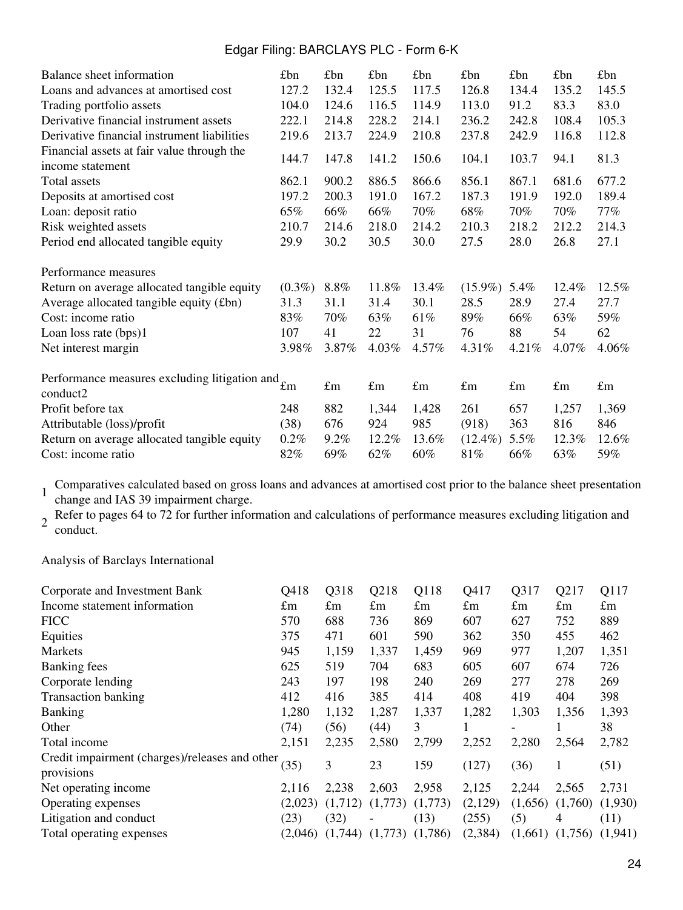| Balance sheet information                     | £bn       | £bn         | £bn         | £bn         | £bn         | £bn         | £bn         | £ <sub>bn</sub> |
|-----------------------------------------------|-----------|-------------|-------------|-------------|-------------|-------------|-------------|-----------------|
| Loans and advances at amortised cost          | 127.2     | 132.4       | 125.5       | 117.5       | 126.8       | 134.4       | 135.2       | 145.5           |
| Trading portfolio assets                      | 104.0     | 124.6       | 116.5       | 114.9       | 113.0       | 91.2        | 83.3        | 83.0            |
| Derivative financial instrument assets        | 222.1     | 214.8       | 228.2       | 214.1       | 236.2       | 242.8       | 108.4       | 105.3           |
| Derivative financial instrument liabilities   | 219.6     | 213.7       | 224.9       | 210.8       | 237.8       | 242.9       | 116.8       | 112.8           |
| Financial assets at fair value through the    |           |             |             |             |             |             |             |                 |
| income statement                              | 144.7     | 147.8       | 141.2       | 150.6       | 104.1       | 103.7       | 94.1        | 81.3            |
| Total assets                                  | 862.1     | 900.2       | 886.5       | 866.6       | 856.1       | 867.1       | 681.6       | 677.2           |
| Deposits at amortised cost                    | 197.2     | 200.3       | 191.0       | 167.2       | 187.3       | 191.9       | 192.0       | 189.4           |
| Loan: deposit ratio                           | 65%       | 66%         | 66%         | 70%         | 68%         | 70%         | 70%         | $77\%$          |
| Risk weighted assets                          | 210.7     | 214.6       | 218.0       | 214.2       | 210.3       | 218.2       | 212.2       | 214.3           |
| Period end allocated tangible equity          | 29.9      | 30.2        | 30.5        | 30.0        | 27.5        | 28.0        | 26.8        | 27.1            |
| Performance measures                          |           |             |             |             |             |             |             |                 |
| Return on average allocated tangible equity   | $(0.3\%)$ | $8.8\%$     | 11.8%       | 13.4%       | $(15.9\%)$  | 5.4%        | 12.4%       | 12.5%           |
| Average allocated tangible equity (£bn)       | 31.3      | 31.1        | 31.4        | 30.1        | 28.5        | 28.9        | 27.4        | 27.7            |
| Cost: income ratio                            | 83%       | 70%         | 63%         | 61%         | 89%         | 66%         | 63%         | 59%             |
| Loan loss rate (bps)1                         | 107       | 41          | 22          | 31          | 76          | 88          | 54          | 62              |
| Net interest margin                           | 3.98%     | 3.87%       | 4.03%       | 4.57%       | 4.31%       | $4.21\%$    | 4.07%       | 4.06%           |
| Performance measures excluding litigation and |           |             |             |             |             |             |             |                 |
| conduct2                                      | £m        | $\pounds$ m | $\pounds$ m | $\pounds$ m | $\pounds$ m | $\pounds$ m | $\pounds$ m | $\pounds$ m     |
| Profit before tax                             | 248       | 882         | 1,344       | 1,428       | 261         | 657         | 1,257       | 1,369           |
| Attributable (loss)/profit                    | (38)      | 676         | 924         | 985         | (918)       | 363         | 816         | 846             |
| Return on average allocated tangible equity   | 0.2%      | $9.2\%$     | 12.2%       | 13.6%       | $(12.4\%)$  | 5.5%        | 12.3%       | 12.6%           |
| Cost: income ratio                            | 82%       | 69%         | 62%         | $60\%$      | 81%         | 66%         | 63%         | 59%             |

1 Comparatives calculated based on gross loans and advances at amortised cost prior to the balance sheet presentation change and IAS 39 impairment charge.

2 Refer to pages 64 to 72 for further information and calculations of performance measures excluding litigation and conduct.

Analysis of Barclays International

| O418        | Q318                                           | Q218        | Q118        | Q417        | Q317        | Q217        | Q117        |
|-------------|------------------------------------------------|-------------|-------------|-------------|-------------|-------------|-------------|
| $\pounds$ m | $\pounds$ m                                    | $\pounds$ m | $\pounds$ m | $\pounds$ m | $\pounds$ m | $\pounds$ m | $\pounds$ m |
| 570         | 688                                            | 736         | 869         | 607         | 627         | 752         | 889         |
| 375         | 471                                            | 601         | 590         | 362         | 350         | 455         | 462         |
| 945         | 1,159                                          | 1,337       | 1,459       | 969         | 977         | 1,207       | 1,351       |
| 625         | 519                                            | 704         | 683         | 605         | 607         | 674         | 726         |
| 243         | 197                                            | 198         | 240         | 269         | 277         | 278         | 269         |
| 412         | 416                                            | 385         | 414         | 408         | 419         | 404         | 398         |
| 1,280       | 1,132                                          | 1,287       | 1,337       | 1,282       | 1,303       | 1,356       | 1,393       |
| (74)        | (56)                                           | (44)        | 3           |             |             |             | 38          |
| 2,151       | 2,235                                          | 2,580       | 2,799       | 2,252       | 2,280       | 2,564       | 2,782       |
| (35)        | 3                                              | 23          | 159         | (127)       | (36)        |             | (51)        |
| 2.116       | 2,238                                          | 2,603       | 2,958       | 2,125       | 2,244       | 2,565       | 2,731       |
| (2,023)     | (1,712)                                        | (1,773)     | (1,773)     | (2,129)     | (1,656)     | (1,760)     | (1,930)     |
| (23)        | (32)                                           |             | (13)        | (255)       | (5)         | 4           | (11)        |
| (2.046)     |                                                | (1,773)     | (1,786)     | (2, 384)    | (1,661)     | (1,756)     | (1,941)     |
|             | Credit impairment (charges)/releases and other |             | (1,744)     |             |             |             |             |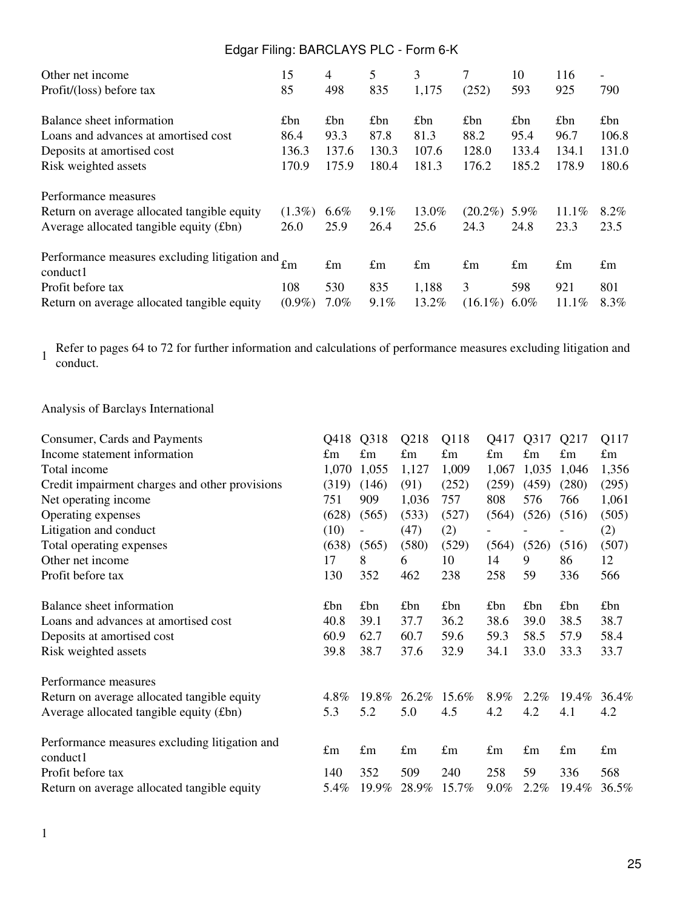| Other net income                                                         | 15        | 4           | 5           | 3           | 7           | 10          | 116         | $\overline{\phantom{a}}$ |
|--------------------------------------------------------------------------|-----------|-------------|-------------|-------------|-------------|-------------|-------------|--------------------------|
| Profit/(loss) before tax                                                 | 85        | 498         | 835         | 1,175       | (252)       | 593         | 925         | 790                      |
| Balance sheet information                                                | £bn       | £bn         | £bn         | £bn         | £bn         | £bn         | £bn         | £bn                      |
| Loans and advances at amortised cost                                     | 86.4      | 93.3        | 87.8        | 81.3        | 88.2        | 95.4        | 96.7        | 106.8                    |
| Deposits at amortised cost                                               | 136.3     | 137.6       | 130.3       | 107.6       | 128.0       | 133.4       | 134.1       | 131.0                    |
| Risk weighted assets                                                     | 170.9     | 175.9       | 180.4       | 181.3       | 176.2       | 185.2       | 178.9       | 180.6                    |
| Performance measures                                                     |           |             |             |             |             |             |             |                          |
| Return on average allocated tangible equity                              | $(1.3\%)$ | $6.6\%$     | $9.1\%$     | 13.0%       | $(20.2\%)$  | 5.9%        | 11.1%       | 8.2%                     |
| Average allocated tangible equity (£bn)                                  | 26.0      | 25.9        | 26.4        | 25.6        | 24.3        | 24.8        | 23.3        | 23.5                     |
| Performance measures excluding litigation and $_{\text{fm}}$<br>conduct1 |           | $\pounds$ m | $\pounds$ m | $\pounds$ m | $\pounds$ m | $\pounds$ m | $\pounds$ m | $\pounds$ m              |
| Profit before tax                                                        | 108       | 530         | 835         | 1,188       | 3           | 598         | 921         | 801                      |
| Return on average allocated tangible equity                              | $(0.9\%)$ | 7.0%        | $9.1\%$     | 13.2%       | $(16.1\%)$  | $6.0\%$     | 11.1%       | 8.3%                     |

1 Refer to pages 64 to 72 for further information and calculations of performance measures excluding litigation and conduct.

## Analysis of Barclays International

| Consumer, Cards and Payments                              | Q418        | Q318        | Q218        | Q118        | Q417        | Q317        | Q217        | Q117        |
|-----------------------------------------------------------|-------------|-------------|-------------|-------------|-------------|-------------|-------------|-------------|
| Income statement information                              | $\pounds$ m | $\pounds$ m | $\pounds$ m | $\pounds$ m | £m          | $\pounds$ m | £m          | $\pounds$ m |
| Total income                                              | 1,070       | 1,055       | 1,127       | 1,009       | 1,067       | 1,035       | 1,046       | 1,356       |
| Credit impairment charges and other provisions            | (319)       | (146)       | (91)        | (252)       | (259)       | (459)       | (280)       | (295)       |
| Net operating income                                      | 751         | 909         | 1,036       | 757         | 808         | 576         | 766         | 1,061       |
| Operating expenses                                        | (628)       | (565)       | (533)       | (527)       | (564)       | (526)       | (516)       | (505)       |
| Litigation and conduct                                    | (10)        |             | (47)        | (2)         |             |             |             | (2)         |
| Total operating expenses                                  | (638)       | (565)       | (580)       | (529)       | (564)       | (526)       | (516)       | (507)       |
| Other net income                                          | 17          | 8           | 6           | 10          | 14          | 9           | 86          | 12          |
| Profit before tax                                         | 130         | 352         | 462         | 238         | 258         | 59          | 336         | 566         |
| Balance sheet information                                 | £bn         | £bn         | £bn         | £bn         | £bn         | £bn         | £bn         | £bn         |
| Loans and advances at amortised cost                      | 40.8        | 39.1        | 37.7        | 36.2        | 38.6        | 39.0        | 38.5        | 38.7        |
| Deposits at amortised cost                                | 60.9        | 62.7        | 60.7        | 59.6        | 59.3        | 58.5        | 57.9        | 58.4        |
| Risk weighted assets                                      | 39.8        | 38.7        | 37.6        | 32.9        | 34.1        | 33.0        | 33.3        | 33.7        |
| Performance measures                                      |             |             |             |             |             |             |             |             |
| Return on average allocated tangible equity               | 4.8%        | 19.8%       | 26.2%       | 15.6%       | 8.9%        | $2.2\%$     | $19.4\%$    | 36.4%       |
| Average allocated tangible equity (£bn)                   | 5.3         | 5.2         | 5.0         | 4.5         | 4.2         | 4.2         | 4.1         | 4.2         |
| Performance measures excluding litigation and<br>conduct1 | $\pounds$ m | $\pounds$ m | $\pounds$ m | $\pounds$ m | $\pounds$ m | $\pounds$ m | $\pounds$ m | $\pounds$ m |
| Profit before tax                                         | 140         | 352         | 509         | 240         | 258         | 59          | 336         | 568         |
| Return on average allocated tangible equity               | 5.4%        | 19.9%       | 28.9%       | 15.7%       | 9.0%        | 2.2%        | 19.4%       | 36.5%       |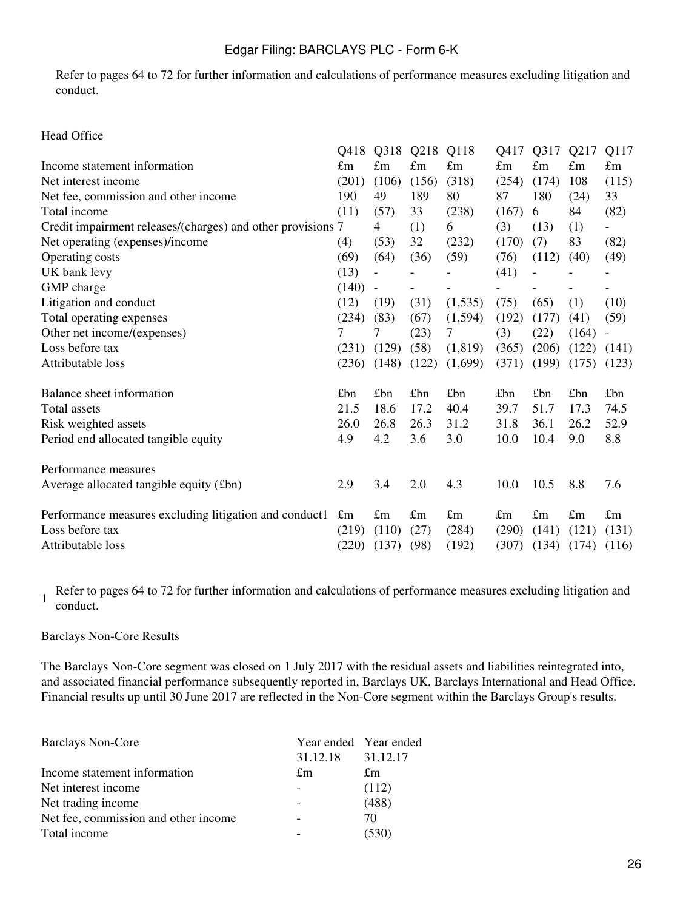Refer to pages 64 to 72 for further information and calculations of performance measures excluding litigation and conduct.

#### Head Office

|                                                             | Q418        | Q318        | Q218        | Q118        | Q417        | Q317        | Q217        | Q117                     |
|-------------------------------------------------------------|-------------|-------------|-------------|-------------|-------------|-------------|-------------|--------------------------|
| Income statement information                                | $\pounds$ m | £m          | $\pounds$ m | $\pounds$ m | $\pounds$ m | $\pounds$ m | $\pounds$ m | $\pounds$ m              |
| Net interest income                                         | (201)       | (106)       | (156)       | (318)       | (254)       | (174)       | 108         | (115)                    |
| Net fee, commission and other income                        | 190         | 49          | 189         | 80          | 87          | 180         | (24)        | 33                       |
| Total income                                                | (11)        | (57)        | 33          | (238)       | (167)       | 6           | 84          | (82)                     |
| Credit impairment releases/(charges) and other provisions 7 |             | 4           | (1)         | 6           | (3)         | (13)        | (1)         |                          |
| Net operating (expenses)/income                             | (4)         | (53)        | 32          | (232)       | (170)       | (7)         | 83          | (82)                     |
| Operating costs                                             | (69)        | (64)        | (36)        | (59)        | (76)        | (112)       | (40)        | (49)                     |
| UK bank levy                                                | (13)        |             |             |             | (41)        |             |             |                          |
| GMP charge                                                  | (140)       |             |             |             |             |             |             |                          |
| Litigation and conduct                                      | (12)        | (19)        | (31)        | (1,535)     | (75)        | (65)        | (1)         | (10)                     |
| Total operating expenses                                    | (234)       | (83)        | (67)        | (1,594)     | (192)       | (177)       | (41)        | (59)                     |
| Other net income/(expenses)                                 | 7           | 7           | (23)        | 7           | (3)         | (22)        | (164)       | $\overline{\phantom{a}}$ |
| Loss before tax                                             | (231)       | (129)       | (58)        | (1, 819)    | (365)       | (206)       | (122)       | (141)                    |
| Attributable loss                                           | (236)       | (148)       | (122)       | (1,699)     | (371)       | (199)       | (175)       | (123)                    |
| Balance sheet information                                   | £bn         | £bn         | £bn         | £bn         | £bn         | £bn         | £bn         | £bn                      |
| Total assets                                                | 21.5        | 18.6        | 17.2        | 40.4        | 39.7        | 51.7        | 17.3        | 74.5                     |
| Risk weighted assets                                        | 26.0        | 26.8        | 26.3        | 31.2        | 31.8        | 36.1        | 26.2        | 52.9                     |
| Period end allocated tangible equity                        | 4.9         | 4.2         | 3.6         | 3.0         | 10.0        | 10.4        | 9.0         | 8.8                      |
| Performance measures                                        |             |             |             |             |             |             |             |                          |
| Average allocated tangible equity (£bn)                     | 2.9         | 3.4         | 2.0         | 4.3         | 10.0        | 10.5        | 8.8         | 7.6                      |
| Performance measures excluding litigation and conduct1      | $\pounds$ m | $\pounds$ m | $\pounds$ m | $\pounds$ m | $\pounds$ m | $\pounds$ m | $\pounds$ m | $\pounds$ m              |
| Loss before tax                                             | (219)       | (110)       | (27)        | (284)       | (290)       | (141)       | (121)       | (131)                    |
| Attributable loss                                           | (220)       | (137)       | (98)        | (192)       | (307)       | (134)       | (174)       | (116)                    |

1 Refer to pages 64 to 72 for further information and calculations of performance measures excluding litigation and conduct.

#### Barclays Non-Core Results

The Barclays Non-Core segment was closed on 1 July 2017 with the residual assets and liabilities reintegrated into, and associated financial performance subsequently reported in, Barclays UK, Barclays International and Head Office. Financial results up until 30 June 2017 are reflected in the Non-Core segment within the Barclays Group's results.

| <b>Barclays Non-Core</b>             | Year ended Year ended |          |  |  |
|--------------------------------------|-----------------------|----------|--|--|
|                                      | 31.12.18              | 31.12.17 |  |  |
| Income statement information         | £m                    | £m       |  |  |
| Net interest income                  |                       | (112)    |  |  |
| Net trading income                   |                       | (488)    |  |  |
| Net fee, commission and other income |                       | 70       |  |  |
| Total income                         |                       | (530)    |  |  |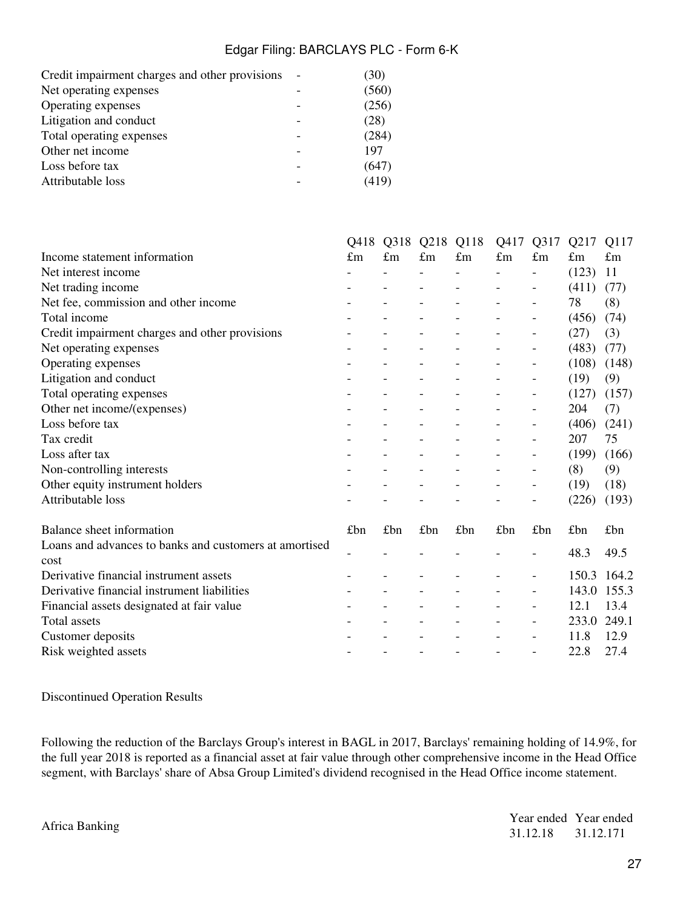| Credit impairment charges and other provisions | (30)  |
|------------------------------------------------|-------|
| Net operating expenses                         | (560) |
| Operating expenses                             | (256) |
| Litigation and conduct                         | (28)  |
| Total operating expenses                       | (284) |
| Other net income                               | 197   |
| Loss before tax                                | (647) |
| Attributable loss                              | (419) |
|                                                |       |

|                                                        | Q418        | Q318        | Q218        | Q118                     | Q417                     | Q317                         | Q217        | Q117        |
|--------------------------------------------------------|-------------|-------------|-------------|--------------------------|--------------------------|------------------------------|-------------|-------------|
| Income statement information                           | $\pounds$ m | $\pounds$ m | $\pounds$ m | $\pounds$ m              | $\pounds$ m              | £m                           | $\pounds$ m | $\pounds$ m |
| Net interest income                                    |             |             |             |                          | $\overline{a}$           |                              | (123)       | 11          |
| Net trading income                                     |             |             |             |                          |                          |                              | (411)       | (77)        |
| Net fee, commission and other income                   |             |             |             |                          |                          |                              | 78          | (8)         |
| Total income                                           |             |             |             |                          | $\overline{a}$           | $\overline{\phantom{0}}$     | (456)       | (74)        |
| Credit impairment charges and other provisions         |             |             |             |                          |                          |                              | (27)        | (3)         |
| Net operating expenses                                 |             |             |             |                          |                          |                              | (483)       | (77)        |
| Operating expenses                                     |             |             |             |                          | $\overline{a}$           | $\qquad \qquad \blacksquare$ | (108)       | (148)       |
| Litigation and conduct                                 |             |             |             |                          |                          |                              | (19)        | (9)         |
| Total operating expenses                               |             |             |             |                          |                          |                              | (127)       | (157)       |
| Other net income/(expenses)                            |             |             |             |                          | $\overline{\phantom{0}}$ | $\qquad \qquad \blacksquare$ | 204         | (7)         |
| Loss before tax                                        |             |             |             |                          |                          |                              | (406)       | (241)       |
| Tax credit                                             |             |             |             |                          |                          |                              | 207         | 75          |
| Loss after tax                                         |             |             |             |                          |                          | $\overline{\phantom{0}}$     | (199)       | (166)       |
| Non-controlling interests                              |             |             |             |                          |                          |                              | (8)         | (9)         |
| Other equity instrument holders                        |             |             |             |                          |                          |                              | (19)        | (18)        |
| Attributable loss                                      |             |             |             |                          |                          | $\qquad \qquad \blacksquare$ | (226)       | (193)       |
| Balance sheet information                              | £bn         | £bn         | £bn         | £bn                      | £bn                      | £bn                          | £bn         | £bn         |
| Loans and advances to banks and customers at amortised |             |             |             |                          |                          |                              | 48.3        | 49.5        |
| cost                                                   |             |             |             |                          |                          |                              |             |             |
| Derivative financial instrument assets                 |             |             |             |                          |                          |                              | 150.3       | 164.2       |
| Derivative financial instrument liabilities            |             |             |             |                          |                          |                              | 143.0       | 155.3       |
| Financial assets designated at fair value              |             |             |             |                          |                          | $\qquad \qquad \blacksquare$ | 12.1        | 13.4        |
| <b>Total assets</b>                                    |             |             |             |                          |                          | $\overline{\phantom{0}}$     | 233.0       | 249.1       |
| Customer deposits                                      |             |             |             |                          |                          |                              | 11.8        | 12.9        |
| Risk weighted assets                                   |             |             |             | $\overline{\phantom{a}}$ | $\overline{a}$           | $\overline{\phantom{a}}$     | 22.8        | 27.4        |

Discontinued Operation Results

Following the reduction of the Barclays Group's interest in BAGL in 2017, Barclays' remaining holding of 14.9%, for the full year 2018 is reported as a financial asset at fair value through other comprehensive income in the Head Office segment, with Barclays' share of Absa Group Limited's dividend recognised in the Head Office income statement.

Africa Banking<br>  $31.12.18$   $31.12.171$ 31.12.18 31.12.171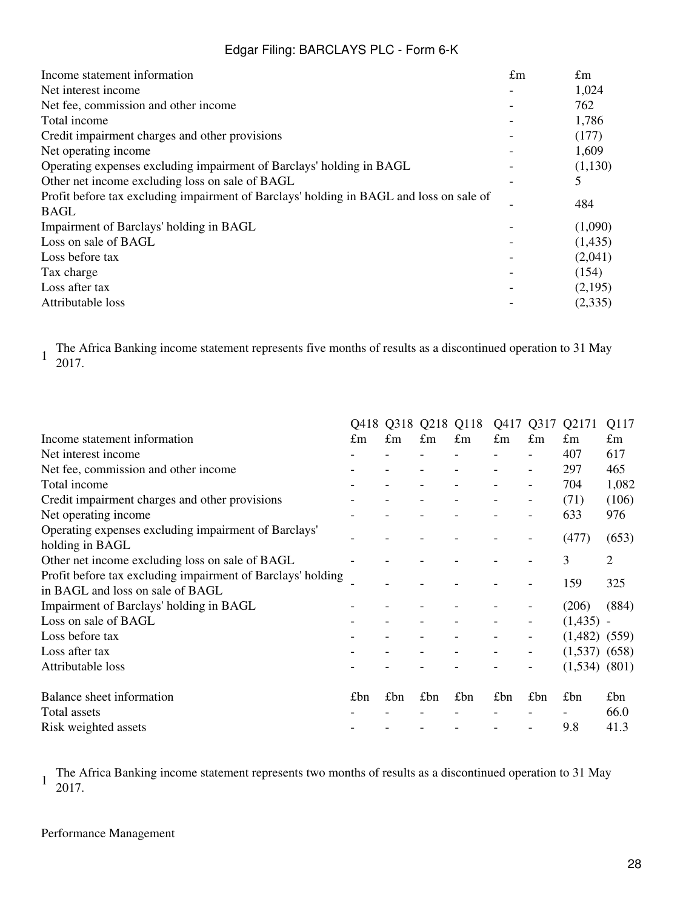| $\pounds$ m | $\pounds$ m |
|-------------|-------------|
|             | 1,024       |
|             | 762         |
|             | 1,786       |
|             | (177)       |
|             | 1,609       |
|             | (1,130)     |
|             |             |
|             | 484         |
|             |             |
|             | (1,090)     |
|             | (1,435)     |
|             | (2,041)     |
|             | (154)       |
|             | (2,195)     |
|             | (2,335)     |
|             |             |

1 The Africa Banking income statement represents five months of results as a discontinued operation to 31 May 2017.

|                                                                                                 | Q418        |             | Q318 Q218 Q118 |             | Q417        | Q317                     | Q2171             | Q117           |
|-------------------------------------------------------------------------------------------------|-------------|-------------|----------------|-------------|-------------|--------------------------|-------------------|----------------|
| Income statement information                                                                    | $\pounds$ m | $\pounds$ m | £m             | $\pounds$ m | $\pounds$ m | $\pounds$ m              | $\pounds$ m       | $\pounds$ m    |
| Net interest income                                                                             |             |             |                |             |             |                          | 407               | 617            |
| Net fee, commission and other income                                                            |             |             |                |             |             | -                        | 297               | 465            |
| Total income                                                                                    |             |             |                |             |             |                          | 704               | 1,082          |
| Credit impairment charges and other provisions                                                  |             |             |                |             |             | -                        | (71)              | (106)          |
| Net operating income                                                                            |             |             |                |             |             | $\overline{a}$           | 633               | 976            |
| Operating expenses excluding impairment of Barclays'<br>holding in BAGL                         |             |             |                |             |             |                          | (477)             | (653)          |
| Other net income excluding loss on sale of BAGL                                                 |             |             |                |             |             |                          | 3                 | $\overline{2}$ |
| Profit before tax excluding impairment of Barclays' holding<br>in BAGL and loss on sale of BAGL |             |             |                |             |             |                          | 159               | 325            |
| Impairment of Barclays' holding in BAGL                                                         |             |             |                |             |             |                          | (206)             | (884)          |
| Loss on sale of BAGL                                                                            |             |             |                |             |             | $\overline{\phantom{0}}$ | $(1,435)$ -       |                |
| Loss before tax                                                                                 |             |             |                |             |             | -                        | $(1,482)$ $(559)$ |                |
| Loss after tax                                                                                  |             |             |                |             |             | -                        | $(1,537)$ $(658)$ |                |
| Attributable loss                                                                               |             |             |                |             |             | -                        | (1,534)           | (801)          |
| Balance sheet information                                                                       | £bn         | £bn         | £bn            | £ $bn$      | £bn         | £bn                      | £bn               | £bn            |
| Total assets                                                                                    |             |             |                |             |             |                          |                   | 66.0           |
| Risk weighted assets                                                                            |             |             |                |             |             |                          | 9.8               | 41.3           |
|                                                                                                 |             |             |                |             |             |                          |                   |                |

1 The Africa Banking income statement represents two months of results as a discontinued operation to 31 May 2017.

#### Performance Management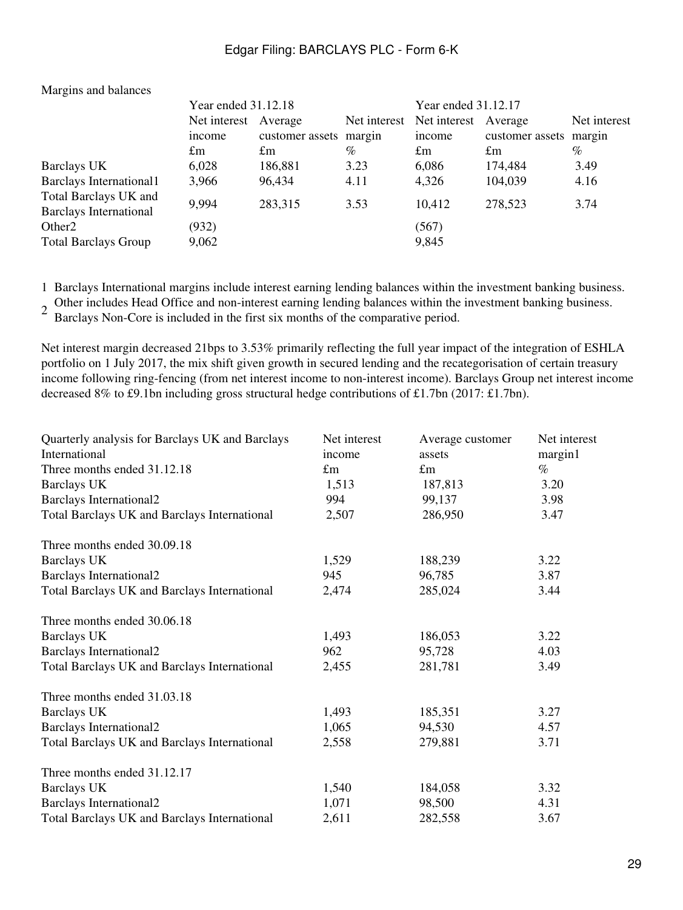|                                                        | Year ended 31.12.18  |                 |              | Year ended 31.12.17 |                        |              |  |  |
|--------------------------------------------------------|----------------------|-----------------|--------------|---------------------|------------------------|--------------|--|--|
|                                                        | Net interest Average |                 | Net interest | Net interest        | Average                | Net interest |  |  |
|                                                        | income               | customer assets | margin       | income              | customer assets margin |              |  |  |
|                                                        | $\pounds$ m          | $\pounds$ m     | $\%$         | $\pounds$ m         | $\pounds$ m            | %            |  |  |
| Barclays UK                                            | 6,028                | 186,881         | 3.23         | 6,086               | 174,484                | 3.49         |  |  |
| Barclays International1                                | 3,966                | 96,434          | 4.11         | 4,326               | 104,039                | 4.16         |  |  |
| Total Barclays UK and<br><b>Barclays International</b> | 9,994                | 283,315         | 3.53         | 10,412              | 278,523                | 3.74         |  |  |
| Other <sub>2</sub><br><b>Total Barclays Group</b>      | (932)<br>9,062       |                 |              | (567)<br>9,845      |                        |              |  |  |
|                                                        |                      |                 |              |                     |                        |              |  |  |

#### Margins and balances

1 Barclays International margins include interest earning lending balances within the investment banking business.

2 Other includes Head Office and non-interest earning lending balances within the investment banking business.

Barclays Non-Core is included in the first six months of the comparative period.

Net interest margin decreased 21bps to 3.53% primarily reflecting the full year impact of the integration of ESHLA portfolio on 1 July 2017, the mix shift given growth in secured lending and the recategorisation of certain treasury income following ring-fencing (from net interest income to non-interest income). Barclays Group net interest income decreased 8% to £9.1bn including gross structural hedge contributions of £1.7bn (2017: £1.7bn).

| Quarterly analysis for Barclays UK and Barclays | Net interest | Average customer | Net interest |
|-------------------------------------------------|--------------|------------------|--------------|
| International                                   | income       | assets           | margin1      |
| Three months ended 31.12.18                     | $\pounds$ m  | $\pounds$ m      | $\%$         |
| <b>Barclays UK</b>                              | 1,513        | 187,813          | 3.20         |
| <b>Barclays International2</b>                  | 994          | 99,137           | 3.98         |
| Total Barclays UK and Barclays International    | 2,507        | 286,950          | 3.47         |
| Three months ended 30.09.18                     |              |                  |              |
| <b>Barclays UK</b>                              | 1,529        | 188,239          | 3.22         |
| <b>Barclays International2</b>                  | 945          | 96,785           | 3.87         |
| Total Barclays UK and Barclays International    | 2,474        | 285,024          | 3.44         |
| Three months ended 30.06.18                     |              |                  |              |
| <b>Barclays UK</b>                              | 1,493        | 186,053          | 3.22         |
| <b>Barclays International2</b>                  | 962          | 95,728           | 4.03         |
| Total Barclays UK and Barclays International    | 2,455        | 281,781          | 3.49         |
| Three months ended 31.03.18                     |              |                  |              |
| <b>Barclays UK</b>                              | 1,493        | 185,351          | 3.27         |
| <b>Barclays International2</b>                  | 1,065        | 94,530           | 4.57         |
| Total Barclays UK and Barclays International    | 2,558        | 279,881          | 3.71         |
| Three months ended 31.12.17                     |              |                  |              |
| Barclays UK                                     | 1,540        | 184,058          | 3.32         |
| <b>Barclays International2</b>                  | 1,071        | 98,500           | 4.31         |
| Total Barclays UK and Barclays International    | 2,611        | 282,558          | 3.67         |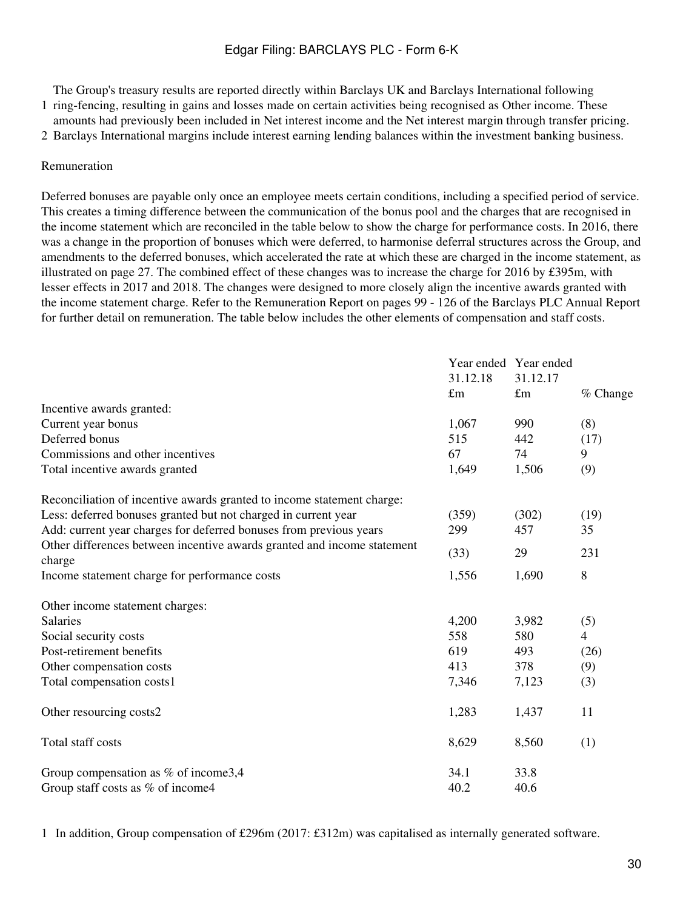The Group's treasury results are reported directly within Barclays UK and Barclays International following

1 ring-fencing, resulting in gains and losses made on certain activities being recognised as Other income. These amounts had previously been included in Net interest income and the Net interest margin through transfer pricing.

2 Barclays International margins include interest earning lending balances within the investment banking business.

#### Remuneration

Deferred bonuses are payable only once an employee meets certain conditions, including a specified period of service. This creates a timing difference between the communication of the bonus pool and the charges that are recognised in the income statement which are reconciled in the table below to show the charge for performance costs. In 2016, there was a change in the proportion of bonuses which were deferred, to harmonise deferral structures across the Group, and amendments to the deferred bonuses, which accelerated the rate at which these are charged in the income statement, as illustrated on page 27. The combined effect of these changes was to increase the charge for 2016 by £395m, with lesser effects in 2017 and 2018. The changes were designed to more closely align the incentive awards granted with the income statement charge. Refer to the Remuneration Report on pages 99 - 126 of the Barclays PLC Annual Report for further detail on remuneration. The table below includes the other elements of compensation and staff costs.

|                                                                                   | 31.12.18    | Year ended Year ended<br>31.12.17 |                |
|-----------------------------------------------------------------------------------|-------------|-----------------------------------|----------------|
|                                                                                   | $\pounds$ m | $\pounds$ m                       | % Change       |
| Incentive awards granted:                                                         |             |                                   |                |
| Current year bonus                                                                | 1,067       | 990                               | (8)            |
| Deferred bonus                                                                    | 515         | 442                               | (17)           |
| Commissions and other incentives                                                  | 67          | 74                                | 9              |
| Total incentive awards granted                                                    | 1,649       | 1,506                             | (9)            |
| Reconciliation of incentive awards granted to income statement charge:            |             |                                   |                |
| Less: deferred bonuses granted but not charged in current year                    | (359)       | (302)                             | (19)           |
| Add: current year charges for deferred bonuses from previous years                | 299         | 457                               | 35             |
| Other differences between incentive awards granted and income statement<br>charge | (33)        | 29                                | 231            |
| Income statement charge for performance costs                                     | 1,556       | 1,690                             | 8              |
| Other income statement charges:                                                   |             |                                   |                |
| <b>Salaries</b>                                                                   | 4,200       | 3,982                             | (5)            |
| Social security costs                                                             | 558         | 580                               | $\overline{4}$ |
| Post-retirement benefits                                                          | 619         | 493                               | (26)           |
| Other compensation costs                                                          | 413         | 378                               | (9)            |
| Total compensation costs1                                                         | 7,346       | 7,123                             | (3)            |
| Other resourcing costs2                                                           | 1,283       | 1,437                             | 11             |
| Total staff costs                                                                 | 8,629       | 8,560                             | (1)            |
| Group compensation as $%$ of income 3,4                                           | 34.1        | 33.8                              |                |
| Group staff costs as % of income4                                                 | 40.2        | 40.6                              |                |

1 In addition, Group compensation of £296m (2017: £312m) was capitalised as internally generated software.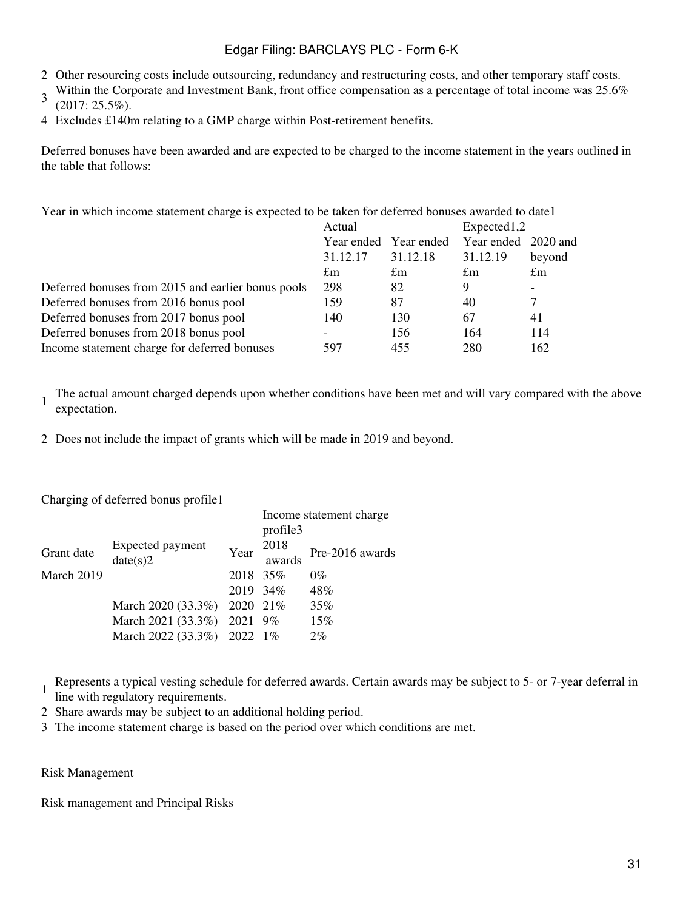- 2 Other resourcing costs include outsourcing, redundancy and restructuring costs, and other temporary staff costs.
- 3 Within the Corporate and Investment Bank, front office compensation as a percentage of total income was 25.6% (2017: 25.5%).
- 4 Excludes £140m relating to a GMP charge within Post-retirement benefits.

Deferred bonuses have been awarded and are expected to be charged to the income statement in the years outlined in the table that follows:

Year in which income statement charge is expected to be taken for deferred bonuses awarded to date1

| Actual      |             |             |                                    |  |
|-------------|-------------|-------------|------------------------------------|--|
| Year ended  |             |             |                                    |  |
| 31.12.17    | 31.12.18    | 31.12.19    | beyond                             |  |
| $\pounds$ m | $\pounds$ m | $\pounds$ m | $\pounds$ m                        |  |
| 298         | 82          | 9           | $\overline{\phantom{a}}$           |  |
| 159         | 87          | 40          | 7                                  |  |
| 140         | 130         | 67          | 41                                 |  |
|             | 156         | 164         | 114                                |  |
| 597         | 455         | 280         | 162                                |  |
|             |             | Year ended  | Expected1,2<br>Year ended 2020 and |  |

1 The actual amount charged depends upon whether conditions have been met and will vary compared with the above expectation.

2 Does not include the impact of grants which will be made in 2019 and beyond.

Charging of deferred bonus profile1

|            |                             |           | Income statement charge |                 |  |  |  |  |
|------------|-----------------------------|-----------|-------------------------|-----------------|--|--|--|--|
|            |                             |           | profile3                |                 |  |  |  |  |
| Grant date | Expected payment            | Year      | 2018                    | Pre-2016 awards |  |  |  |  |
|            | date(s)2                    |           | awards                  |                 |  |  |  |  |
| March 2019 |                             | 2018 35\% |                         | $0\%$           |  |  |  |  |
|            |                             | 2019 34\% |                         | 48%             |  |  |  |  |
|            | March 2020 (33.3%) 2020 21% |           |                         | 35%             |  |  |  |  |
|            | March 2021 $(33.3\%)$       | 2021 9%   |                         | 15%             |  |  |  |  |
|            | March 2022 (33.3%) 2022 1%  |           |                         | 2%              |  |  |  |  |
|            |                             |           |                         |                 |  |  |  |  |

1 Represents a typical vesting schedule for deferred awards. Certain awards may be subject to 5- or 7-year deferral in

- line with regulatory requirements.
- 2 Share awards may be subject to an additional holding period.
- 3 The income statement charge is based on the period over which conditions are met.

#### Risk Management

Risk management and Principal Risks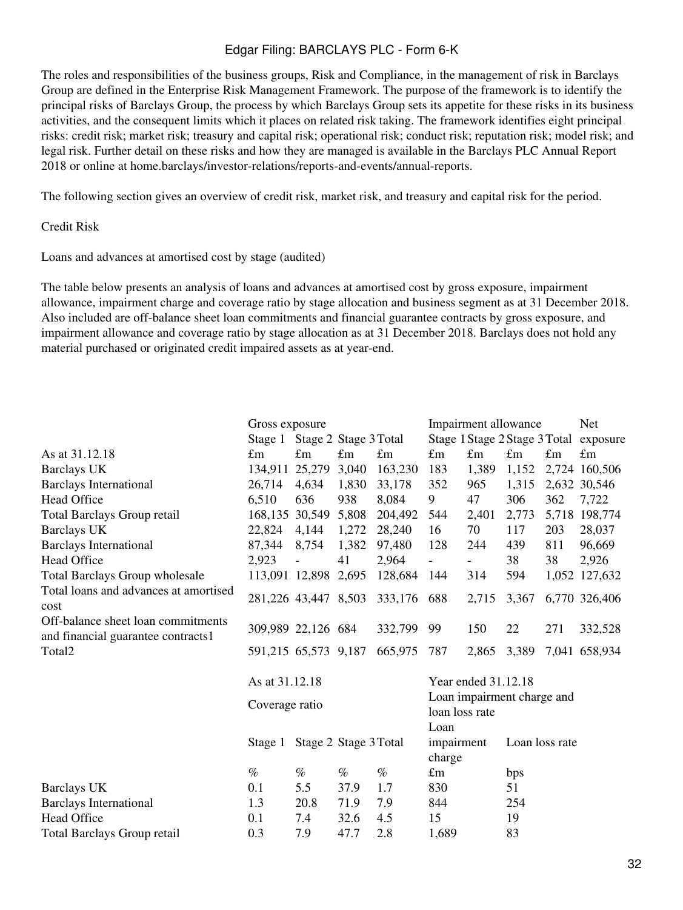The roles and responsibilities of the business groups, Risk and Compliance, in the management of risk in Barclays Group are defined in the Enterprise Risk Management Framework. The purpose of the framework is to identify the principal risks of Barclays Group, the process by which Barclays Group sets its appetite for these risks in its business activities, and the consequent limits which it places on related risk taking. The framework identifies eight principal risks: credit risk; market risk; treasury and capital risk; operational risk; conduct risk; reputation risk; model risk; and legal risk. Further detail on these risks and how they are managed is available in the Barclays PLC Annual Report 2018 or online at home.barclays/investor-relations/reports-and-events/annual-reports.

The following section gives an overview of credit risk, market risk, and treasury and capital risk for the period.

#### Credit Risk

Loans and advances at amortised cost by stage (audited)

The table below presents an analysis of loans and advances at amortised cost by gross exposure, impairment allowance, impairment charge and coverage ratio by stage allocation and business segment as at 31 December 2018. Also included are off-balance sheet loan commitments and financial guarantee contracts by gross exposure, and impairment allowance and coverage ratio by stage allocation as at 31 December 2018. Barclays does not hold any material purchased or originated credit impaired assets as at year-end.

|                                                                          | Gross exposure       |                       |             |             | Impairment allowance                         |             |                |             | Net.                                   |  |
|--------------------------------------------------------------------------|----------------------|-----------------------|-------------|-------------|----------------------------------------------|-------------|----------------|-------------|----------------------------------------|--|
|                                                                          | Stage 1              | Stage 2 Stage 3 Total |             |             |                                              |             |                |             | Stage 1 Stage 2 Stage 3 Total exposure |  |
| As at 31.12.18                                                           | $\pounds$ m          | $\pounds$ m           | $\pounds$ m | $\pounds$ m | $\pounds$ m                                  | $\pounds$ m | $\pounds$ m    | $\pounds$ m | $\pounds$ m                            |  |
| <b>Barclays UK</b>                                                       | 134,911 25,279       |                       | 3,040       | 163,230     | 183                                          | 1,389       | 1,152          |             | 2,724 160,506                          |  |
| <b>Barclays International</b>                                            | 26,714               | 4,634                 | 1,830       | 33,178      | 352                                          | 965         | 1,315          |             | 2,632 30,546                           |  |
| <b>Head Office</b>                                                       | 6,510                | 636                   | 938         | 8,084       | 9                                            | 47          | 306            | 362         | 7,722                                  |  |
| Total Barclays Group retail                                              | 168,135 30,549       |                       | 5,808       | 204,492     | 544                                          | 2,401       | 2,773          |             | 5,718 198,774                          |  |
| <b>Barclays UK</b>                                                       | 22,824               | 4,144                 | 1,272       | 28,240      | 16                                           | 70          | 117            | 203         | 28,037                                 |  |
| <b>Barclays International</b>                                            | 87,344               | 8,754                 | 1,382       | 97,480      | 128                                          | 244         | 439            | 811         | 96,669                                 |  |
| <b>Head Office</b>                                                       | 2,923                |                       | 41          | 2,964       |                                              |             | 38             | 38          | 2,926                                  |  |
| <b>Total Barclays Group wholesale</b>                                    |                      | 113,091 12,898 2,695  |             | 128,684     | 144                                          | 314         | 594            |             | 1,052 127,632                          |  |
| Total loans and advances at amortised<br>cost                            | 281,226 43,447 8,503 |                       |             | 333,176     | 688                                          | 2,715       | 3,367          |             | 6,770 326,406                          |  |
| Off-balance sheet loan commitments<br>and financial guarantee contracts1 |                      | 309,989 22,126 684    |             | 332,799     | 99                                           | 150         | 22             | 271         | 332,528                                |  |
| Total <sub>2</sub>                                                       |                      | 591,215 65,573 9,187  |             | 665,975     | 787                                          | 2,865       | 3,389          |             | 7,041 658,934                          |  |
|                                                                          | As at 31.12.18       |                       |             |             | Year ended 31.12.18                          |             |                |             |                                        |  |
|                                                                          | Coverage ratio       |                       |             |             | Loan impairment charge and<br>loan loss rate |             |                |             |                                        |  |
|                                                                          | Stage 1              | Stage 2 Stage 3 Total |             |             | Loan<br>impairment<br>charge                 |             | Loan loss rate |             |                                        |  |
|                                                                          | $\%$                 | $\%$                  | $\%$        | $\%$        | $\pounds$ m                                  |             | bps            |             |                                        |  |
| <b>Barclays UK</b>                                                       | 0.1                  | 5.5                   | 37.9        | 1.7         | 830                                          |             | 51             |             |                                        |  |
| <b>Barclays International</b>                                            | 1.3                  | 20.8                  | 71.9        | 7.9         | 844                                          |             | 254            |             |                                        |  |
| <b>Head Office</b>                                                       | 0.1                  | 7.4                   | 32.6        | 4.5         | 15                                           |             | 19             |             |                                        |  |
| <b>Total Barclays Group retail</b>                                       | 0.3                  | 7.9                   | 47.7        | 2.8         | 1,689                                        |             | 83             |             |                                        |  |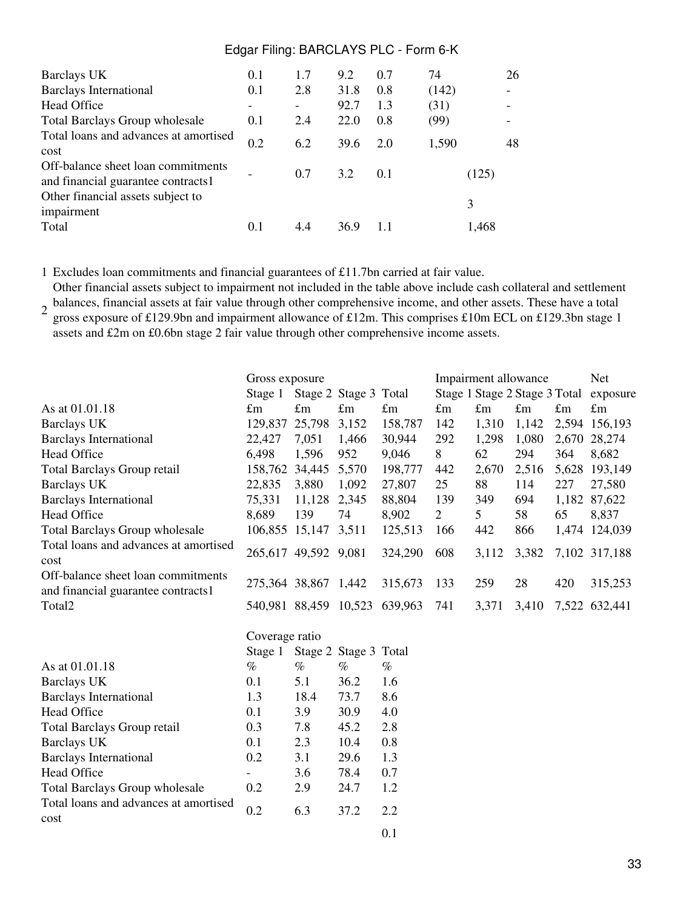| Barclays UK                                                              | 0.1 | 1.7 | 9.2  | 0.7 | 74    |       | 26                       |
|--------------------------------------------------------------------------|-----|-----|------|-----|-------|-------|--------------------------|
| <b>Barclays International</b>                                            | 0.1 | 2.8 | 31.8 | 0.8 | (142) |       | $\overline{\phantom{a}}$ |
| <b>Head Office</b>                                                       |     |     | 92.7 | 1.3 | (31)  |       |                          |
| <b>Total Barclays Group wholesale</b>                                    | 0.1 | 2.4 | 22.0 | 0.8 | (99)  |       |                          |
| Total loans and advances at amortised<br>cost                            | 0.2 | 6.2 | 39.6 | 2.0 | 1,590 |       | 48                       |
| Off-balance sheet loan commitments<br>and financial guarantee contracts1 |     | 0.7 | 3.2  | 0.1 |       | (125) |                          |
| Other financial assets subject to<br>impairment                          |     |     |      |     |       | 3     |                          |
| Total                                                                    | 0.1 | 4.4 | 36.9 |     |       | 1,468 |                          |

1 Excludes loan commitments and financial guarantees of £11.7bn carried at fair value.

2 balances, financial assets at fair value through other comprehensive income, and other assets. These have a total<br>2 grass synosure of 6120.0bp and imperiment allowance of 612m. This comprises 610m ECL on 6120.2bp stoce 1 Other financial assets subject to impairment not included in the table above include cash collateral and settlement gross exposure of £129.9bn and impairment allowance of £12m. This comprises £10m ECL on £129.3bn stage 1 assets and £2m on £0.6bn stage 2 fair value through other comprehensive income assets.

| As at 01.01.18                                                           | Gross exposure<br>Stage 1<br>Stage 2 Stage 3 Total<br>$\pounds$ m<br>$\pounds$ m<br>$\pounds$ m |              |                       | $\pounds$ m                   | Impairment allowance<br>Stage 1 Stage 2 Stage 3 Total exposure<br>$\pounds$ m<br>$\pounds$ m<br>$\pounds$ m<br>$\pounds$ m |                |       |     | Net<br>$\pounds$ m |  |
|--------------------------------------------------------------------------|-------------------------------------------------------------------------------------------------|--------------|-----------------------|-------------------------------|----------------------------------------------------------------------------------------------------------------------------|----------------|-------|-----|--------------------|--|
| <b>Barclays UK</b>                                                       | 129,837                                                                                         | 25,798 3,152 |                       | 158,787                       | 142                                                                                                                        | 1,310          | 1,142 |     | 2,594 156,193      |  |
| <b>Barclays International</b>                                            | 22,427                                                                                          | 7,051        | 1,466                 | 30,944                        | 292                                                                                                                        | 1,298          | 1,080 |     | 2,670 28,274       |  |
| <b>Head Office</b>                                                       | 6,498                                                                                           | 1,596        | 952                   | 9,046                         | 8                                                                                                                          | 62             | 294   | 364 | 8,682              |  |
| <b>Total Barclays Group retail</b>                                       | 158,762                                                                                         | 34,445       | 5,570                 | 198,777                       | 442                                                                                                                        | 2,670          | 2,516 |     | 5,628 193,149      |  |
| <b>Barclays UK</b>                                                       | 22,835                                                                                          | 3,880        | 1,092                 | 27,807                        | 25                                                                                                                         | 88             | 114   | 227 | 27,580             |  |
| <b>Barclays International</b>                                            | 75,331                                                                                          | 11,128 2,345 |                       | 88,804                        | 139                                                                                                                        | 349            | 694   |     | 1,182 87,622       |  |
| <b>Head Office</b>                                                       | 8,689                                                                                           | 139          | 74                    | 8,902                         | $\overline{2}$                                                                                                             | 5 <sup>1</sup> | 58    | 65  | 8,837              |  |
| <b>Total Barclays Group wholesale</b>                                    | 106,855 15,147 3,511                                                                            |              |                       | 125,513                       | 166                                                                                                                        | 442            | 866   |     | 1,474 124,039      |  |
| Total loans and advances at amortised<br>cost                            | 265,617 49,592 9,081                                                                            |              |                       | 324,290                       | 608                                                                                                                        | 3,112          | 3,382 |     | 7,102 317,188      |  |
| Off-balance sheet loan commitments<br>and financial guarantee contracts1 | 275,364 38,867 1,442                                                                            |              |                       | 315,673                       | 133                                                                                                                        | 259            | 28    | 420 | 315,253            |  |
| Total <sub>2</sub>                                                       |                                                                                                 |              |                       | 540,981 88,459 10,523 639,963 | 741                                                                                                                        | 3,371          | 3,410 |     | 7,522 632,441      |  |
|                                                                          | Coverage ratio                                                                                  |              |                       |                               |                                                                                                                            |                |       |     |                    |  |
|                                                                          | Stage 1                                                                                         |              | Stage 2 Stage 3 Total |                               |                                                                                                                            |                |       |     |                    |  |
| As at 01.01.18                                                           | $\%$                                                                                            | $\%$         | $\%$                  | $\%$                          |                                                                                                                            |                |       |     |                    |  |
| <b>Barclays UK</b>                                                       | 0.1                                                                                             | 5.1          | 36.2                  | 1.6                           |                                                                                                                            |                |       |     |                    |  |
| <b>Barclays International</b>                                            | 1.3                                                                                             | 18.4         | 73.7                  | 8.6                           |                                                                                                                            |                |       |     |                    |  |
| <b>Head Office</b>                                                       | 0.1                                                                                             | 3.9          | 30.9                  | 4.0                           |                                                                                                                            |                |       |     |                    |  |
| <b>Total Barclays Group retail</b>                                       | 0.3                                                                                             | 7.8          | 45.2                  | 2.8                           |                                                                                                                            |                |       |     |                    |  |
| <b>Barclays UK</b>                                                       | 0.1                                                                                             | 2.3          | 10.4                  | 0.8                           |                                                                                                                            |                |       |     |                    |  |
| <b>Barclays International</b>                                            | 0.2                                                                                             | 3.1          | 29.6                  | 1.3                           |                                                                                                                            |                |       |     |                    |  |
| <b>Head Office</b>                                                       | $\overline{\phantom{a}}$                                                                        | 3.6          | 78.4                  | 0.7                           |                                                                                                                            |                |       |     |                    |  |
| <b>Total Barclays Group wholesale</b>                                    | 0.2                                                                                             | 2.9          | 24.7                  | 1.2                           |                                                                                                                            |                |       |     |                    |  |
| Total loans and advances at amortised<br>cost                            | 0.2                                                                                             | 6.3          | 37.2                  | 2.2                           |                                                                                                                            |                |       |     |                    |  |
|                                                                          |                                                                                                 |              |                       | 0.1                           |                                                                                                                            |                |       |     |                    |  |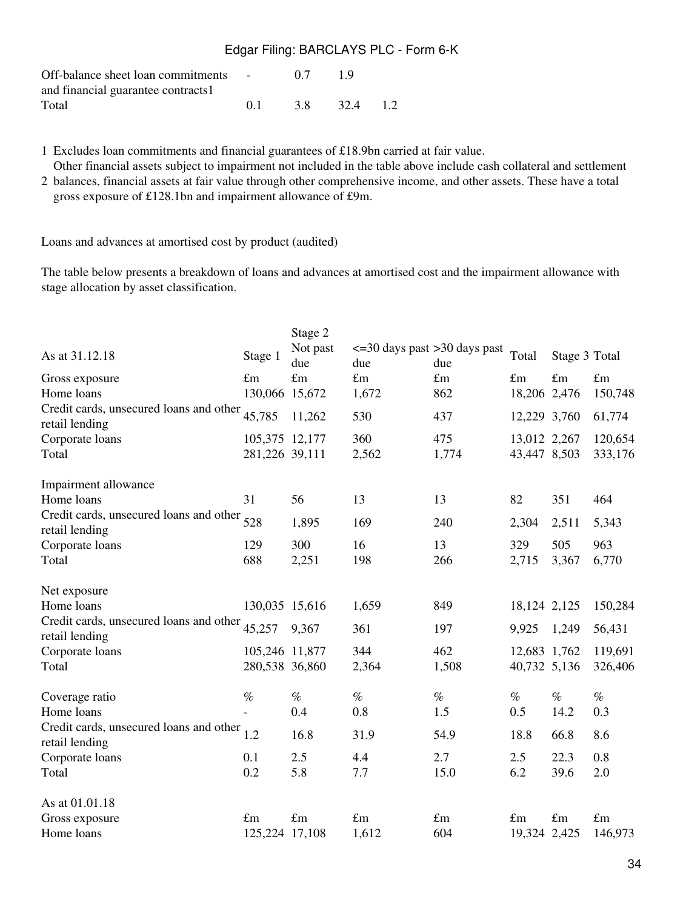| Off-balance sheet loan commitments - |    | 07 19 |              |  |
|--------------------------------------|----|-------|--------------|--|
| and financial guarantee contracts1   |    |       |              |  |
| Total                                | 01 |       | 3.8 32.4 1.2 |  |

1 Excludes loan commitments and financial guarantees of £18.9bn carried at fair value.

Other financial assets subject to impairment not included in the table above include cash collateral and settlement

2 balances, financial assets at fair value through other comprehensive income, and other assets. These have a total gross exposure of £128.1bn and impairment allowance of £9m.

Loans and advances at amortised cost by product (audited)

The table below presents a breakdown of loans and advances at amortised cost and the impairment allowance with stage allocation by asset classification.

| As at 31.12.18                                                | Stage 1        | Stage 2<br>Not past<br>due | $\epsilon$ =30 days past >30 days past<br>due | due         | Total        | Stage 3 Total |             |
|---------------------------------------------------------------|----------------|----------------------------|-----------------------------------------------|-------------|--------------|---------------|-------------|
| Gross exposure                                                | $\pounds$ m    | $\pounds$ m                | $\pounds$ m                                   | $\pounds$ m | $\pounds$ m  | $\pounds$ m   | $\pounds$ m |
| Home loans                                                    | 130,066 15,672 |                            | 1,672                                         | 862         | 18,206 2,476 |               | 150,748     |
| Credit cards, unsecured loans and other<br>retail lending     | 45,785         | 11,262                     | 530                                           | 437         | 12,229 3,760 |               | 61,774      |
| Corporate loans                                               | 105,375 12,177 |                            | 360                                           | 475         | 13,012 2,267 |               | 120,654     |
| Total                                                         | 281,226 39,111 |                            | 2,562                                         | 1,774       | 43,447 8,503 |               | 333,176     |
| Impairment allowance                                          |                |                            |                                               |             |              |               |             |
| Home loans                                                    | 31             | 56                         | 13                                            | 13          | 82           | 351           | 464         |
| Credit cards, unsecured loans and other 528<br>retail lending |                | 1,895                      | 169                                           | 240         | 2,304        | 2,511         | 5,343       |
| Corporate loans                                               | 129            | 300                        | 16                                            | 13          | 329          | 505           | 963         |
| Total                                                         | 688            | 2,251                      | 198                                           | 266         | 2,715        | 3,367         | 6,770       |
| Net exposure                                                  |                |                            |                                               |             |              |               |             |
| Home loans                                                    | 130,035 15,616 |                            | 1,659                                         | 849         | 18,124 2,125 |               | 150,284     |
| Credit cards, unsecured loans and other<br>retail lending     | 45,257         | 9,367                      | 361                                           | 197         | 9,925        | 1,249         | 56,431      |
| Corporate loans                                               | 105,246 11,877 |                            | 344                                           | 462         | 12,683 1,762 |               | 119,691     |
| Total                                                         | 280,538 36,860 |                            | 2,364                                         | 1,508       | 40,732 5,136 |               | 326,406     |
| Coverage ratio                                                | $\%$           | $\%$                       | $\%$                                          | $\%$        | $\%$         | $\%$          | $\%$        |
| Home loans                                                    |                | 0.4                        | 0.8                                           | 1.5         | 0.5          | 14.2          | 0.3         |
| Credit cards, unsecured loans and other<br>retail lending     | 1.2            | 16.8                       | 31.9                                          | 54.9        | 18.8         | 66.8          | 8.6         |
| Corporate loans                                               | 0.1            | 2.5                        | 4.4                                           | 2.7         | 2.5          | 22.3          | 0.8         |
| Total                                                         | 0.2            | 5.8                        | 7.7                                           | 15.0        | 6.2          | 39.6          | 2.0         |
| As at 01.01.18                                                |                |                            |                                               |             |              |               |             |
| Gross exposure                                                | $\pounds$ m    | $\pounds$ m                | $\pounds$ m                                   | $\pounds$ m | $\pounds$ m  | $\pounds$ m   | $\pounds$ m |
| Home loans                                                    | 125,224 17,108 |                            | 1,612                                         | 604         | 19,324 2,425 |               | 146,973     |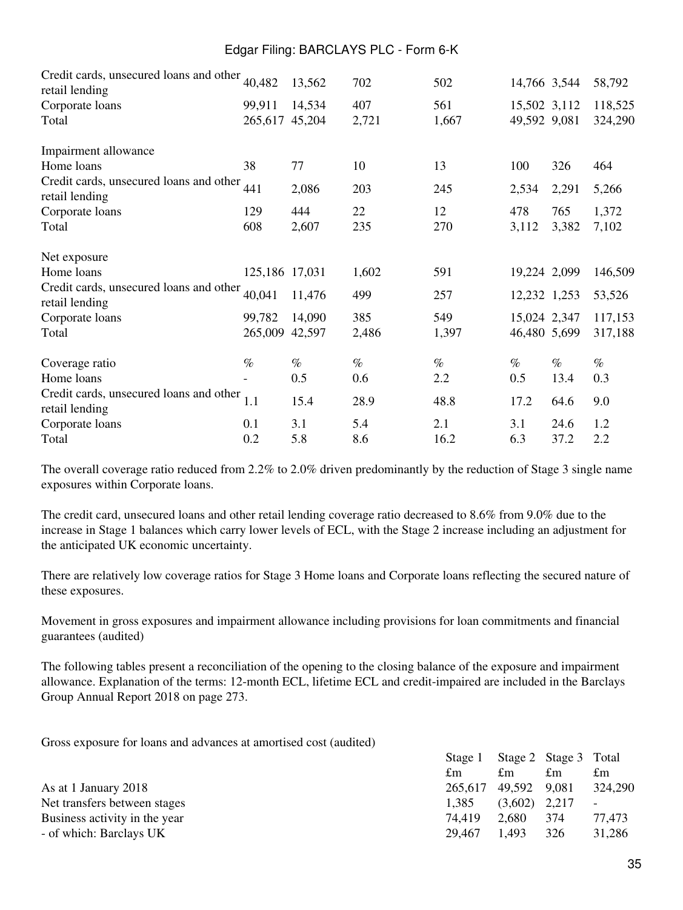| Credit cards, unsecured loans and other<br>retail lending | 40,482         | 13,562 | 702   | 502   | 14,766 3,544 |       | 58,792  |
|-----------------------------------------------------------|----------------|--------|-------|-------|--------------|-------|---------|
| Corporate loans                                           | 99,911         | 14,534 | 407   | 561   | 15,502 3,112 |       | 118,525 |
| Total                                                     | 265,617        | 45,204 | 2,721 | 1,667 | 49,592 9,081 |       | 324,290 |
| Impairment allowance                                      |                |        |       |       |              |       |         |
| Home loans                                                | 38             | 77     | 10    | 13    | 100          | 326   | 464     |
| Credit cards, unsecured loans and other<br>retail lending | 441            | 2,086  | 203   | 245   | 2,534        | 2,291 | 5,266   |
| Corporate loans                                           | 129            | 444    | 22    | 12    | 478          | 765   | 1,372   |
| Total                                                     | 608            | 2,607  | 235   | 270   | 3,112        | 3,382 | 7,102   |
| Net exposure                                              |                |        |       |       |              |       |         |
| Home loans                                                | 125,186 17,031 |        | 1,602 | 591   | 19,224 2,099 |       | 146,509 |
| Credit cards, unsecured loans and other<br>retail lending | 40,041         | 11,476 | 499   | 257   | 12,232 1,253 |       | 53,526  |
| Corporate loans                                           | 99,782         | 14,090 | 385   | 549   | 15,024 2,347 |       | 117,153 |
| Total                                                     | 265,009        | 42,597 | 2,486 | 1,397 | 46,480 5,699 |       | 317,188 |
| Coverage ratio                                            | $\%$           | $\%$   | $\%$  | $\%$  | $\%$         | $\%$  | $\%$    |
| Home loans                                                |                | 0.5    | 0.6   | 2.2   | 0.5          | 13.4  | 0.3     |
| Credit cards, unsecured loans and other<br>retail lending | 1.1            | 15.4   | 28.9  | 48.8  | 17.2         | 64.6  | 9.0     |
| Corporate loans                                           | 0.1            | 3.1    | 5.4   | 2.1   | 3.1          | 24.6  | 1.2     |
| Total                                                     | 0.2            | 5.8    | 8.6   | 16.2  | 6.3          | 37.2  | 2.2     |

The overall coverage ratio reduced from 2.2% to 2.0% driven predominantly by the reduction of Stage 3 single name exposures within Corporate loans.

The credit card, unsecured loans and other retail lending coverage ratio decreased to 8.6% from 9.0% due to the increase in Stage 1 balances which carry lower levels of ECL, with the Stage 2 increase including an adjustment for the anticipated UK economic uncertainty.

There are relatively low coverage ratios for Stage 3 Home loans and Corporate loans reflecting the secured nature of these exposures.

Movement in gross exposures and impairment allowance including provisions for loan commitments and financial guarantees (audited)

The following tables present a reconciliation of the opening to the closing balance of the exposure and impairment allowance. Explanation of the terms: 12-month ECL, lifetime ECL and credit-impaired are included in the Barclays Group Annual Report 2018 on page 273.

Gross exposure for loans and advances at amortised cost (audited)

|  | £m                                       | £m    | $\pounds$ m                                                                     |
|--|------------------------------------------|-------|---------------------------------------------------------------------------------|
|  |                                          |       | 324,290                                                                         |
|  |                                          |       | $\blacksquare$                                                                  |
|  |                                          |       | 77,473                                                                          |
|  | 1.493                                    | 326   | 31.286                                                                          |
|  | $\pounds$ m<br>1,385<br>74.419<br>29.467 | 2.680 | Stage 1 Stage 2 Stage 3 Total<br>265,617 49,592 9,081<br>$(3,602)$ 2,217<br>374 |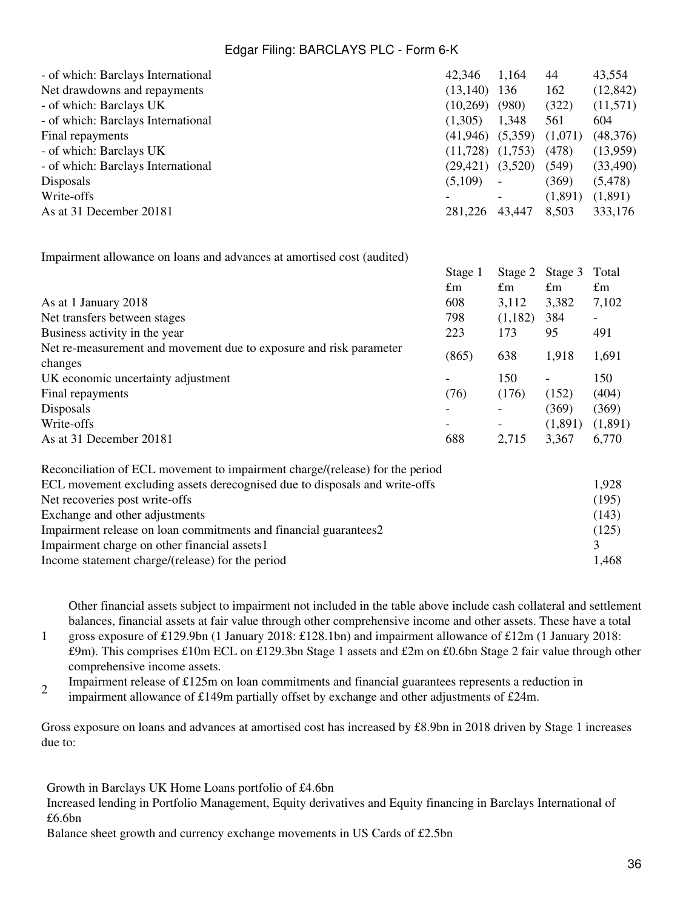| - of which: Barclays International                                           | 42,346                   | 1,164       | 44             | 43,554                   |
|------------------------------------------------------------------------------|--------------------------|-------------|----------------|--------------------------|
| Net drawdowns and repayments                                                 | (13, 140)                | 136         | 162            | (12, 842)                |
| - of which: Barclays UK                                                      | $(10,269)$ $(980)$       |             | (322)          | (11,571)                 |
| - of which: Barclays International                                           | (1,305)                  | 1,348       | 561            | 604                      |
| Final repayments                                                             | (41, 946)                | (5,359)     | (1,071)        | (48, 376)                |
| - of which: Barclays UK                                                      | $(11,728)$ $(1,753)$     |             | (478)          | (13,959)                 |
| - of which: Barclays International                                           | $(29,421)$ $(3,520)$     |             | (549)          | (33,490)                 |
| Disposals                                                                    | (5,109)                  |             | (369)          | (5, 478)                 |
| Write-offs                                                                   |                          |             | (1,891)        | (1,891)                  |
| As at 31 December 20181                                                      | 281,226 43,447           |             | 8,503          | 333,176                  |
| Impairment allowance on loans and advances at amortised cost (audited)       |                          |             |                |                          |
|                                                                              | Stage 1                  | Stage 2     | Stage 3        | Total                    |
|                                                                              | $\pounds$ m              | $\pounds$ m | $\pounds$ m    | $\pounds$ m              |
| As at 1 January 2018                                                         | 608                      | 3,112       | 3,382          | 7,102                    |
| Net transfers between stages                                                 | 798                      | (1,182)     | 384            | $\overline{\phantom{0}}$ |
| Business activity in the year                                                | 223                      | 173         | 95             | 491                      |
| Net re-measurement and movement due to exposure and risk parameter           |                          |             |                |                          |
| changes                                                                      | (865)                    | 638         | 1,918          | 1,691                    |
| UK economic uncertainty adjustment                                           |                          | 150         | $\blacksquare$ | 150                      |
| Final repayments                                                             | (76)                     | (176)       | (152)          | (404)                    |
| Disposals                                                                    |                          |             | (369)          | (369)                    |
| Write-offs                                                                   | $\overline{\phantom{0}}$ |             | (1,891)        | (1,891)                  |
| As at 31 December 20181                                                      | 688                      | 2,715       | 3,367          | 6,770                    |
| Reconciliation of ECL movement to impairment charge/(release) for the period |                          |             |                |                          |
| ECL movement excluding assets derecognised due to disposals and write-offs   |                          |             |                | 1,928                    |
| Net recoveries post write-offs                                               |                          |             |                | (195)                    |
| Exchange and other adjustments                                               |                          |             |                | (143)                    |
| Impairment release on loan commitments and financial guarantees2             |                          |             |                | (125)                    |
| Impairment charge on other financial assets1                                 |                          |             |                | 3                        |
| Income statement charge/(release) for the period                             |                          |             |                | 1,468                    |

Other financial assets subject to impairment not included in the table above include cash collateral and settlement balances, financial assets at fair value through other comprehensive income and other assets. These have a total

1 gross exposure of £129.9bn (1 January 2018: £128.1bn) and impairment allowance of £12m (1 January 2018: £9m). This comprises £10m ECL on £129.3bn Stage 1 assets and £2m on £0.6bn Stage 2 fair value through other comprehensive income assets.

2 Impairment release of  $£125m$  on loan commitments and financial guarantees represents a reduction in

impairment allowance of £149m partially offset by exchange and other adjustments of £24m.

Gross exposure on loans and advances at amortised cost has increased by £8.9bn in 2018 driven by Stage 1 increases due to:

Growth in Barclays UK Home Loans portfolio of £4.6bn

Increased lending in Portfolio Management, Equity derivatives and Equity financing in Barclays International of £6.6bn

Balance sheet growth and currency exchange movements in US Cards of £2.5bn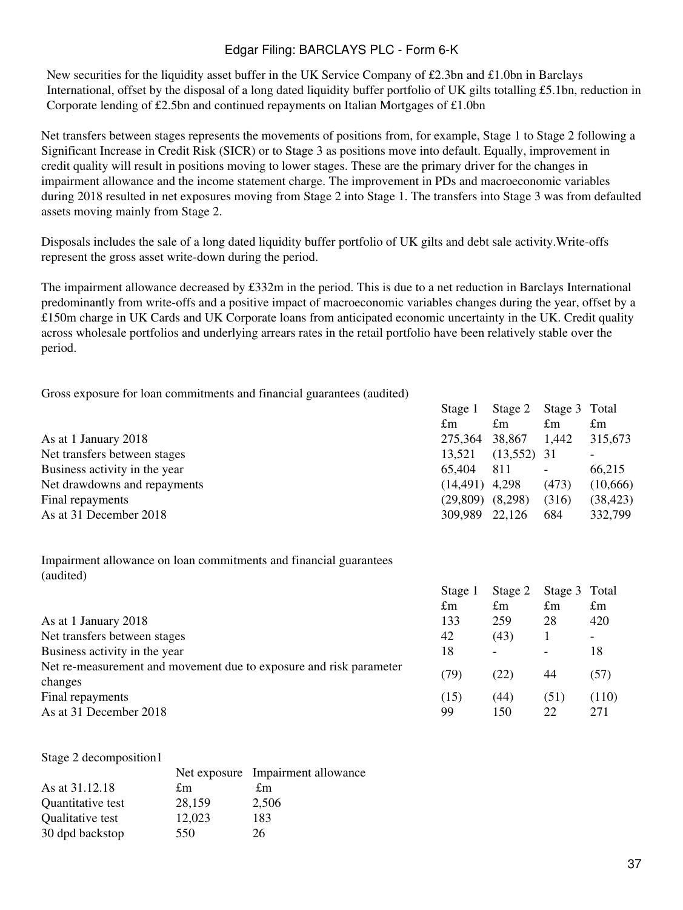New securities for the liquidity asset buffer in the UK Service Company of £2.3bn and £1.0bn in Barclays International, offset by the disposal of a long dated liquidity buffer portfolio of UK gilts totalling £5.1bn, reduction in Corporate lending of £2.5bn and continued repayments on Italian Mortgages of £1.0bn

Net transfers between stages represents the movements of positions from, for example, Stage 1 to Stage 2 following a Significant Increase in Credit Risk (SICR) or to Stage 3 as positions move into default. Equally, improvement in credit quality will result in positions moving to lower stages. These are the primary driver for the changes in impairment allowance and the income statement charge. The improvement in PDs and macroeconomic variables during 2018 resulted in net exposures moving from Stage 2 into Stage 1. The transfers into Stage 3 was from defaulted assets moving mainly from Stage 2.

Disposals includes the sale of a long dated liquidity buffer portfolio of UK gilts and debt sale activity.Write-offs represent the gross asset write-down during the period.

The impairment allowance decreased by  $\pounds 332m$  in the period. This is due to a net reduction in Barclays International predominantly from write-offs and a positive impact of macroeconomic variables changes during the year, offset by a £150m charge in UK Cards and UK Corporate loans from anticipated economic uncertainty in the UK. Credit quality across wholesale portfolios and underlying arrears rates in the retail portfolio have been relatively stable over the period.

Gross exposure for loan commitments and financial guarantees (audited)

|                               |  | Stage 1           | Stage 2       | Stage 3 Total            |             |
|-------------------------------|--|-------------------|---------------|--------------------------|-------------|
|                               |  | £m                | $\pounds$ m   | £m                       | $\pounds$ m |
| As at 1 January 2018          |  | 275,364           | 38,867        | 1,442                    | 315,673     |
| Net transfers between stages  |  | 13,521            | $(13,552)$ 31 |                          |             |
| Business activity in the year |  | 65,404            | 811           | $\overline{\phantom{a}}$ | 66,215      |
| Net drawdowns and repayments  |  | $(14, 491)$ 4,298 |               | (473)                    | (10,666)    |
| Final repayments              |  | (29,809)          | (8,298)       | (316)                    | (38, 423)   |
| As at 31 December 2018        |  | 309,989           | 22,126        | 684                      | 332,799     |
|                               |  |                   |               |                          |             |

Impairment allowance on loan commitments and financial guarantees (audited)

|                                                                               | $\pounds$ m | $\pounds$ m              | £m         | $\pounds$ m  |
|-------------------------------------------------------------------------------|-------------|--------------------------|------------|--------------|
| As at 1 January 2018                                                          | 133         | 259                      | 28         | 420          |
| Net transfers between stages                                                  | 42          | (43)                     |            |              |
| Business activity in the year                                                 | 18          | $\overline{\phantom{0}}$ |            | 18           |
| Net re-measurement and movement due to exposure and risk parameter<br>changes | (79)        | (22)                     | 44         | (57)         |
| Final repayments<br>As at 31 December 2018                                    | (15)<br>99  | (44)<br>150              | (51)<br>22 | (110)<br>271 |

| Stage 2 decomposition1 |        |                                   |
|------------------------|--------|-----------------------------------|
|                        |        | Net exposure Impairment allowance |
| As at 31.12.18         | £m     | £m                                |
| Quantitative test      | 28,159 | 2,506                             |
| Qualitative test       | 12,023 | 183                               |
| 30 dpd backstop        | 550    | 26                                |

Stage 1 Stage 2 Stage 3 Total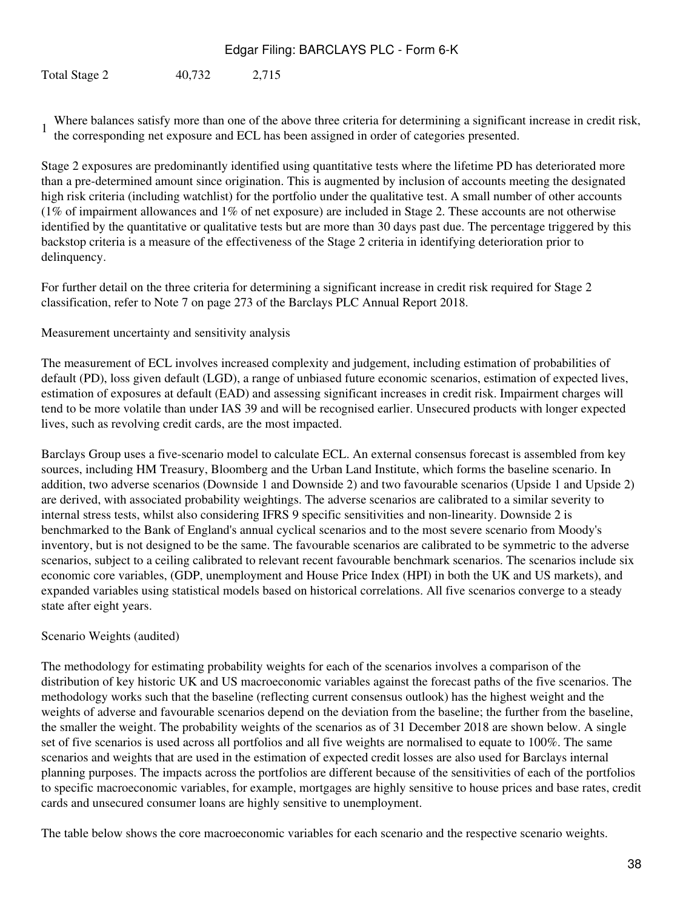Total Stage 2 40,732 2,715

1 Where balances satisfy more than one of the above three criteria for determining a significant increase in credit risk, the corresponding net exposure and ECL has been assigned in order of categories presented.

Stage 2 exposures are predominantly identified using quantitative tests where the lifetime PD has deteriorated more than a pre-determined amount since origination. This is augmented by inclusion of accounts meeting the designated high risk criteria (including watchlist) for the portfolio under the qualitative test. A small number of other accounts (1% of impairment allowances and 1% of net exposure) are included in Stage 2. These accounts are not otherwise identified by the quantitative or qualitative tests but are more than 30 days past due. The percentage triggered by this backstop criteria is a measure of the effectiveness of the Stage 2 criteria in identifying deterioration prior to delinquency.

For further detail on the three criteria for determining a significant increase in credit risk required for Stage 2 classification, refer to Note 7 on page 273 of the Barclays PLC Annual Report 2018.

### Measurement uncertainty and sensitivity analysis

The measurement of ECL involves increased complexity and judgement, including estimation of probabilities of default (PD), loss given default (LGD), a range of unbiased future economic scenarios, estimation of expected lives, estimation of exposures at default (EAD) and assessing significant increases in credit risk. Impairment charges will tend to be more volatile than under IAS 39 and will be recognised earlier. Unsecured products with longer expected lives, such as revolving credit cards, are the most impacted.

Barclays Group uses a five-scenario model to calculate ECL. An external consensus forecast is assembled from key sources, including HM Treasury, Bloomberg and the Urban Land Institute, which forms the baseline scenario. In addition, two adverse scenarios (Downside 1 and Downside 2) and two favourable scenarios (Upside 1 and Upside 2) are derived, with associated probability weightings. The adverse scenarios are calibrated to a similar severity to internal stress tests, whilst also considering IFRS 9 specific sensitivities and non-linearity. Downside 2 is benchmarked to the Bank of England's annual cyclical scenarios and to the most severe scenario from Moody's inventory, but is not designed to be the same. The favourable scenarios are calibrated to be symmetric to the adverse scenarios, subject to a ceiling calibrated to relevant recent favourable benchmark scenarios. The scenarios include six economic core variables, (GDP, unemployment and House Price Index (HPI) in both the UK and US markets), and expanded variables using statistical models based on historical correlations. All five scenarios converge to a steady state after eight years.

#### Scenario Weights (audited)

The methodology for estimating probability weights for each of the scenarios involves a comparison of the distribution of key historic UK and US macroeconomic variables against the forecast paths of the five scenarios. The methodology works such that the baseline (reflecting current consensus outlook) has the highest weight and the weights of adverse and favourable scenarios depend on the deviation from the baseline; the further from the baseline, the smaller the weight. The probability weights of the scenarios as of 31 December 2018 are shown below. A single set of five scenarios is used across all portfolios and all five weights are normalised to equate to 100%. The same scenarios and weights that are used in the estimation of expected credit losses are also used for Barclays internal planning purposes. The impacts across the portfolios are different because of the sensitivities of each of the portfolios to specific macroeconomic variables, for example, mortgages are highly sensitive to house prices and base rates, credit cards and unsecured consumer loans are highly sensitive to unemployment.

The table below shows the core macroeconomic variables for each scenario and the respective scenario weights.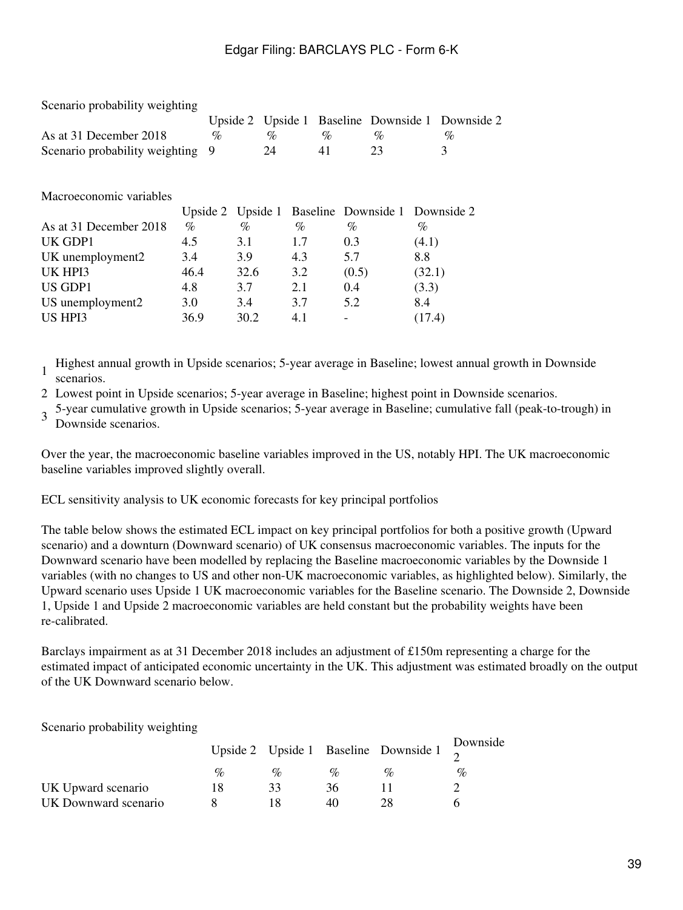|      | $\%$                                                             |               |      | $\%$       | $\%$                     |        | %                                                                         |
|------|------------------------------------------------------------------|---------------|------|------------|--------------------------|--------|---------------------------------------------------------------------------|
|      |                                                                  |               |      | 41         | 23                       |        | 3                                                                         |
|      |                                                                  |               |      |            |                          |        |                                                                           |
|      |                                                                  |               |      |            |                          |        |                                                                           |
|      |                                                                  |               |      |            |                          |        |                                                                           |
|      |                                                                  |               |      |            |                          |        |                                                                           |
| $\%$ |                                                                  | $\%$          | $\%$ |            | $\%$                     | $\%$   |                                                                           |
| 4.5  |                                                                  | 3.1           | 1.7  |            | 0.3                      | (4.1)  |                                                                           |
| 3.4  |                                                                  | 3.9           | 4.3  |            | 5.7                      | 8.8    |                                                                           |
| 46.4 |                                                                  | 32.6          | 3.2  |            | (0.5)                    | (32.1) |                                                                           |
| 4.8  |                                                                  | 3.7           | 2.1  |            | 0.4                      | (3.3)  |                                                                           |
| 3.0  |                                                                  | 3.4           | 3.7  |            | 5.2                      | 8.4    |                                                                           |
| 36.9 |                                                                  | 30.2          | 4.1  |            | $\overline{\phantom{0}}$ | (17.4) |                                                                           |
|      | Scenario probability weighting<br>Scenario probability weighting | 9<br>Upside 2 |      | $\%$<br>24 | Upside 2 Upside 1        |        | Baseline Downside 1 Downside 2<br>Upside 1 Baseline Downside 1 Downside 2 |

1 Highest annual growth in Upside scenarios; 5-year average in Baseline; lowest annual growth in Downside scenarios.

2 Lowest point in Upside scenarios; 5-year average in Baseline; highest point in Downside scenarios.

3 5-year cumulative growth in Upside scenarios; 5-year average in Baseline; cumulative fall (peak-to-trough) in Downside scenarios.

Over the year, the macroeconomic baseline variables improved in the US, notably HPI. The UK macroeconomic baseline variables improved slightly overall.

ECL sensitivity analysis to UK economic forecasts for key principal portfolios

The table below shows the estimated ECL impact on key principal portfolios for both a positive growth (Upward scenario) and a downturn (Downward scenario) of UK consensus macroeconomic variables. The inputs for the Downward scenario have been modelled by replacing the Baseline macroeconomic variables by the Downside 1 variables (with no changes to US and other non-UK macroeconomic variables, as highlighted below). Similarly, the Upward scenario uses Upside 1 UK macroeconomic variables for the Baseline scenario. The Downside 2, Downside 1, Upside 1 and Upside 2 macroeconomic variables are held constant but the probability weights have been re-calibrated.

Barclays impairment as at 31 December 2018 includes an adjustment of £150m representing a charge for the estimated impact of anticipated economic uncertainty in the UK. This adjustment was estimated broadly on the output of the UK Downward scenario below.

Scenario probability weighting

|                      |                 |                 |                             | Upside 2 Upside 1 Baseline Downside 1 $\frac{D}{2}$ | Downside |
|----------------------|-----------------|-----------------|-----------------------------|-----------------------------------------------------|----------|
|                      | $\mathcal{O}_D$ | $\mathcal{O}_D$ | $\mathcal{O}_{\mathcal{L}}$ | $\mathcal{O}_0$                                     | $\%$     |
| UK Upward scenario   | ιx              |                 | 36                          |                                                     |          |
| UK Downward scenario |                 |                 | 40                          |                                                     |          |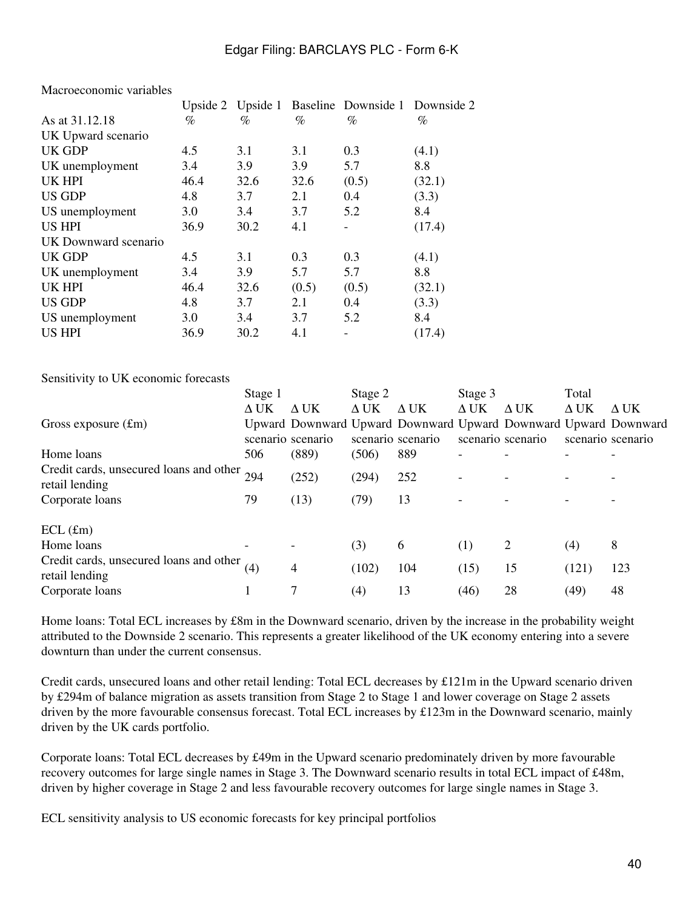|                      |      |      |       | Upside 2 Upside 1 Baseline Downside 1 Downside 2 |        |
|----------------------|------|------|-------|--------------------------------------------------|--------|
| As at 31.12.18       | $\%$ | $\%$ | $\%$  | $\%$                                             | %      |
| UK Upward scenario   |      |      |       |                                                  |        |
| UK GDP               | 4.5  | 3.1  | 3.1   | 0.3                                              | (4.1)  |
| UK unemployment      | 3.4  | 3.9  | 3.9   | 5.7                                              | 8.8    |
| <b>UK HPI</b>        | 46.4 | 32.6 | 32.6  | (0.5)                                            | (32.1) |
| <b>US GDP</b>        | 4.8  | 3.7  | 2.1   | 0.4                                              | (3.3)  |
| US unemployment      | 3.0  | 3.4  | 3.7   | 5.2                                              | 8.4    |
| <b>US HPI</b>        | 36.9 | 30.2 | 4.1   |                                                  | (17.4) |
| UK Downward scenario |      |      |       |                                                  |        |
| UK GDP               | 4.5  | 3.1  | 0.3   | 0.3                                              | (4.1)  |
| UK unemployment      | 3.4  | 3.9  | 5.7   | 5.7                                              | 8.8    |
| <b>UK HPI</b>        | 46.4 | 32.6 | (0.5) | (0.5)                                            | (32.1) |
| <b>US GDP</b>        | 4.8  | 3.7  | 2.1   | 0.4                                              | (3.3)  |
| US unemployment      | 3.0  | 3.4  | 3.7   | 5.2                                              | 8.4    |
| <b>US HPI</b>        | 36.9 | 30.2 | 4.1   |                                                  | (17.4) |

Macroeconomic variables

Sensitivity to UK economic forecasts

|                                                           | Stage 1     |                   | Stage 2           |                                                                                      | Stage 3     |                   | Total       |                   |
|-----------------------------------------------------------|-------------|-------------------|-------------------|--------------------------------------------------------------------------------------|-------------|-------------------|-------------|-------------------|
|                                                           | $\Delta$ UK | $\Delta$ UK       | $\Delta$ UK       | $\Delta$ UK                                                                          | $\Delta$ UK | $\Delta$ UK       | $\Delta$ UK | $\Delta$ UK       |
| Gross exposure $(fm)$                                     |             | scenario scenario |                   | Upward Downward Upward Downward Upward Downward Upward Downward<br>scenario scenario |             | scenario scenario |             | scenario scenario |
| Home loans                                                | 506         | (889)             | (506)             | 889                                                                                  |             |                   |             |                   |
| Credit cards, unsecured loans and other<br>retail lending | 294         | (252)             | (294)             | 252                                                                                  |             |                   |             |                   |
| Corporate loans                                           | 79          | (13)              | (79)              | 13                                                                                   |             |                   |             |                   |
| $ECL$ (£m)                                                |             |                   |                   |                                                                                      |             |                   |             |                   |
| Home loans                                                |             |                   | (3)               | 6                                                                                    | (1)         | 2                 | (4)         | 8                 |
| Credit cards, unsecured loans and other<br>retail lending | (4)         | 4                 | (102)             | 104                                                                                  | (15)        | 15                | (121)       | 123               |
| Corporate loans                                           |             | 7                 | $\left( 4\right)$ | 13                                                                                   | (46)        | 28                | (49)        | 48                |

Home loans: Total ECL increases by £8m in the Downward scenario, driven by the increase in the probability weight attributed to the Downside 2 scenario. This represents a greater likelihood of the UK economy entering into a severe downturn than under the current consensus.

Credit cards, unsecured loans and other retail lending: Total ECL decreases by £121m in the Upward scenario driven by £294m of balance migration as assets transition from Stage 2 to Stage 1 and lower coverage on Stage 2 assets driven by the more favourable consensus forecast. Total ECL increases by £123m in the Downward scenario, mainly driven by the UK cards portfolio.

Corporate loans: Total ECL decreases by £49m in the Upward scenario predominately driven by more favourable recovery outcomes for large single names in Stage 3. The Downward scenario results in total ECL impact of £48m, driven by higher coverage in Stage 2 and less favourable recovery outcomes for large single names in Stage 3.

ECL sensitivity analysis to US economic forecasts for key principal portfolios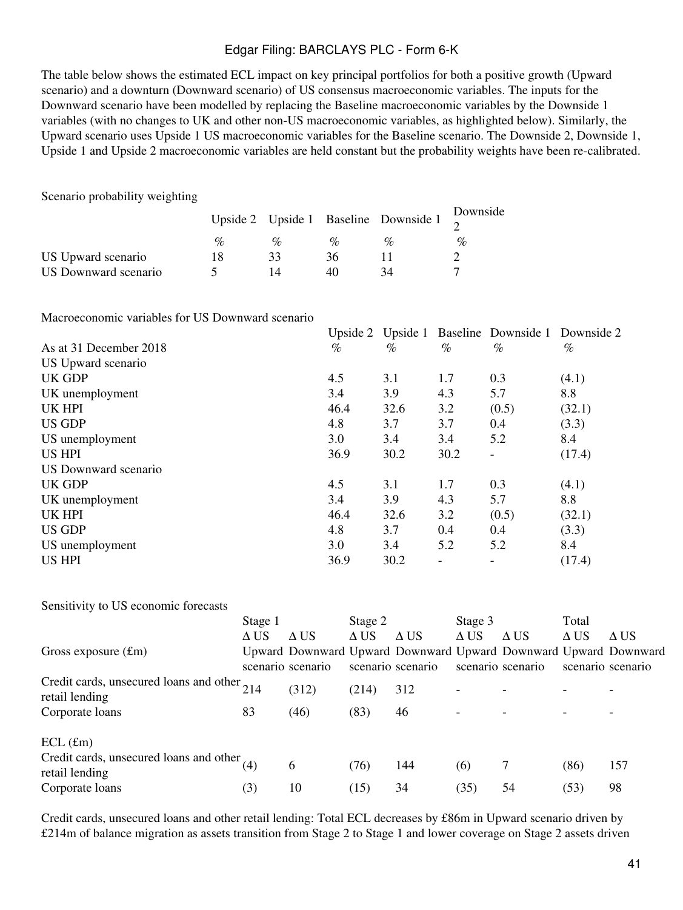The table below shows the estimated ECL impact on key principal portfolios for both a positive growth (Upward scenario) and a downturn (Downward scenario) of US consensus macroeconomic variables. The inputs for the Downward scenario have been modelled by replacing the Baseline macroeconomic variables by the Downside 1 variables (with no changes to UK and other non-US macroeconomic variables, as highlighted below). Similarly, the Upward scenario uses Upside 1 US macroeconomic variables for the Baseline scenario. The Downside 2, Downside 1, Upside 1 and Upside 2 macroeconomic variables are held constant but the probability weights have been re-calibrated.

Scenario probability weighting

|                      |      |                 |                             | Upside 2 Upside 1 Baseline Downside 1 $\frac{D}{2}$ | Downside |
|----------------------|------|-----------------|-----------------------------|-----------------------------------------------------|----------|
|                      | $\%$ | $\mathcal{G}_0$ | $\mathcal{O}_{\mathcal{L}}$ | $\mathcal{O}_0$                                     | $\%$     |
| US Upward scenario   | 18   | 33              | 36                          |                                                     |          |
| US Downward scenario |      |                 | 40                          | 34                                                  |          |

Macroeconomic variables for US Downward scenario

|                        | Upside 2 Upside 1 |      |      | Baseline Downside 1      | Downside 2 |
|------------------------|-------------------|------|------|--------------------------|------------|
| As at 31 December 2018 | $\%$              | $\%$ | $\%$ | $\%$                     | $\%$       |
| US Upward scenario     |                   |      |      |                          |            |
| UK GDP                 | 4.5               | 3.1  | 1.7  | 0.3                      | (4.1)      |
| UK unemployment        | 3.4               | 3.9  | 4.3  | 5.7                      | 8.8        |
| UK HPI                 | 46.4              | 32.6 | 3.2  | (0.5)                    | (32.1)     |
| <b>US GDP</b>          | 4.8               | 3.7  | 3.7  | 0.4                      | (3.3)      |
| US unemployment        | 3.0               | 3.4  | 3.4  | 5.2                      | 8.4        |
| <b>US HPI</b>          | 36.9              | 30.2 | 30.2 | $\overline{\phantom{0}}$ | (17.4)     |
| US Downward scenario   |                   |      |      |                          |            |
| UK GDP                 | 4.5               | 3.1  | 1.7  | 0.3                      | (4.1)      |
| UK unemployment        | 3.4               | 3.9  | 4.3  | 5.7                      | 8.8        |
| UK HPI                 | 46.4              | 32.6 | 3.2  | (0.5)                    | (32.1)     |
| <b>US GDP</b>          | 4.8               | 3.7  | 0.4  | 0.4                      | (3.3)      |
| US unemployment        | 3.0               | 3.4  | 5.2  | 5.2                      | 8.4        |
| <b>US HPI</b>          | 36.9              | 30.2 |      |                          | (17.4)     |
|                        |                   |      |      |                          |            |

Sensitivity to US economic forecasts

|                                                                 | Stage 1     |                   | Stage 2     |                   | Stage 3     |                                                                                      | Total       |                   |
|-----------------------------------------------------------------|-------------|-------------------|-------------|-------------------|-------------|--------------------------------------------------------------------------------------|-------------|-------------------|
|                                                                 | $\Delta$ US | $\Delta$ US       | $\Delta$ US | $\Delta$ US       | $\Delta$ US | $\Delta$ US                                                                          | $\Delta$ US | $\Delta$ US       |
| Gross exposure $(fm)$                                           |             | scenario scenario |             | scenario scenario |             | Upward Downward Upward Downward Upward Downward Upward Downward<br>scenario scenario |             | scenario scenario |
| Credit cards, unsecured loans and other 214<br>retail lending   |             | (312)             | (214)       | 312               |             |                                                                                      |             |                   |
| Corporate loans                                                 | 83          | (46)              | (83)        | 46                |             |                                                                                      |             |                   |
| $ECL$ (£m)                                                      |             |                   |             |                   |             |                                                                                      |             |                   |
| Credit cards, unsecured loans and other $(4)$<br>retail lending |             | 6                 | (76)        | 144               | (6)         |                                                                                      | (86)        | 157               |
| Corporate loans                                                 | (3)         | 10                | (15)        | 34                | (35)        | 54                                                                                   | (53)        | 98                |

Credit cards, unsecured loans and other retail lending: Total ECL decreases by £86m in Upward scenario driven by £214m of balance migration as assets transition from Stage 2 to Stage 1 and lower coverage on Stage 2 assets driven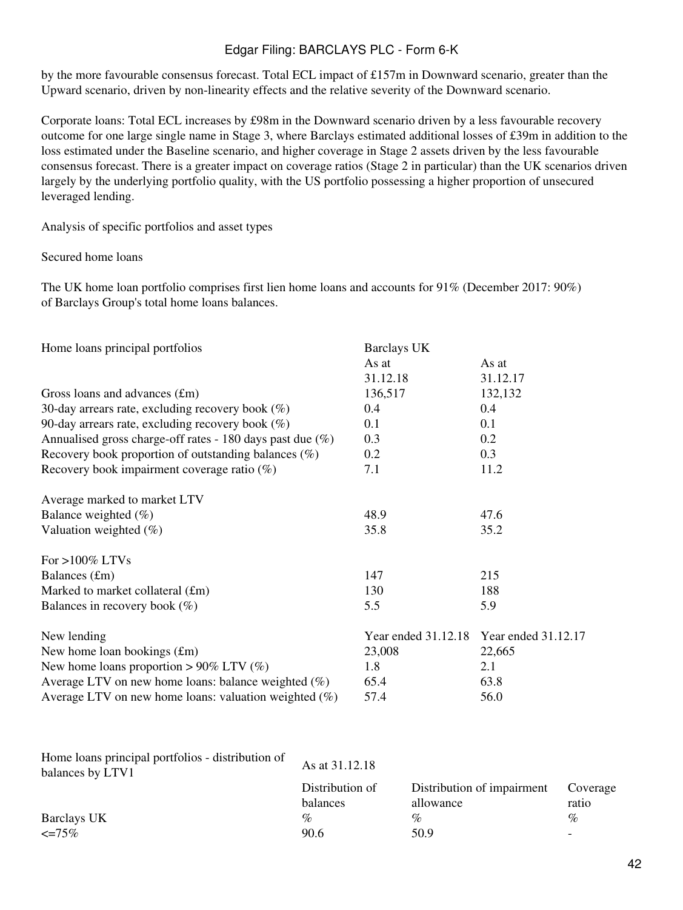by the more favourable consensus forecast. Total ECL impact of £157m in Downward scenario, greater than the Upward scenario, driven by non-linearity effects and the relative severity of the Downward scenario.

Corporate loans: Total ECL increases by £98m in the Downward scenario driven by a less favourable recovery outcome for one large single name in Stage 3, where Barclays estimated additional losses of £39m in addition to the loss estimated under the Baseline scenario, and higher coverage in Stage 2 assets driven by the less favourable consensus forecast. There is a greater impact on coverage ratios (Stage 2 in particular) than the UK scenarios driven largely by the underlying portfolio quality, with the US portfolio possessing a higher proportion of unsecured leveraged lending.

Analysis of specific portfolios and asset types

Secured home loans

The UK home loan portfolio comprises first lien home loans and accounts for 91% (December 2017: 90%) of Barclays Group's total home loans balances.

| As at                                   |
|-----------------------------------------|
|                                         |
| 31.12.17                                |
| 132,132                                 |
|                                         |
|                                         |
|                                         |
| 0.3                                     |
| 11.2                                    |
|                                         |
| 47.6                                    |
| 35.2                                    |
|                                         |
| 215                                     |
| 188                                     |
|                                         |
| Year ended 31.12.18 Year ended 31.12.17 |
| 22,665                                  |
|                                         |
| 63.8                                    |
|                                         |
|                                         |

| Home loans principal portfolios - distribution of<br>balances by LTV1 | As at 31.12.18              |                                         |                          |
|-----------------------------------------------------------------------|-----------------------------|-----------------------------------------|--------------------------|
|                                                                       | Distribution of<br>balances | Distribution of impairment<br>allowance | Coverage<br>ratio        |
| Barclays UK                                                           | $\%$                        | $\%$                                    | $\%$                     |
| $\epsilon = 75\%$                                                     | 90.6                        | 50.9                                    | $\overline{\phantom{0}}$ |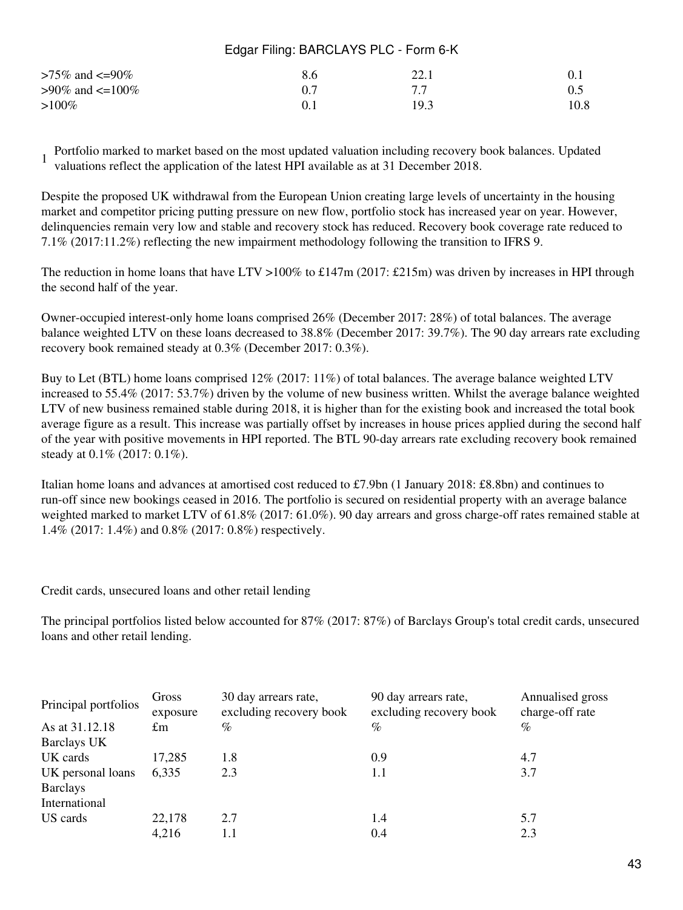| >75% and <=90%  | 8.6 | 22.1 |      |
|-----------------|-----|------|------|
| >90% and <=100% |     | 77   |      |
| $>100\%$        |     | 19.3 | 10.8 |

1 Portfolio marked to market based on the most updated valuation including recovery book balances. Updated valuations reflect the application of the latest HPI available as at 31 December 2018.

Despite the proposed UK withdrawal from the European Union creating large levels of uncertainty in the housing market and competitor pricing putting pressure on new flow, portfolio stock has increased year on year. However, delinquencies remain very low and stable and recovery stock has reduced. Recovery book coverage rate reduced to 7.1% (2017:11.2%) reflecting the new impairment methodology following the transition to IFRS 9.

The reduction in home loans that have LTV >100% to £147m (2017: £215m) was driven by increases in HPI through the second half of the year.

Owner-occupied interest-only home loans comprised 26% (December 2017: 28%) of total balances. The average balance weighted LTV on these loans decreased to 38.8% (December 2017: 39.7%). The 90 day arrears rate excluding recovery book remained steady at 0.3% (December 2017: 0.3%).

Buy to Let (BTL) home loans comprised 12% (2017: 11%) of total balances. The average balance weighted LTV increased to 55.4% (2017: 53.7%) driven by the volume of new business written. Whilst the average balance weighted LTV of new business remained stable during 2018, it is higher than for the existing book and increased the total book average figure as a result. This increase was partially offset by increases in house prices applied during the second half of the year with positive movements in HPI reported. The BTL 90-day arrears rate excluding recovery book remained steady at 0.1% (2017: 0.1%).

Italian home loans and advances at amortised cost reduced to £7.9bn (1 January 2018: £8.8bn) and continues to run-off since new bookings ceased in 2016. The portfolio is secured on residential property with an average balance weighted marked to market LTV of 61.8% (2017: 61.0%). 90 day arrears and gross charge-off rates remained stable at 1.4% (2017: 1.4%) and 0.8% (2017: 0.8%) respectively.

Credit cards, unsecured loans and other retail lending

The principal portfolios listed below accounted for 87% (2017: 87%) of Barclays Group's total credit cards, unsecured loans and other retail lending.

| Principal portfolios | Gross<br>exposure | 30 day arrears rate,<br>excluding recovery book | 90 day arrears rate,<br>excluding recovery book | Annualised gross<br>charge-off rate |
|----------------------|-------------------|-------------------------------------------------|-------------------------------------------------|-------------------------------------|
| As at 31.12.18       | £m                | $\%$                                            | $\%$                                            | $\%$                                |
| Barclays UK          |                   |                                                 |                                                 |                                     |
| UK cards             | 17,285            | 1.8                                             | 0.9                                             | 4.7                                 |
| UK personal loans    | 6,335             | 2.3                                             | 1.1                                             | 3.7                                 |
| <b>Barclays</b>      |                   |                                                 |                                                 |                                     |
| International        |                   |                                                 |                                                 |                                     |
| US cards             | 22,178            | 2.7                                             | 1.4                                             | 5.7                                 |
|                      | 4,216             | $1.1\,$                                         | 0.4                                             | 2.3                                 |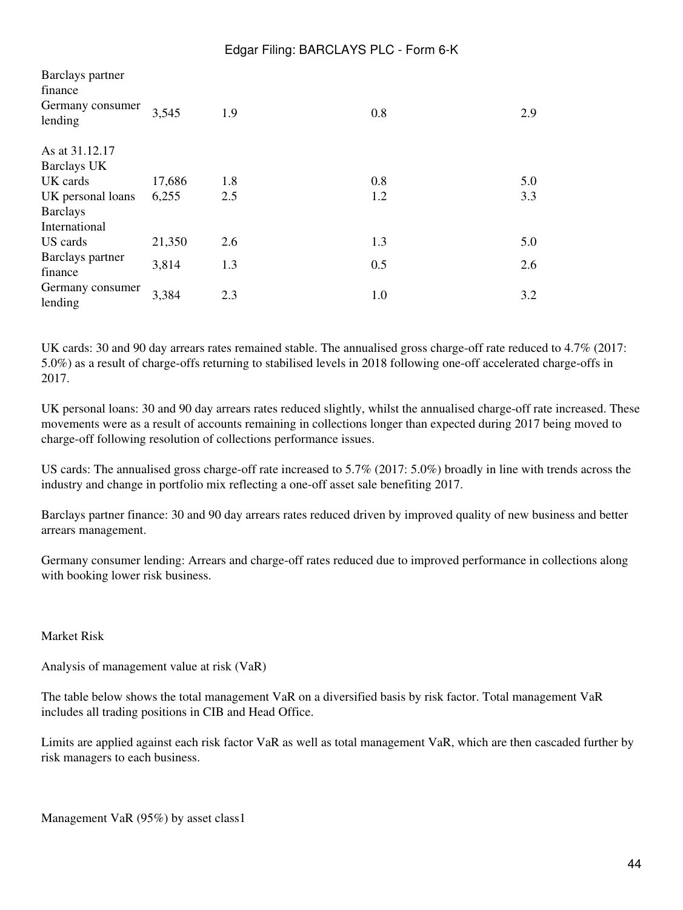| Barclays partner<br>finance |        |     |     |     |
|-----------------------------|--------|-----|-----|-----|
| Germany consumer<br>lending | 3,545  | 1.9 | 0.8 | 2.9 |
| As at 31.12.17              |        |     |     |     |
| <b>Barclays UK</b>          |        |     |     |     |
| UK cards                    | 17,686 | 1.8 | 0.8 | 5.0 |
| UK personal loans           | 6,255  | 2.5 | 1.2 | 3.3 |
| <b>Barclays</b>             |        |     |     |     |
| International               |        |     |     |     |
| US cards                    | 21,350 | 2.6 | 1.3 | 5.0 |
| Barclays partner            | 3,814  | 1.3 | 0.5 | 2.6 |
| finance                     |        |     |     |     |
| Germany consumer<br>lending | 3,384  | 2.3 | 1.0 | 3.2 |

UK cards: 30 and 90 day arrears rates remained stable. The annualised gross charge-off rate reduced to 4.7% (2017: 5.0%) as a result of charge-offs returning to stabilised levels in 2018 following one-off accelerated charge-offs in 2017.

UK personal loans: 30 and 90 day arrears rates reduced slightly, whilst the annualised charge-off rate increased. These movements were as a result of accounts remaining in collections longer than expected during 2017 being moved to charge-off following resolution of collections performance issues.

US cards: The annualised gross charge-off rate increased to 5.7% (2017: 5.0%) broadly in line with trends across the industry and change in portfolio mix reflecting a one-off asset sale benefiting 2017.

Barclays partner finance: 30 and 90 day arrears rates reduced driven by improved quality of new business and better arrears management.

Germany consumer lending: Arrears and charge-off rates reduced due to improved performance in collections along with booking lower risk business.

#### Market Risk

Analysis of management value at risk (VaR)

The table below shows the total management VaR on a diversified basis by risk factor. Total management VaR includes all trading positions in CIB and Head Office.

Limits are applied against each risk factor VaR as well as total management VaR, which are then cascaded further by risk managers to each business.

Management VaR (95%) by asset class1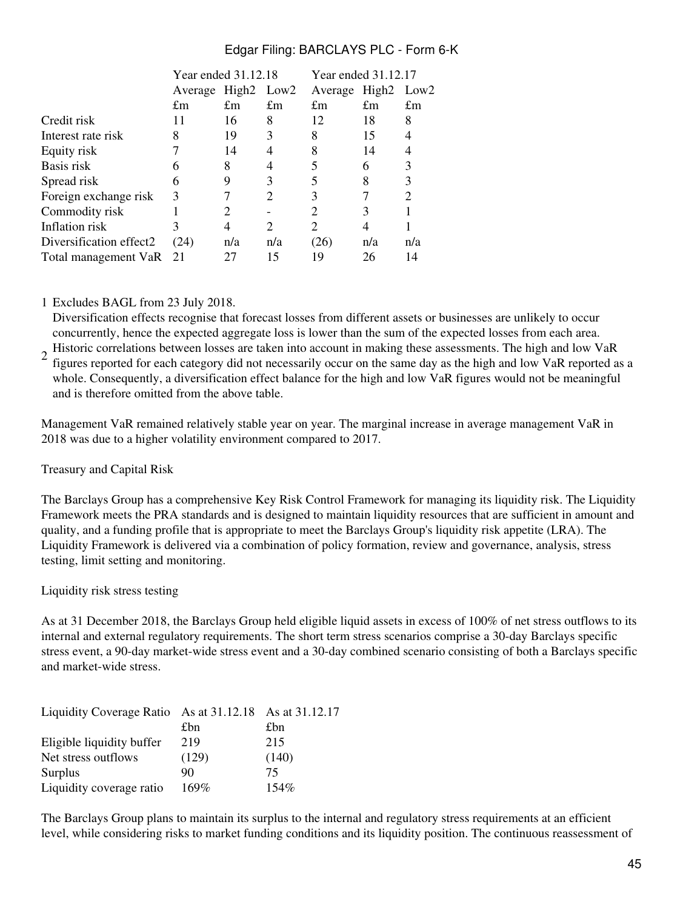|                         | Year ended 31.12.18 |                             |                             | Year ended 31.12.17 |                   |      |  |
|-------------------------|---------------------|-----------------------------|-----------------------------|---------------------|-------------------|------|--|
|                         | Average             | High <sub>2</sub>           | Low <sub>2</sub>            | Average             | High <sub>2</sub> | Low2 |  |
|                         | $\pounds$ m         | £m                          | $\pounds$ m                 | £m                  | $\pounds$ m       | £m   |  |
| Credit risk             | 11                  | 16                          | 8                           | 12                  | 18                | 8    |  |
| Interest rate risk      | 8                   | 19                          | 3                           | 8                   | 15                | 4    |  |
| Equity risk             |                     | 14                          |                             | 8                   | 14                |      |  |
| Basis risk              |                     | 8                           |                             |                     | 6                 | 3    |  |
| Spread risk             | 6                   |                             | 3                           |                     | 8                 | 3    |  |
| Foreign exchange risk   | 3                   |                             | 2                           | 3                   |                   | 2    |  |
| Commodity risk          |                     | $\mathcal{D}_{\mathcal{A}}$ |                             | 2                   | 3                 |      |  |
| Inflation risk          |                     | 4                           | $\mathcal{D}_{\mathcal{A}}$ | 2                   | 4                 |      |  |
| Diversification effect2 | (24)                | n/a                         | n/a                         | (26)                | n/a               | n/a  |  |
| Total management VaR 21 |                     | 27                          | 15                          | 19                  | 26                | 14   |  |
|                         |                     |                             |                             |                     |                   |      |  |

### 1 Excludes BAGL from 23 July 2018.

Diversification effects recognise that forecast losses from different assets or businesses are unlikely to occur concurrently, hence the expected aggregate loss is lower than the sum of the expected losses from each area.

2 Historic correlations between losses are taken into account in making these assessments. The high and low VaR figures reported for each category did not necessarily occur on the same day as the high and low VaR reported as a whole. Consequently, a diversification effect balance for the high and low VaR figures would not be meaningful and is therefore omitted from the above table.

Management VaR remained relatively stable year on year. The marginal increase in average management VaR in 2018 was due to a higher volatility environment compared to 2017.

#### Treasury and Capital Risk

The Barclays Group has a comprehensive Key Risk Control Framework for managing its liquidity risk. The Liquidity Framework meets the PRA standards and is designed to maintain liquidity resources that are sufficient in amount and quality, and a funding profile that is appropriate to meet the Barclays Group's liquidity risk appetite (LRA). The Liquidity Framework is delivered via a combination of policy formation, review and governance, analysis, stress testing, limit setting and monitoring.

#### Liquidity risk stress testing

As at 31 December 2018, the Barclays Group held eligible liquid assets in excess of 100% of net stress outflows to its internal and external regulatory requirements. The short term stress scenarios comprise a 30-day Barclays specific stress event, a 90-day market-wide stress event and a 30-day combined scenario consisting of both a Barclays specific and market-wide stress.

| Liquidity Coverage Ratio As at 31.12.18 As at 31.12.17 |       |         |
|--------------------------------------------------------|-------|---------|
|                                                        | £bn   | £bn     |
| Eligible liquidity buffer                              | 219   | 215     |
| Net stress outflows                                    | (129) | (140)   |
| Surplus                                                | 90    | 75      |
| Liquidity coverage ratio                               | 169%  | $154\%$ |

The Barclays Group plans to maintain its surplus to the internal and regulatory stress requirements at an efficient level, while considering risks to market funding conditions and its liquidity position. The continuous reassessment of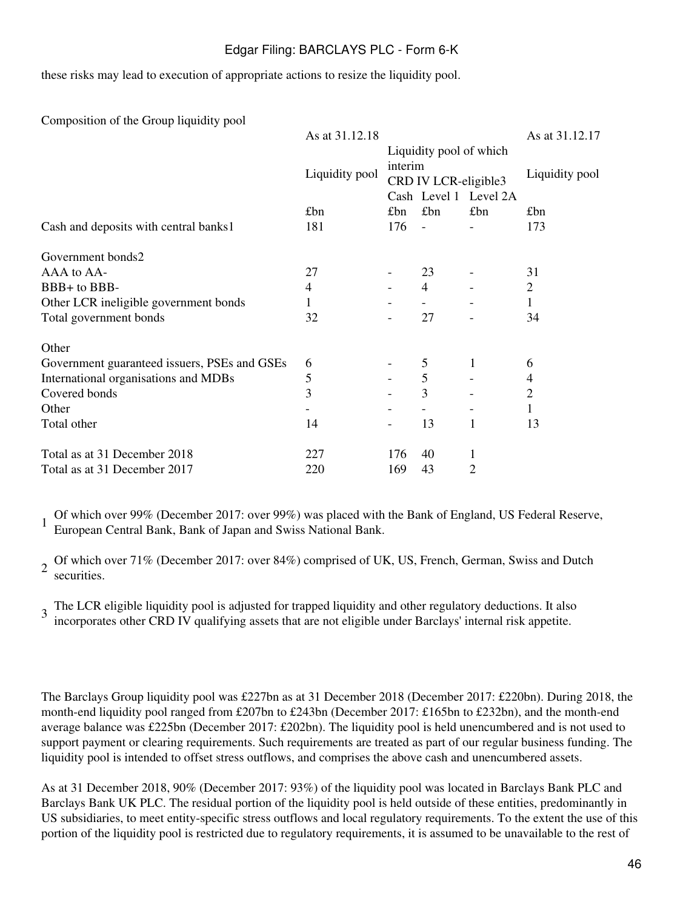these risks may lead to execution of appropriate actions to resize the liquidity pool.

Composition of the Group liquidity pool

|                                              | As at 31.12.18 |         |                         |                              | As at 31.12.17 |
|----------------------------------------------|----------------|---------|-------------------------|------------------------------|----------------|
|                                              |                |         | Liquidity pool of which |                              |                |
|                                              |                | interim |                         |                              |                |
|                                              | Liquidity pool |         | CRD IV LCR-eligible3    |                              | Liquidity pool |
|                                              |                |         |                         | Cash Level 1 Level 2A        |                |
|                                              | £bn            | £bn     | £bn                     | £bn                          | £bn            |
| Cash and deposits with central banks1        | 181            | 176     | $\overline{a}$          |                              | 173            |
| Government bonds2                            |                |         |                         |                              |                |
| AAA to AA-                                   | 27             |         | 23                      |                              | 31             |
| BBB+ to BBB-                                 | 4              |         | $\overline{4}$          |                              | $\overline{2}$ |
| Other LCR ineligible government bonds        | 1              |         |                         |                              | 1              |
| Total government bonds                       | 32             |         | 27                      | $\qquad \qquad \blacksquare$ | 34             |
| Other                                        |                |         |                         |                              |                |
| Government guaranteed issuers, PSEs and GSEs | 6              |         | 5                       | 1                            | 6              |
| International organisations and MDBs         | 5              |         | 5                       |                              | 4              |
| Covered bonds                                | 3              |         | 3                       |                              | $\overline{2}$ |
| Other                                        |                |         |                         |                              | 1              |
| Total other                                  | 14             |         | 13                      | 1                            | 13             |
| Total as at 31 December 2018                 | 227            | 176     | 40                      | 1                            |                |
| Total as at 31 December 2017                 | 220            | 169     | 43                      | $\overline{2}$               |                |
|                                              |                |         |                         |                              |                |

1 Of which over 99% (December 2017: over 99%) was placed with the Bank of England, US Federal Reserve, European Central Bank, Bank of Japan and Swiss National Bank.

2 Of which over 71% (December 2017: over 84%) comprised of UK, US, French, German, Swiss and Dutch securities.

3 The LCR eligible liquidity pool is adjusted for trapped liquidity and other regulatory deductions. It also incorporates other CRD IV qualifying assets that are not eligible under Barclays' internal risk appetite.

The Barclays Group liquidity pool was £227bn as at 31 December 2018 (December 2017: £220bn). During 2018, the month-end liquidity pool ranged from £207bn to £243bn (December 2017: £165bn to £232bn), and the month-end average balance was £225bn (December 2017: £202bn). The liquidity pool is held unencumbered and is not used to support payment or clearing requirements. Such requirements are treated as part of our regular business funding. The liquidity pool is intended to offset stress outflows, and comprises the above cash and unencumbered assets.

As at 31 December 2018, 90% (December 2017: 93%) of the liquidity pool was located in Barclays Bank PLC and Barclays Bank UK PLC. The residual portion of the liquidity pool is held outside of these entities, predominantly in US subsidiaries, to meet entity-specific stress outflows and local regulatory requirements. To the extent the use of this portion of the liquidity pool is restricted due to regulatory requirements, it is assumed to be unavailable to the rest of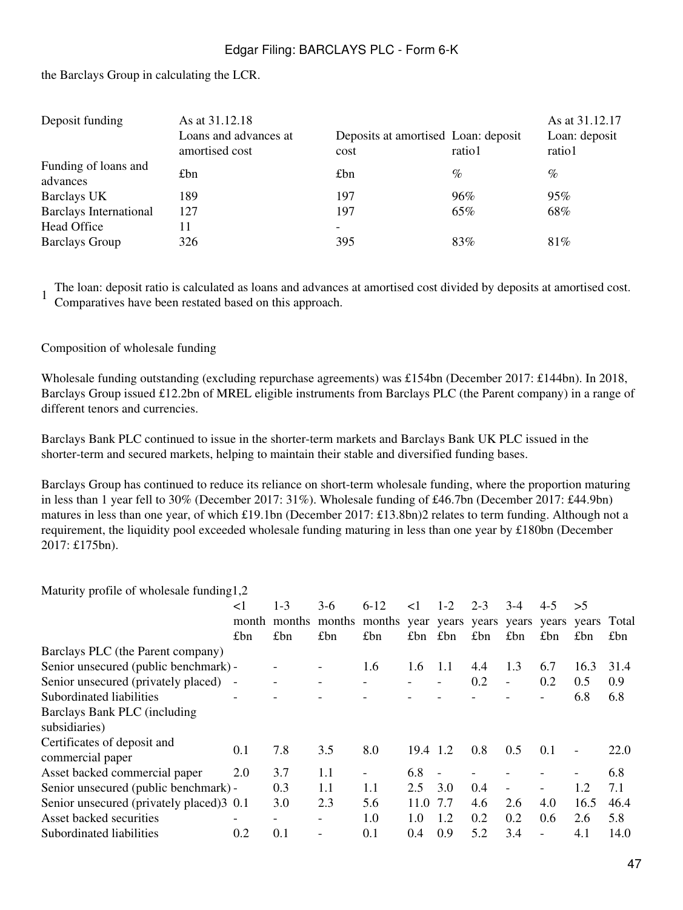the Barclays Group in calculating the LCR.

| Deposit funding                  | As at 31.12.18<br>Loans and advances at<br>amortised cost | Deposits at amortised Loan: deposit<br>cost | ratio1 | As at 31.12.17<br>Loan: deposit<br>ratio1 |
|----------------------------------|-----------------------------------------------------------|---------------------------------------------|--------|-------------------------------------------|
| Funding of loans and<br>advances | £bn                                                       | £bn                                         | $\%$   | $\%$                                      |
| Barclays UK                      | 189                                                       | 197                                         | 96%    | 95%                                       |
| <b>Barclays International</b>    | 127                                                       | 197                                         | 65%    | 68%                                       |
| Head Office                      | 11                                                        | -                                           |        |                                           |
| <b>Barclays Group</b>            | 326                                                       | 395                                         | 83%    | 81\%                                      |

1 The loan: deposit ratio is calculated as loans and advances at amortised cost divided by deposits at amortised cost. Comparatives have been restated based on this approach.

Composition of wholesale funding

Wholesale funding outstanding (excluding repurchase agreements) was £154bn (December 2017: £144bn). In 2018, Barclays Group issued £12.2bn of MREL eligible instruments from Barclays PLC (the Parent company) in a range of different tenors and currencies.

Barclays Bank PLC continued to issue in the shorter-term markets and Barclays Bank UK PLC issued in the shorter-term and secured markets, helping to maintain their stable and diversified funding bases.

Barclays Group has continued to reduce its reliance on short-term wholesale funding, where the proportion maturing in less than 1 year fell to 30% (December 2017: 31%). Wholesale funding of £46.7bn (December 2017: £44.9bn) matures in less than one year, of which £19.1bn (December 2017: £13.8bn)2 relates to term funding. Although not a requirement, the liquidity pool exceeded wholesale funding maturing in less than one year by £180bn (December 2017: £175bn).

Maturity profile of wholesale funding1,2

|                                                 | $\leq$ 1       | $1 - 3$ | $3-6$  | $6 - 12$                                        | $\leq$ 1      | $1 - 2$ | $2 - 3$ | $3-4$                    | $4 - 5$                  | >5   |      |
|-------------------------------------------------|----------------|---------|--------|-------------------------------------------------|---------------|---------|---------|--------------------------|--------------------------|------|------|
|                                                 | month          | months  | months | months year years years years years years Total |               |         |         |                          |                          |      |      |
|                                                 | £bn            | £bn     | £bn    | £bn                                             | £bn           | £bn     | £bn     | £bn                      | £bn                      | £bn  | £bn  |
| Barclays PLC (the Parent company)               |                |         |        |                                                 |               |         |         |                          |                          |      |      |
| Senior unsecured (public benchmark) -           |                |         |        | 1.6                                             | 1.6           | 1.1     | 4.4     | 1.3                      | 6.7                      | 16.3 | 31.4 |
| Senior unsecured (privately placed) -           |                |         |        |                                                 |               |         | 0.2     | $\overline{\phantom{a}}$ | 0.2                      | 0.5  | 0.9  |
| Subordinated liabilities                        | $\overline{a}$ |         |        |                                                 |               |         |         |                          |                          | 6.8  | 6.8  |
| Barclays Bank PLC (including                    |                |         |        |                                                 |               |         |         |                          |                          |      |      |
| subsidiaries)                                   |                |         |        |                                                 |               |         |         |                          |                          |      |      |
| Certificates of deposit and<br>commercial paper | 0.1            | 7.8     | 3.5    | 8.0                                             | 19.4          | 1.2     | 0.8     | 0.5                      | 0.1                      |      | 22.0 |
| Asset backed commercial paper                   | 2.0            | 3.7     | 1.1    |                                                 | 6.8           |         |         |                          |                          |      | 6.8  |
| Senior unsecured (public benchmark) -           |                | 0.3     | 1.1    | 1.1                                             | 2.5           | 3.0     | 0.4     |                          |                          | 1.2  | 7.1  |
| Senior unsecured (privately placed) 3 0.1       |                | 3.0     | 2.3    | 5.6                                             | 11.0          | 7.7     | 4.6     | 2.6                      | 4.0                      | 16.5 | 46.4 |
| Asset backed securities                         | -              | -       |        | 1.0                                             | $1.0^{\circ}$ | 1.2     | 0.2     | 0.2                      | 0.6                      | 2.6  | 5.8  |
| Subordinated liabilities                        | 0.2            | 0.1     |        | 0.1                                             | 0.4           | 0.9     | 5.2     | 3.4                      | $\overline{\phantom{0}}$ | 4.1  | 14.0 |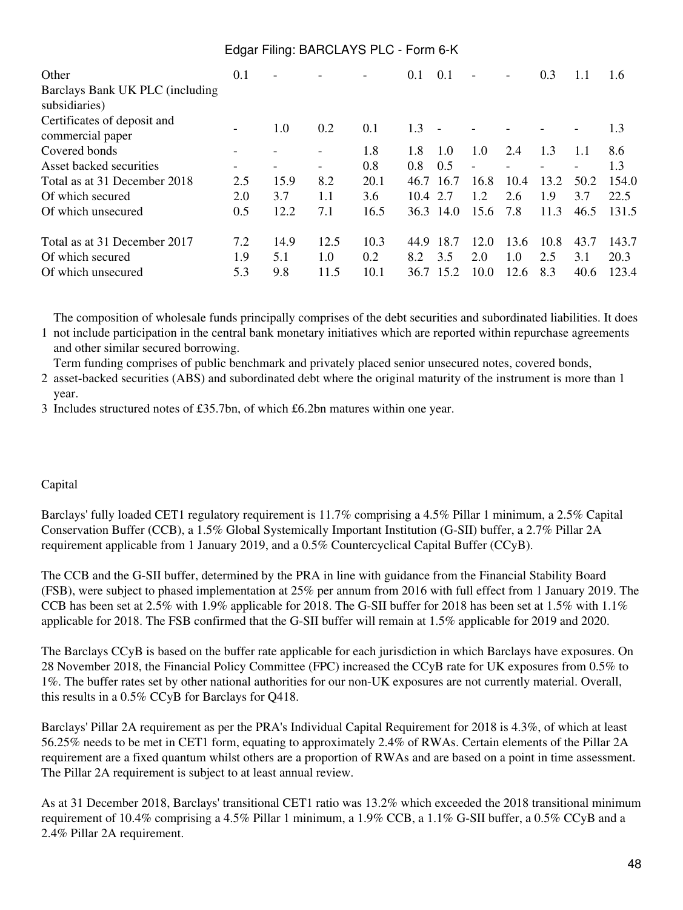| Other<br>Barclays Bank UK PLC (including<br>subsidiaries)              | 0.1               | $\overline{\phantom{a}}$ |                     |                     | 0.1                 | 0.1                 |                     |                     | 0.3                | 1.1                 | 1.6                    |
|------------------------------------------------------------------------|-------------------|--------------------------|---------------------|---------------------|---------------------|---------------------|---------------------|---------------------|--------------------|---------------------|------------------------|
| Certificates of deposit and<br>commercial paper                        |                   | 1.0                      | 0.2                 | 0.1                 | 1.3                 |                     |                     |                     |                    |                     | 1.3                    |
| Covered bonds                                                          |                   |                          |                     | 1.8                 | 1.8                 | 1.0                 | 1.0                 | 2.4                 | 1.3                | 1.1                 | 8.6                    |
| Asset backed securities                                                |                   |                          |                     | 0.8                 | 0.8                 | 0.5                 |                     |                     |                    |                     | 1.3                    |
| Total as at 31 December 2018                                           | 2.5               | 15.9                     | 8.2                 | 20.1                | 46.7                | 16.7                | 16.8                | 10.4                | 13.2               | 50.2                | 154.0                  |
| Of which secured                                                       | 2.0               | 3.7                      | 1.1                 | 3.6                 | 104                 | 2.7                 | 12                  | 2.6                 | 1.9                | 3.7                 | 22.5                   |
| Of which unsecured                                                     | 0.5               | 12.2                     | 7.1                 | 16.5                |                     | 36.3 14.0           | 15.6                | 7.8                 | 11.3               | 46.5                | 131.5                  |
| Total as at 31 December 2017<br>Of which secured<br>Of which unsecured | 7.2<br>1.9<br>5.3 | 14.9<br>5.1<br>9.8       | 12.5<br>1.0<br>11.5 | 10.3<br>0.2<br>10.1 | 44.9<br>8.2<br>36.7 | 18.7<br>3.5<br>15.2 | 12.0<br>2.0<br>10.0 | 13.6<br>1.0<br>12.6 | 10.8<br>2.5<br>8.3 | 43.7<br>3.1<br>40.6 | 143.7<br>20.3<br>123.4 |

The composition of wholesale funds principally comprises of the debt securities and subordinated liabilities. It does

1 not include participation in the central bank monetary initiatives which are reported within repurchase agreements and other similar secured borrowing.

Term funding comprises of public benchmark and privately placed senior unsecured notes, covered bonds,

2 asset-backed securities (ABS) and subordinated debt where the original maturity of the instrument is more than 1 year.

3 Includes structured notes of £35.7bn, of which £6.2bn matures within one year.

### Capital

Barclays' fully loaded CET1 regulatory requirement is 11.7% comprising a 4.5% Pillar 1 minimum, a 2.5% Capital Conservation Buffer (CCB), a 1.5% Global Systemically Important Institution (G-SII) buffer, a 2.7% Pillar 2A requirement applicable from 1 January 2019, and a 0.5% Countercyclical Capital Buffer (CCyB).

The CCB and the G-SII buffer, determined by the PRA in line with guidance from the Financial Stability Board (FSB), were subject to phased implementation at 25% per annum from 2016 with full effect from 1 January 2019. The CCB has been set at 2.5% with 1.9% applicable for 2018. The G-SII buffer for 2018 has been set at 1.5% with 1.1% applicable for 2018. The FSB confirmed that the G-SII buffer will remain at 1.5% applicable for 2019 and 2020.

The Barclays CCyB is based on the buffer rate applicable for each jurisdiction in which Barclays have exposures. On 28 November 2018, the Financial Policy Committee (FPC) increased the CCyB rate for UK exposures from 0.5% to 1%. The buffer rates set by other national authorities for our non-UK exposures are not currently material. Overall, this results in a 0.5% CCyB for Barclays for Q418.

Barclays' Pillar 2A requirement as per the PRA's Individual Capital Requirement for 2018 is 4.3%, of which at least 56.25% needs to be met in CET1 form, equating to approximately 2.4% of RWAs. Certain elements of the Pillar 2A requirement are a fixed quantum whilst others are a proportion of RWAs and are based on a point in time assessment. The Pillar 2A requirement is subject to at least annual review.

As at 31 December 2018, Barclays' transitional CET1 ratio was 13.2% which exceeded the 2018 transitional minimum requirement of 10.4% comprising a 4.5% Pillar 1 minimum, a 1.9% CCB, a 1.1% G-SII buffer, a 0.5% CCyB and a 2.4% Pillar 2A requirement.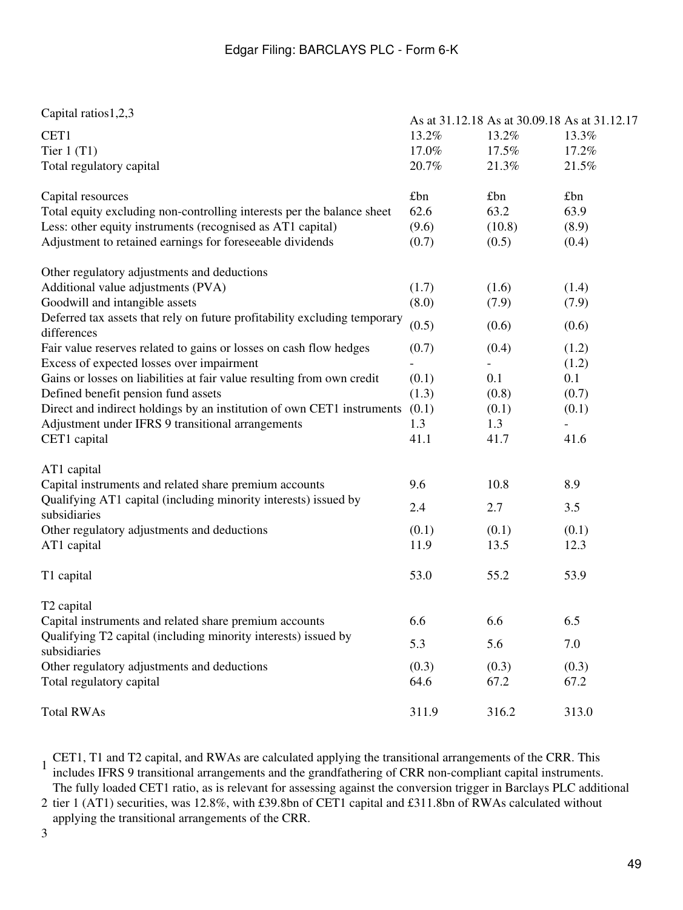| Capital ratios 1,2,3                                                                     |       | As at 31.12.18 As at 30.09.18 As at 31.12.17 |       |
|------------------------------------------------------------------------------------------|-------|----------------------------------------------|-------|
| CET1                                                                                     | 13.2% | 13.2%                                        | 13.3% |
| Tier $1(T1)$                                                                             | 17.0% | 17.5%                                        | 17.2% |
| Total regulatory capital                                                                 | 20.7% | 21.3%                                        | 21.5% |
|                                                                                          |       |                                              |       |
| Capital resources                                                                        | £bn   | £bn                                          | £bn   |
| Total equity excluding non-controlling interests per the balance sheet                   | 62.6  | 63.2                                         | 63.9  |
| Less: other equity instruments (recognised as AT1 capital)                               | (9.6) | (10.8)                                       | (8.9) |
| Adjustment to retained earnings for foreseeable dividends                                | (0.7) | (0.5)                                        | (0.4) |
| Other regulatory adjustments and deductions                                              |       |                                              |       |
| Additional value adjustments (PVA)                                                       | (1.7) | (1.6)                                        | (1.4) |
| Goodwill and intangible assets                                                           | (8.0) | (7.9)                                        | (7.9) |
| Deferred tax assets that rely on future profitability excluding temporary<br>differences | (0.5) | (0.6)                                        | (0.6) |
| Fair value reserves related to gains or losses on cash flow hedges                       | (0.7) | (0.4)                                        | (1.2) |
| Excess of expected losses over impairment                                                |       |                                              | (1.2) |
| Gains or losses on liabilities at fair value resulting from own credit                   | (0.1) | 0.1                                          | 0.1   |
| Defined benefit pension fund assets                                                      | (1.3) | (0.8)                                        | (0.7) |
| Direct and indirect holdings by an institution of own CET1 instruments                   | (0.1) | (0.1)                                        | (0.1) |
| Adjustment under IFRS 9 transitional arrangements                                        | 1.3   | 1.3                                          |       |
| CET1 capital                                                                             | 41.1  | 41.7                                         | 41.6  |
| AT1 capital                                                                              |       |                                              |       |
| Capital instruments and related share premium accounts                                   | 9.6   | 10.8                                         | 8.9   |
| Qualifying AT1 capital (including minority interests) issued by<br>subsidiaries          | 2.4   | 2.7                                          | 3.5   |
| Other regulatory adjustments and deductions                                              | (0.1) | (0.1)                                        | (0.1) |
| AT1 capital                                                                              | 11.9  | 13.5                                         | 12.3  |
| T1 capital                                                                               | 53.0  | 55.2                                         | 53.9  |
| T <sub>2</sub> capital                                                                   |       |                                              |       |
| Capital instruments and related share premium accounts                                   | 6.6   | 6.6                                          | 6.5   |
| Qualifying T2 capital (including minority interests) issued by<br>subsidiaries           | 5.3   | 5.6                                          | 7.0   |
| Other regulatory adjustments and deductions                                              | (0.3) | (0.3)                                        | (0.3) |
| Total regulatory capital                                                                 | 64.6  | 67.2                                         | 67.2  |
| <b>Total RWAs</b>                                                                        | 311.9 | 316.2                                        | 313.0 |

1 CET1, T1 and T2 capital, and RWAs are calculated applying the transitional arrangements of the CRR. This includes IFRS 9 transitional arrangements and the grandfathering of CRR non-compliant capital instruments. The fully loaded CET1 ratio, as is relevant for assessing against the conversion trigger in Barclays PLC additional

2 tier 1 (AT1) securities, was 12.8%, with £39.8bn of CET1 capital and £311.8bn of RWAs calculated without applying the transitional arrangements of the CRR.

3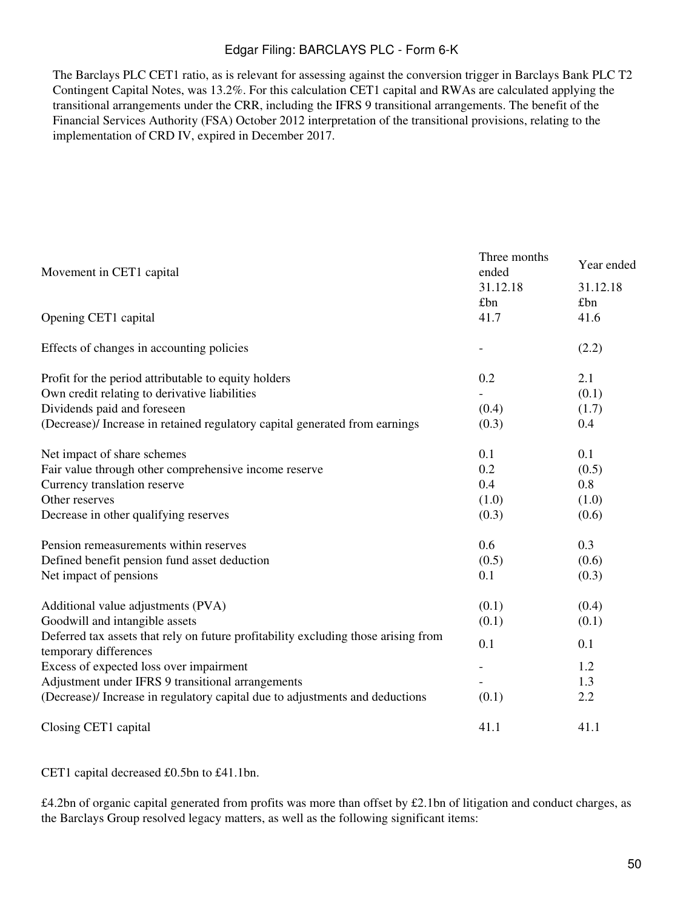The Barclays PLC CET1 ratio, as is relevant for assessing against the conversion trigger in Barclays Bank PLC T2 Contingent Capital Notes, was 13.2%. For this calculation CET1 capital and RWAs are calculated applying the transitional arrangements under the CRR, including the IFRS 9 transitional arrangements. The benefit of the Financial Services Authority (FSA) October 2012 interpretation of the transitional provisions, relating to the implementation of CRD IV, expired in December 2017.

| Movement in CET1 capital                                                                                    | Three months<br>ended | Year ended |
|-------------------------------------------------------------------------------------------------------------|-----------------------|------------|
|                                                                                                             | 31.12.18              | 31.12.18   |
|                                                                                                             | £bn                   | £bn        |
| Opening CET1 capital                                                                                        | 41.7                  | 41.6       |
| Effects of changes in accounting policies                                                                   |                       | (2.2)      |
| Profit for the period attributable to equity holders                                                        | 0.2                   | 2.1        |
| Own credit relating to derivative liabilities                                                               |                       | (0.1)      |
| Dividends paid and foreseen                                                                                 | (0.4)                 | (1.7)      |
| (Decrease)/ Increase in retained regulatory capital generated from earnings                                 | (0.3)                 | 0.4        |
| Net impact of share schemes                                                                                 | 0.1                   | 0.1        |
| Fair value through other comprehensive income reserve                                                       | 0.2                   | (0.5)      |
| Currency translation reserve                                                                                | 0.4                   | 0.8        |
| Other reserves                                                                                              | (1.0)                 | (1.0)      |
| Decrease in other qualifying reserves                                                                       | (0.3)                 | (0.6)      |
| Pension remeasurements within reserves                                                                      | 0.6                   | 0.3        |
| Defined benefit pension fund asset deduction                                                                | (0.5)                 | (0.6)      |
| Net impact of pensions                                                                                      | 0.1                   | (0.3)      |
| Additional value adjustments (PVA)                                                                          | (0.1)                 | (0.4)      |
| Goodwill and intangible assets                                                                              | (0.1)                 | (0.1)      |
| Deferred tax assets that rely on future profitability excluding those arising from<br>temporary differences | 0.1                   | 0.1        |
| Excess of expected loss over impairment                                                                     |                       | 1.2        |
| Adjustment under IFRS 9 transitional arrangements                                                           |                       | 1.3        |
|                                                                                                             | (0.1)                 | 2.2        |
| (Decrease)/ Increase in regulatory capital due to adjustments and deductions                                |                       |            |
| Closing CET1 capital                                                                                        | 41.1                  | 41.1       |

CET1 capital decreased £0.5bn to £41.1bn.

£4.2bn of organic capital generated from profits was more than offset by £2.1bn of litigation and conduct charges, as the Barclays Group resolved legacy matters, as well as the following significant items: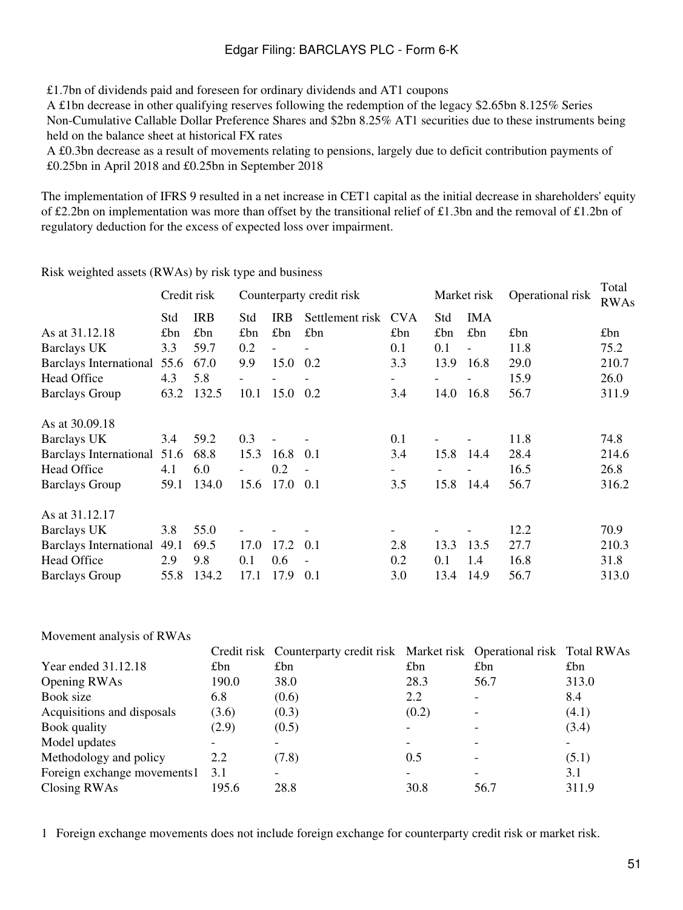£1.7bn of dividends paid and foreseen for ordinary dividends and AT1 coupons

A £1bn decrease in other qualifying reserves following the redemption of the legacy \$2.65bn 8.125% Series Non-Cumulative Callable Dollar Preference Shares and \$2bn 8.25% AT1 securities due to these instruments being held on the balance sheet at historical FX rates

A £0.3bn decrease as a result of movements relating to pensions, largely due to deficit contribution payments of £0.25bn in April 2018 and £0.25bn in September 2018

The implementation of IFRS 9 resulted in a net increase in CET1 capital as the initial decrease in shareholders' equity of £2.2bn on implementation was more than offset by the transitional relief of £1.3bn and the removal of £1.2bn of regulatory deduction for the excess of expected loss over impairment.

Risk weighted assets (RWAs) by risk type and business

|                                       |            | Counterparty credit risk |                          |                          |                          |      | Operational risk         | Total<br><b>RWAs</b> |       |
|---------------------------------------|------------|--------------------------|--------------------------|--------------------------|--------------------------|------|--------------------------|----------------------|-------|
| Std                                   | <b>IRB</b> | Std                      | <b>IRB</b>               | Settlement risk          | <b>CVA</b>               | Std  | <b>IMA</b>               |                      |       |
| £bn                                   | £bn        | £bn                      | £bn                      | £bn                      | £bn                      | £bn  | £bn                      | £bn                  | £bn   |
| 3.3                                   | 59.7       | 0.2                      | $\overline{\phantom{0}}$ |                          | 0.1                      | 0.1  | $\overline{\phantom{a}}$ | 11.8                 | 75.2  |
| <b>Barclays International</b><br>55.6 | 67.0       | 9.9                      |                          | 0.2                      | 3.3                      | 13.9 | 16.8                     | 29.0                 | 210.7 |
| 4.3                                   | 5.8        |                          |                          |                          | $\overline{\phantom{a}}$ |      |                          | 15.9                 | 26.0  |
| 63.2                                  | 132.5      | 10.1                     |                          | 0.2                      | 3.4                      | 14.0 | 16.8                     | 56.7                 | 311.9 |
|                                       |            |                          |                          |                          |                          |      |                          |                      |       |
| 3.4                                   | 59.2       | 0.3                      |                          |                          | 0.1                      |      |                          | 11.8                 | 74.8  |
| 51.6                                  | 68.8       | 15.3                     | 16.8                     | 0.1                      | 3.4                      | 15.8 | 14.4                     | 28.4                 | 214.6 |
| 4.1                                   | 6.0        |                          | 0.2                      | $\overline{\phantom{a}}$ | $\overline{\phantom{0}}$ |      |                          | 16.5                 | 26.8  |
| 59.1                                  | 134.0      | 15.6                     | 17.0                     | 0.1                      | 3.5                      | 15.8 | 14.4                     | 56.7                 | 316.2 |
|                                       |            |                          |                          |                          |                          |      |                          |                      |       |
| 3.8                                   | 55.0       |                          |                          |                          | $\overline{\phantom{a}}$ |      |                          | 12.2                 | 70.9  |
| 49.1                                  | 69.5       | 17.0                     | 17.2                     | 0.1                      | 2.8                      | 13.3 | 13.5                     | 27.7                 | 210.3 |
| 2.9                                   | 9.8        | 0.1                      | 0.6                      |                          | 0.2                      | 0.1  | 1.4                      | 16.8                 | 31.8  |
| 55.8                                  | 134.2      | 17.1                     | 17.9                     | 0.1                      | 3.0                      | 13.4 | 14.9                     | 56.7                 | 313.0 |
|                                       |            | Credit risk              |                          |                          | 15.0<br>15.0             |      |                          | Market risk          |       |

#### Movement analysis of RWAs

|                             |       | Credit risk Counterparty credit risk Market risk Operational risk Total RWAs |                          |                          |       |
|-----------------------------|-------|------------------------------------------------------------------------------|--------------------------|--------------------------|-------|
| Year ended 31.12.18         | £bn   | £bn                                                                          | £bn                      | £bn                      | £bn   |
| Opening RWAs                | 190.0 | 38.0                                                                         | 28.3                     | 56.7                     | 313.0 |
| Book size                   | 6.8   | (0.6)                                                                        | 2.2                      |                          | 8.4   |
| Acquisitions and disposals  | (3.6) | (0.3)                                                                        | (0.2)                    |                          | (4.1) |
| Book quality                | (2.9) | (0.5)                                                                        | $\overline{\phantom{a}}$ |                          | (3.4) |
| Model updates               |       |                                                                              |                          |                          |       |
| Methodology and policy      | 2.2   | (7.8)                                                                        | 0.5                      | $\overline{\phantom{0}}$ | (5.1) |
| Foreign exchange movements1 | 3.1   |                                                                              |                          |                          | 3.1   |
| Closing RWAs                | 195.6 | 28.8                                                                         | 30.8                     | 56.7                     | 311.9 |

1 Foreign exchange movements does not include foreign exchange for counterparty credit risk or market risk.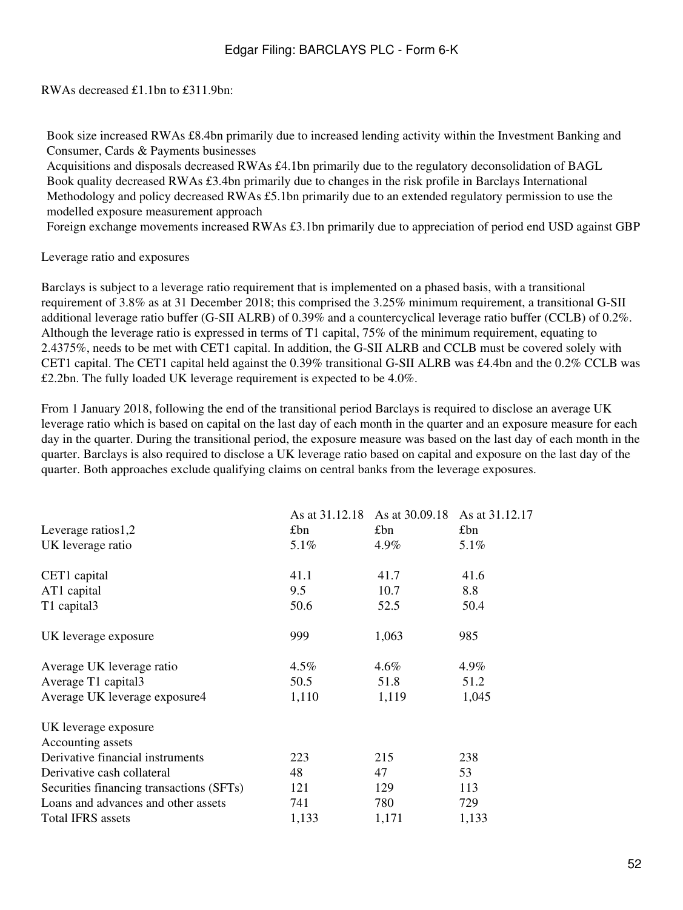RWAs decreased £1.1bn to £311.9bn:

Book size increased RWAs £8.4bn primarily due to increased lending activity within the Investment Banking and Consumer, Cards & Payments businesses

Acquisitions and disposals decreased RWAs £4.1bn primarily due to the regulatory deconsolidation of BAGL Book quality decreased RWAs £3.4bn primarily due to changes in the risk profile in Barclays International Methodology and policy decreased RWAs £5.1bn primarily due to an extended regulatory permission to use the modelled exposure measurement approach

Foreign exchange movements increased RWAs £3.1bn primarily due to appreciation of period end USD against GBP

Leverage ratio and exposures

Barclays is subject to a leverage ratio requirement that is implemented on a phased basis, with a transitional requirement of 3.8% as at 31 December 2018; this comprised the 3.25% minimum requirement, a transitional G-SII additional leverage ratio buffer (G-SII ALRB) of 0.39% and a countercyclical leverage ratio buffer (CCLB) of 0.2%. Although the leverage ratio is expressed in terms of T1 capital, 75% of the minimum requirement, equating to 2.4375%, needs to be met with CET1 capital. In addition, the G-SII ALRB and CCLB must be covered solely with CET1 capital. The CET1 capital held against the 0.39% transitional G-SII ALRB was £4.4bn and the 0.2% CCLB was £2.2bn. The fully loaded UK leverage requirement is expected to be 4.0%.

From 1 January 2018, following the end of the transitional period Barclays is required to disclose an average UK leverage ratio which is based on capital on the last day of each month in the quarter and an exposure measure for each day in the quarter. During the transitional period, the exposure measure was based on the last day of each month in the quarter. Barclays is also required to disclose a UK leverage ratio based on capital and exposure on the last day of the quarter. Both approaches exclude qualifying claims on central banks from the leverage exposures.

|                                           | As at 31.12.18 | As at 30.09.18 | As at 31.12.17 |
|-------------------------------------------|----------------|----------------|----------------|
| Leverage ratios $1,2$                     | £bn            | £bn            | £bn            |
| UK leverage ratio                         | 5.1%           | $4.9\%$        | $5.1\%$        |
|                                           |                |                |                |
| CET1 capital                              | 41.1           | 41.7           | 41.6           |
| AT1 capital                               | 9.5            | 10.7           | 8.8            |
| T1 capital3                               | 50.6           | 52.5           | 50.4           |
| UK leverage exposure                      | 999            | 1,063          | 985            |
| Average UK leverage ratio                 | $4.5\%$        | $4.6\%$        | 4.9%           |
| Average T1 capital3                       | 50.5           | 51.8           | 51.2           |
| Average UK leverage exposure4             | 1,110          | 1,119          | 1,045          |
| UK leverage exposure<br>Accounting assets |                |                |                |
| Derivative financial instruments          | 223            | 215            | 238            |
| Derivative cash collateral                | 48             | 47             | 53             |
| Securities financing transactions (SFTs)  | 121            | 129            | 113            |
| Loans and advances and other assets       | 741            | 780            | 729            |
| <b>Total IFRS</b> assets                  | 1,133          | 1,171          | 1,133          |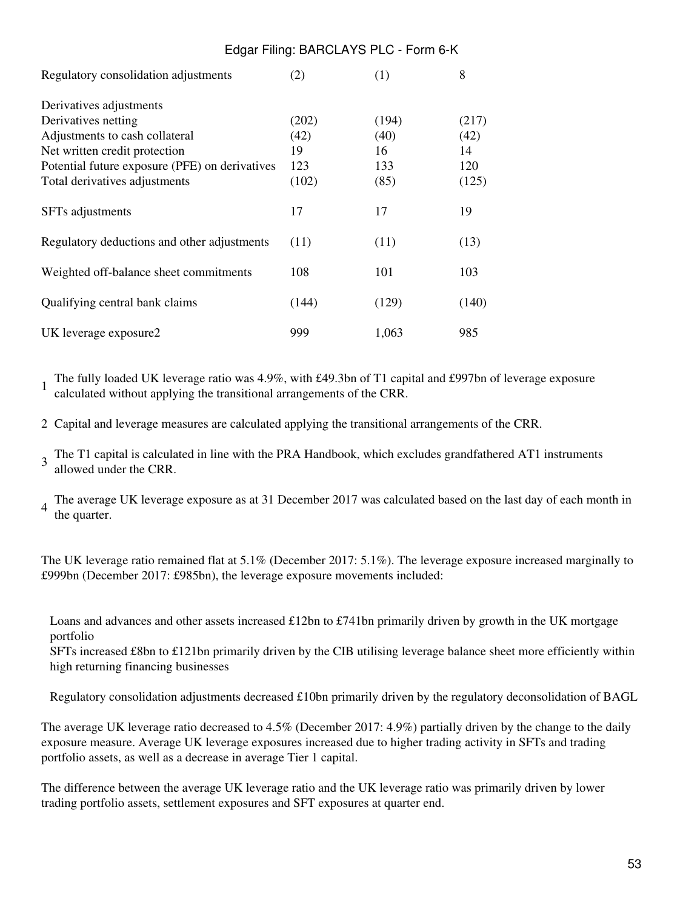| Regulatory consolidation adjustments           | (2)   | (1)   | 8     |
|------------------------------------------------|-------|-------|-------|
|                                                |       |       |       |
| Derivatives adjustments                        |       |       |       |
| Derivatives netting                            | (202) | (194) | (217) |
| Adjustments to cash collateral                 | (42)  | (40)  | (42)  |
| Net written credit protection                  | 19    | 16    | 14    |
| Potential future exposure (PFE) on derivatives | 123   | 133   | 120   |
| Total derivatives adjustments                  | (102) | (85)  | (125) |
| SFTs adjustments                               | 17    | 17    | 19    |
| Regulatory deductions and other adjustments    | (11)  | (11)  | (13)  |
| Weighted off-balance sheet commitments         | 108   | 101   | 103   |
| Qualifying central bank claims                 | (144) | (129) | (140) |
| UK leverage exposure2                          | 999   | 1,063 | 985   |

1 The fully loaded UK leverage ratio was 4.9%, with £49.3bn of T1 capital and £997bn of leverage exposure calculated without applying the transitional arrangements of the CRR.

Edgar Filing: BARCLAYS PLC - Form 6-K

2 Capital and leverage measures are calculated applying the transitional arrangements of the CRR.

3 The T1 capital is calculated in line with the PRA Handbook, which excludes grandfathered AT1 instruments allowed under the CRR.

4 The average UK leverage exposure as at 31 December 2017 was calculated based on the last day of each month in the quarter.

The UK leverage ratio remained flat at 5.1% (December 2017: 5.1%). The leverage exposure increased marginally to £999bn (December 2017: £985bn), the leverage exposure movements included:

Loans and advances and other assets increased £12bn to £741bn primarily driven by growth in the UK mortgage portfolio

SFTs increased £8bn to £121bn primarily driven by the CIB utilising leverage balance sheet more efficiently within high returning financing businesses

Regulatory consolidation adjustments decreased £10bn primarily driven by the regulatory deconsolidation of BAGL

The average UK leverage ratio decreased to 4.5% (December 2017: 4.9%) partially driven by the change to the daily exposure measure. Average UK leverage exposures increased due to higher trading activity in SFTs and trading portfolio assets, as well as a decrease in average Tier 1 capital.

The difference between the average UK leverage ratio and the UK leverage ratio was primarily driven by lower trading portfolio assets, settlement exposures and SFT exposures at quarter end.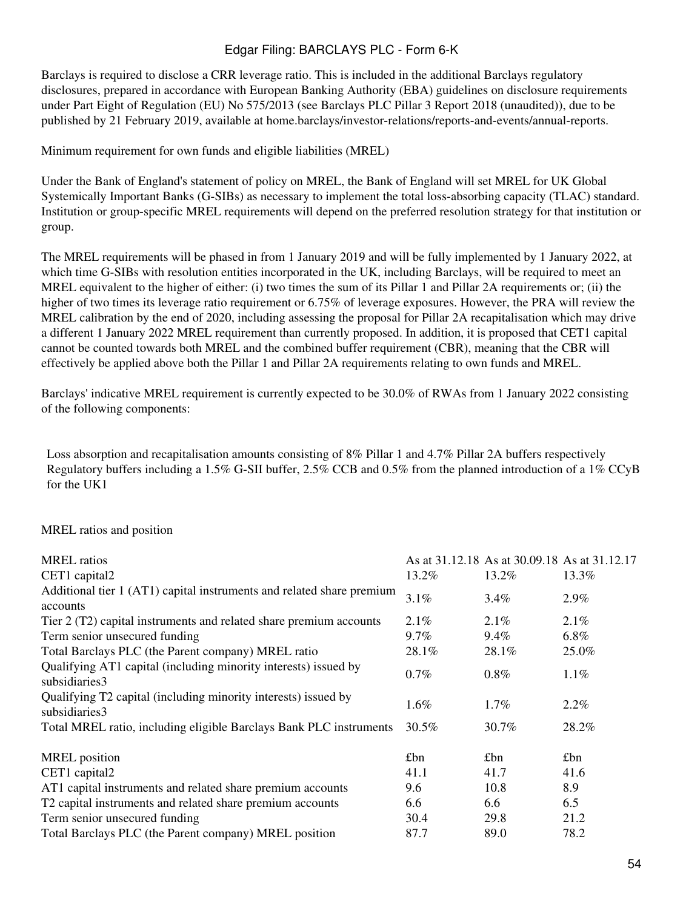Barclays is required to disclose a CRR leverage ratio. This is included in the additional Barclays regulatory disclosures, prepared in accordance with European Banking Authority (EBA) guidelines on disclosure requirements under Part Eight of Regulation (EU) No 575/2013 (see Barclays PLC Pillar 3 Report 2018 (unaudited)), due to be published by 21 February 2019, available at home.barclays/investor-relations/reports-and-events/annual-reports.

Minimum requirement for own funds and eligible liabilities (MREL)

Under the Bank of England's statement of policy on MREL, the Bank of England will set MREL for UK Global Systemically Important Banks (G-SIBs) as necessary to implement the total loss-absorbing capacity (TLAC) standard. Institution or group-specific MREL requirements will depend on the preferred resolution strategy for that institution or group.

The MREL requirements will be phased in from 1 January 2019 and will be fully implemented by 1 January 2022, at which time G-SIBs with resolution entities incorporated in the UK, including Barclays, will be required to meet an MREL equivalent to the higher of either: (i) two times the sum of its Pillar 1 and Pillar 2A requirements or; (ii) the higher of two times its leverage ratio requirement or 6.75% of leverage exposures. However, the PRA will review the MREL calibration by the end of 2020, including assessing the proposal for Pillar 2A recapitalisation which may drive a different 1 January 2022 MREL requirement than currently proposed. In addition, it is proposed that CET1 capital cannot be counted towards both MREL and the combined buffer requirement (CBR), meaning that the CBR will effectively be applied above both the Pillar 1 and Pillar 2A requirements relating to own funds and MREL.

Barclays' indicative MREL requirement is currently expected to be 30.0% of RWAs from 1 January 2022 consisting of the following components:

Loss absorption and recapitalisation amounts consisting of 8% Pillar 1 and 4.7% Pillar 2A buffers respectively Regulatory buffers including a 1.5% G-SII buffer, 2.5% CCB and 0.5% from the planned introduction of a 1% CCyB for the UK1

### MREL ratios and position

| <b>MREL</b> ratios                                                               |         | As at 31.12.18 As at 30.09.18 As at 31.12.17 |         |
|----------------------------------------------------------------------------------|---------|----------------------------------------------|---------|
| CET1 capital2                                                                    | 13.2%   | 13.2%                                        | 13.3%   |
| Additional tier 1 (AT1) capital instruments and related share premium            | 3.1%    | 3.4%                                         | 2.9%    |
| accounts                                                                         |         |                                              |         |
| Tier 2 (T2) capital instruments and related share premium accounts               | $2.1\%$ | $2.1\%$                                      | $2.1\%$ |
| Term senior unsecured funding                                                    | $9.7\%$ | $9.4\%$                                      | $6.8\%$ |
| Total Barclays PLC (the Parent company) MREL ratio                               | 28.1%   | 28.1%                                        | 25.0%   |
| Qualifying AT1 capital (including minority interests) issued by<br>subsidiaries3 | $0.7\%$ | $0.8\%$                                      | $1.1\%$ |
| Qualifying T2 capital (including minority interests) issued by<br>subsidiaries3  | 1.6%    | $1.7\%$                                      | $2.2\%$ |
| Total MREL ratio, including eligible Barclays Bank PLC instruments               | 30.5%   | 30.7%                                        | 28.2%   |
| <b>MREL</b> position                                                             | £bn     | £bn                                          | £bn     |
| CET1 capital2                                                                    | 41.1    | 41.7                                         | 41.6    |
| AT1 capital instruments and related share premium accounts                       | 9.6     | 10.8                                         | 8.9     |
| T2 capital instruments and related share premium accounts                        | 6.6     | 6.6                                          | 6.5     |
| Term senior unsecured funding                                                    | 30.4    | 29.8                                         | 21.2    |
| Total Barclays PLC (the Parent company) MREL position                            | 87.7    | 89.0                                         | 78.2    |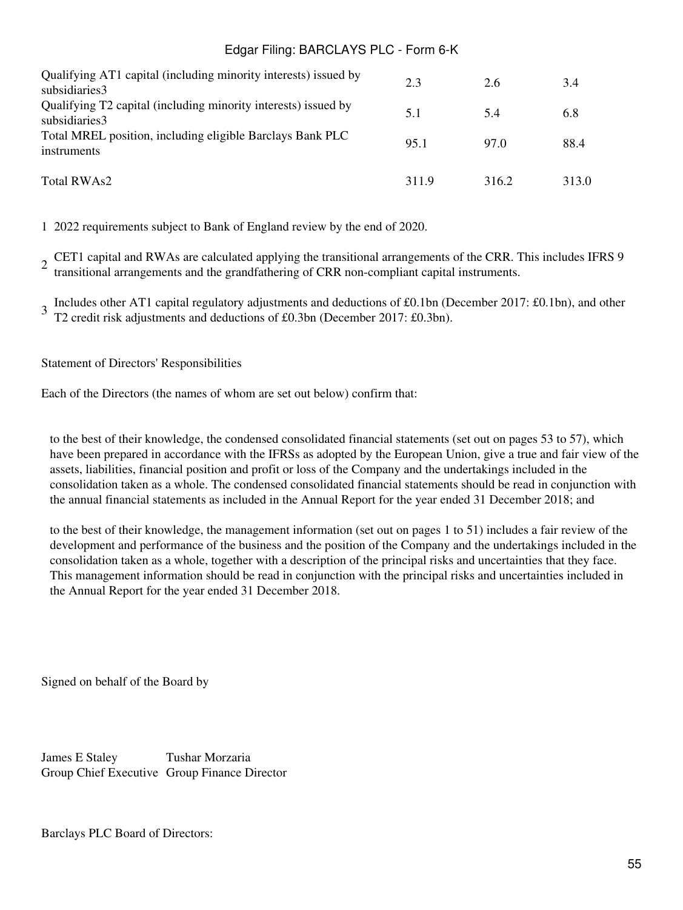| Qualifying AT1 capital (including minority interests) issued by<br>subsidiaries3 | 2.3  | 2.6   | 3.4   |
|----------------------------------------------------------------------------------|------|-------|-------|
| Qualifying T2 capital (including minority interests) issued by<br>subsidiaries3  | 5.1  | 5.4   | 6.8   |
| Total MREL position, including eligible Barclays Bank PLC<br>instruments         | 95.1 | 97.0  | 88.4  |
| Total RWAs2                                                                      | 3119 | 316.2 | 313.0 |

1 2022 requirements subject to Bank of England review by the end of 2020.

2 CET1 capital and RWAs are calculated applying the transitional arrangements of the CRR. This includes IFRS 9 transitional arrangements and the grandfathering of CRR non-compliant capital instruments.

3 Includes other AT1 capital regulatory adjustments and deductions of £0.1bn (December 2017: £0.1bn), and other T2 credit risk adjustments and deductions of £0.3bn (December 2017: £0.3bn).

Statement of Directors' Responsibilities

Each of the Directors (the names of whom are set out below) confirm that:

to the best of their knowledge, the condensed consolidated financial statements (set out on pages 53 to 57), which have been prepared in accordance with the IFRSs as adopted by the European Union, give a true and fair view of the assets, liabilities, financial position and profit or loss of the Company and the undertakings included in the consolidation taken as a whole. The condensed consolidated financial statements should be read in conjunction with the annual financial statements as included in the Annual Report for the year ended 31 December 2018; and

to the best of their knowledge, the management information (set out on pages 1 to 51) includes a fair review of the development and performance of the business and the position of the Company and the undertakings included in the consolidation taken as a whole, together with a description of the principal risks and uncertainties that they face. This management information should be read in conjunction with the principal risks and uncertainties included in the Annual Report for the year ended 31 December 2018.

Signed on behalf of the Board by

James E Staley Tushar Morzaria Group Chief Executive Group Finance Director

Barclays PLC Board of Directors: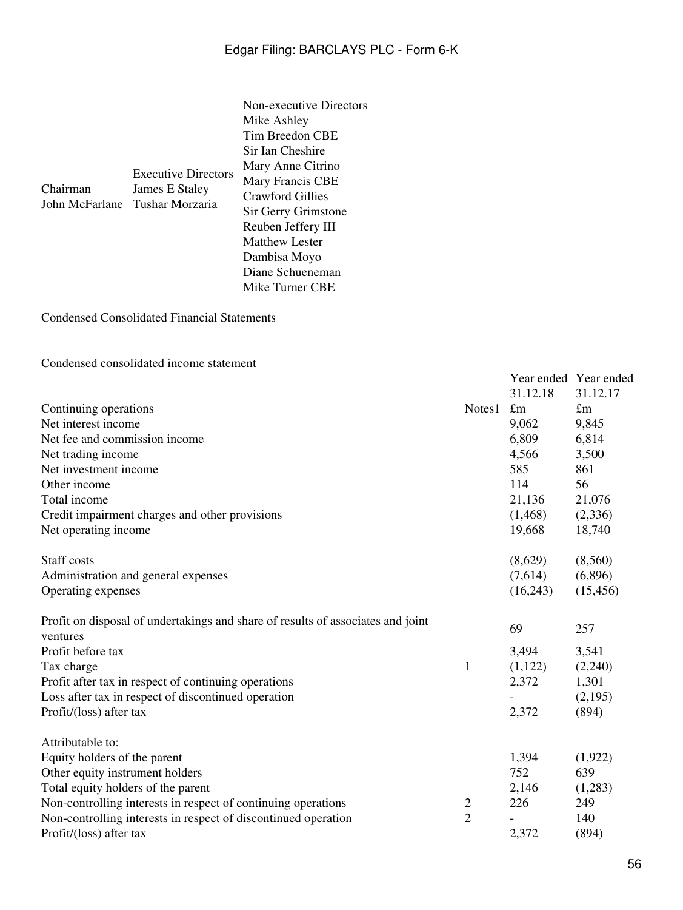|          |                                                                                | Non-executive Directors          |  |
|----------|--------------------------------------------------------------------------------|----------------------------------|--|
| Chairman | <b>Executive Directors</b><br>James E Staley<br>John McFarlane Tushar Morzaria | Mike Ashley                      |  |
|          |                                                                                | Tim Breedon CBE                  |  |
|          |                                                                                | Sir Ian Cheshire                 |  |
|          |                                                                                | Mary Anne Citrino                |  |
|          |                                                                                | Mary Francis CBE                 |  |
|          |                                                                                | Crawford Gillies                 |  |
|          |                                                                                | Sir Gerry Grimstone              |  |
|          |                                                                                | Reuben Jeffery III               |  |
|          |                                                                                | <b>Matthew Lester</b>            |  |
|          |                                                                                | Dambisa Moyo<br>Diane Schueneman |  |
|          |                                                                                |                                  |  |

Condensed Consolidated Financial Statements

Condensed consolidated income statement

|                                                                                 |                |             | Year ended Year ended |
|---------------------------------------------------------------------------------|----------------|-------------|-----------------------|
|                                                                                 |                | 31.12.18    | 31.12.17              |
| Continuing operations                                                           | Notes1         | $\pounds$ m | $\pounds$ m           |
| Net interest income                                                             |                | 9,062       | 9,845                 |
| Net fee and commission income                                                   |                | 6,809       | 6,814                 |
| Net trading income                                                              |                | 4,566       | 3,500                 |
| Net investment income                                                           |                | 585         | 861                   |
| Other income                                                                    |                | 114         | 56                    |
| Total income                                                                    |                | 21,136      | 21,076                |
| Credit impairment charges and other provisions                                  |                | (1, 468)    | (2,336)               |
| Net operating income                                                            |                | 19,668      | 18,740                |
| Staff costs                                                                     |                | (8,629)     | (8,560)               |
| Administration and general expenses                                             |                | (7,614)     | (6,896)               |
| Operating expenses                                                              |                | (16,243)    | (15, 456)             |
| Profit on disposal of undertakings and share of results of associates and joint |                | 69          | 257                   |
| ventures                                                                        |                |             |                       |
| Profit before tax                                                               |                | 3,494       | 3,541                 |
| Tax charge                                                                      | 1              | (1,122)     | (2,240)               |
| Profit after tax in respect of continuing operations                            |                | 2,372       | 1,301                 |
| Loss after tax in respect of discontinued operation                             |                |             | (2,195)               |
| Profit/(loss) after tax                                                         |                | 2,372       | (894)                 |
| Attributable to:                                                                |                |             |                       |
| Equity holders of the parent                                                    |                | 1,394       | (1,922)               |
| Other equity instrument holders                                                 |                | 752         | 639                   |
| Total equity holders of the parent                                              |                | 2,146       | (1,283)               |
| Non-controlling interests in respect of continuing operations                   | $\overline{c}$ | 226         | 249                   |
| Non-controlling interests in respect of discontinued operation                  | $\overline{2}$ |             | 140                   |
| Profit/(loss) after tax                                                         |                | 2,372       | (894)                 |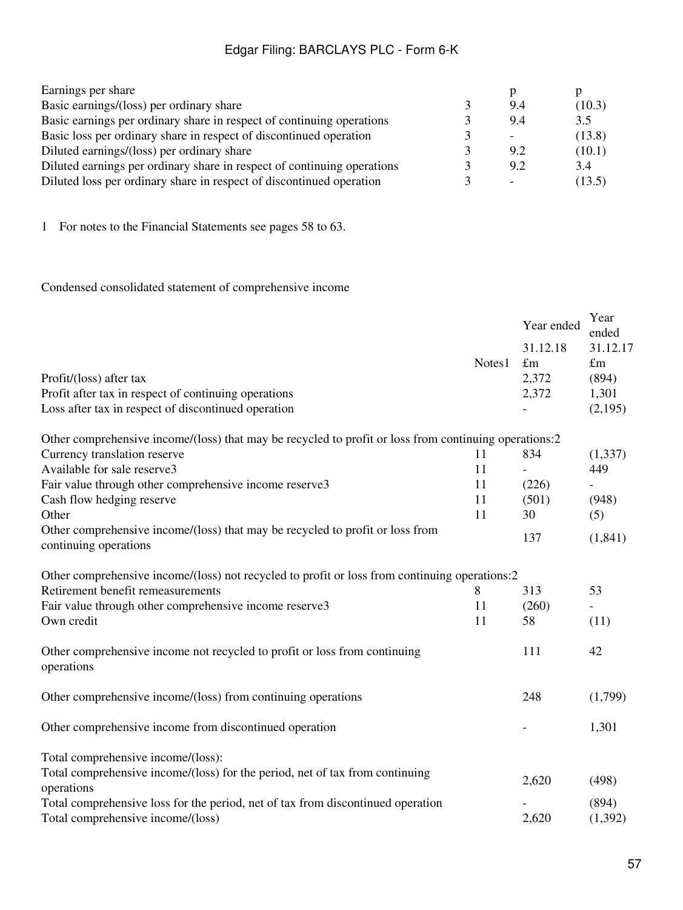| 9.4 | (10.3) |
|-----|--------|
| 9.4 | 3.5    |
|     | (13.8) |
| 92  | (10.1) |
| 9.2 | 3.4    |
|     | (13.5) |
|     |        |

1 For notes to the Financial Statements see pages 58 to 63.

Condensed consolidated statement of comprehensive income

|                                                                                                        |        | Year ended  | Year<br>ended |
|--------------------------------------------------------------------------------------------------------|--------|-------------|---------------|
|                                                                                                        |        | 31.12.18    | 31.12.17      |
|                                                                                                        | Notes1 | $\pounds$ m | $\pounds$ m   |
| Profit/(loss) after tax                                                                                |        | 2,372       | (894)         |
| Profit after tax in respect of continuing operations                                                   |        | 2,372       | 1,301         |
| Loss after tax in respect of discontinued operation                                                    |        |             | (2,195)       |
| Other comprehensive income/(loss) that may be recycled to profit or loss from continuing operations:2  |        |             |               |
| Currency translation reserve                                                                           | 11     | 834         | (1, 337)      |
| Available for sale reserve3                                                                            | 11     |             | 449           |
| Fair value through other comprehensive income reserve3                                                 | 11     | (226)       |               |
| Cash flow hedging reserve                                                                              | 11     | (501)       | (948)         |
| Other                                                                                                  | 11     | 30          | (5)           |
| Other comprehensive income/(loss) that may be recycled to profit or loss from<br>continuing operations |        | 137         | (1,841)       |
| Other comprehensive income/(loss) not recycled to profit or loss from continuing operations:2          |        |             |               |
| Retirement benefit remeasurements                                                                      | 8      | 313         | 53            |
| Fair value through other comprehensive income reserve3                                                 | 11     | (260)       |               |
| Own credit                                                                                             | 11     | 58          | (11)          |
| Other comprehensive income not recycled to profit or loss from continuing<br>operations                |        | 111         | 42            |
| Other comprehensive income/(loss) from continuing operations                                           |        | 248         | (1,799)       |
| Other comprehensive income from discontinued operation                                                 |        |             | 1,301         |
| Total comprehensive income/(loss):                                                                     |        |             |               |
| Total comprehensive income/(loss) for the period, net of tax from continuing<br>operations             |        | 2,620       | (498)         |
| Total comprehensive loss for the period, net of tax from discontinued operation                        |        |             | (894)         |
| Total comprehensive income/(loss)                                                                      |        | 2,620       | (1,392)       |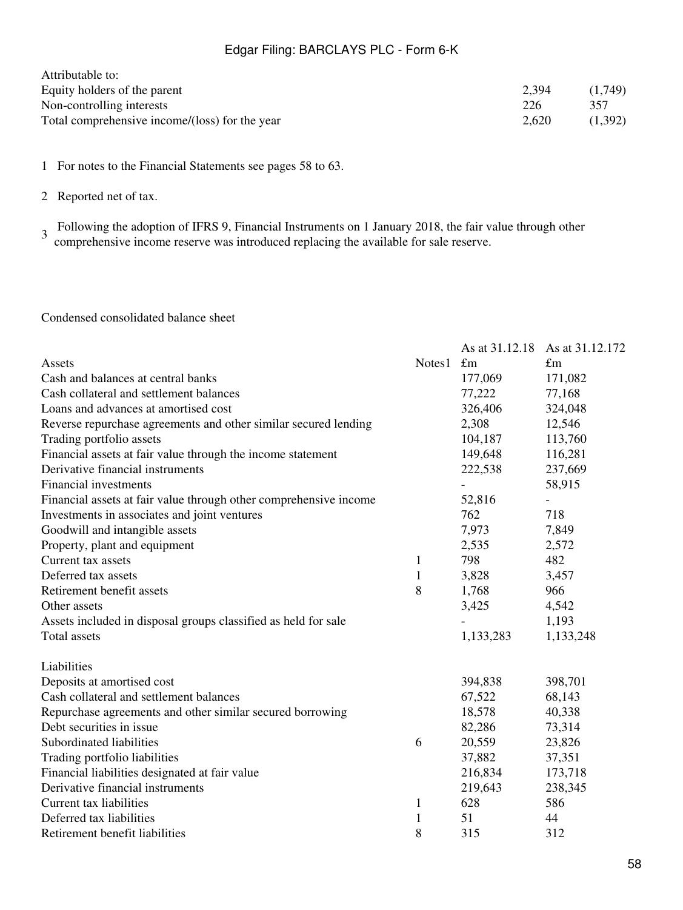| Attributable to:                               |       |         |
|------------------------------------------------|-------|---------|
| Equity holders of the parent                   | 2,394 | (1.749) |
| Non-controlling interests                      | 226   | 357     |
| Total comprehensive income/(loss) for the year | 2.620 | (1.392) |

1 For notes to the Financial Statements see pages 58 to 63.

2 Reported net of tax.

3 Following the adoption of IFRS 9, Financial Instruments on 1 January 2018, the fair value through other comprehensive income reserve was introduced replacing the available for sale reserve.

Condensed consolidated balance sheet

|                                                                   |              |                          | As at 31.12.18 As at 31.12.172 |
|-------------------------------------------------------------------|--------------|--------------------------|--------------------------------|
| Assets                                                            | Notes1       | $\pounds$ m              | $\pounds$ m                    |
| Cash and balances at central banks                                |              | 177,069                  | 171,082                        |
| Cash collateral and settlement balances                           |              | 77,222                   | 77,168                         |
| Loans and advances at amortised cost                              |              | 326,406                  | 324,048                        |
| Reverse repurchase agreements and other similar secured lending   |              | 2,308                    | 12,546                         |
| Trading portfolio assets                                          |              | 104,187                  | 113,760                        |
| Financial assets at fair value through the income statement       |              | 149,648                  | 116,281                        |
| Derivative financial instruments                                  |              | 222,538                  | 237,669                        |
| <b>Financial investments</b>                                      |              | $\overline{\phantom{0}}$ | 58,915                         |
| Financial assets at fair value through other comprehensive income |              | 52,816                   |                                |
| Investments in associates and joint ventures                      |              | 762                      | 718                            |
| Goodwill and intangible assets                                    |              | 7,973                    | 7,849                          |
| Property, plant and equipment                                     |              | 2,535                    | 2,572                          |
| Current tax assets                                                | $\mathbf{1}$ | 798                      | 482                            |
| Deferred tax assets                                               | $\mathbf{1}$ | 3,828                    | 3,457                          |
| Retirement benefit assets                                         | 8            | 1,768                    | 966                            |
| Other assets                                                      |              | 3,425                    | 4,542                          |
| Assets included in disposal groups classified as held for sale    |              |                          | 1,193                          |
| <b>Total assets</b>                                               |              | 1,133,283                | 1,133,248                      |
| Liabilities                                                       |              |                          |                                |
| Deposits at amortised cost                                        |              | 394,838                  | 398,701                        |
| Cash collateral and settlement balances                           |              | 67,522                   | 68,143                         |
| Repurchase agreements and other similar secured borrowing         |              | 18,578                   | 40,338                         |
| Debt securities in issue                                          |              | 82,286                   | 73,314                         |
| Subordinated liabilities                                          | 6            | 20,559                   | 23,826                         |
| Trading portfolio liabilities                                     |              | 37,882                   | 37,351                         |
| Financial liabilities designated at fair value                    |              | 216,834                  | 173,718                        |
| Derivative financial instruments                                  |              | 219,643                  | 238,345                        |
| Current tax liabilities                                           | $\mathbf{1}$ | 628                      | 586                            |
| Deferred tax liabilities                                          | $\mathbf{1}$ | 51                       | 44                             |
| Retirement benefit liabilities                                    | 8            | 315                      | 312                            |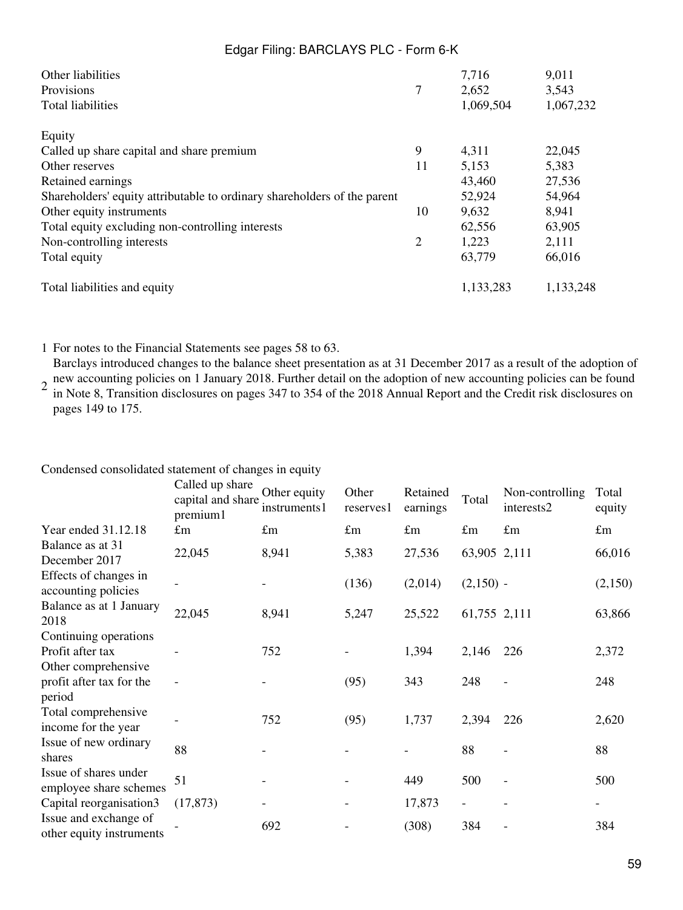| Other liabilities<br>Provisions<br><b>Total liabilities</b>              | 7              | 7,716<br>2,652<br>1,069,504 | 9,011<br>3,543<br>1,067,232 |
|--------------------------------------------------------------------------|----------------|-----------------------------|-----------------------------|
| Equity                                                                   |                |                             |                             |
| Called up share capital and share premium                                | 9              | 4,311                       | 22,045                      |
| Other reserves                                                           | 11             | 5,153                       | 5,383                       |
| Retained earnings                                                        |                | 43,460                      | 27,536                      |
| Shareholders' equity attributable to ordinary shareholders of the parent |                | 52,924                      | 54,964                      |
| Other equity instruments                                                 | 10             | 9,632                       | 8,941                       |
| Total equity excluding non-controlling interests                         |                | 62,556                      | 63,905                      |
| Non-controlling interests                                                | $\overline{2}$ | 1,223                       | 2,111                       |
| Total equity                                                             |                | 63,779                      | 66,016                      |
| Total liabilities and equity                                             |                | 1,133,283                   | 1,133,248                   |

1 For notes to the Financial Statements see pages 58 to 63.

2 Barclays introduced changes to the balance sheet presentation as at 31 December 2017 as a result of the adoption of new accounting policies on 1 January 2018. Further detail on the adoption of new accounting policies can be found in Note 8, Transition disclosures on pages 347 to 354 of the 2018 Annual Report and the Credit risk disclosures on

pages 149 to 175.

|                                                                  | Called up share<br>capital and share.<br>premium1 | Other equity<br>instruments1 | Other<br>reserves1 | Retained<br>earnings | Total        | Non-controlling<br>interests2 | Total<br>equity          |
|------------------------------------------------------------------|---------------------------------------------------|------------------------------|--------------------|----------------------|--------------|-------------------------------|--------------------------|
| Year ended 31.12.18                                              | $\pounds$ m                                       | $\pounds$ m                  | $\pounds$ m        | $\pounds$ m          | $\pounds$ m  | $\pounds$ m                   | $\pounds$ m              |
| Balance as at 31<br>December 2017                                | 22,045                                            | 8,941                        | 5,383              | 27,536               | 63,905 2,111 |                               | 66,016                   |
| Effects of changes in<br>accounting policies                     |                                                   |                              | (136)              | (2,014)              | $(2,150)$ -  |                               | (2,150)                  |
| Balance as at 1 January<br>2018                                  | 22,045                                            | 8,941                        | 5,247              | 25,522               | 61,755 2,111 |                               | 63,866                   |
| Continuing operations<br>Profit after tax<br>Other comprehensive |                                                   | 752                          |                    | 1,394                | 2,146        | 226                           | 2,372                    |
| profit after tax for the<br>period                               |                                                   |                              | (95)               | 343                  | 248          |                               | 248                      |
| Total comprehensive<br>income for the year                       |                                                   | 752                          | (95)               | 1,737                | 2,394        | 226                           | 2,620                    |
| Issue of new ordinary<br>shares                                  | 88                                                |                              |                    |                      | 88           |                               | 88                       |
| Issue of shares under<br>employee share schemes                  | 51                                                |                              |                    | 449                  | 500          |                               | 500                      |
| Capital reorganisation3                                          | (17, 873)                                         |                              |                    | 17,873               |              |                               | $\overline{\phantom{a}}$ |
| Issue and exchange of<br>other equity instruments                |                                                   | 692                          |                    | (308)                | 384          |                               | 384                      |

Condensed consolidated statement of changes in equity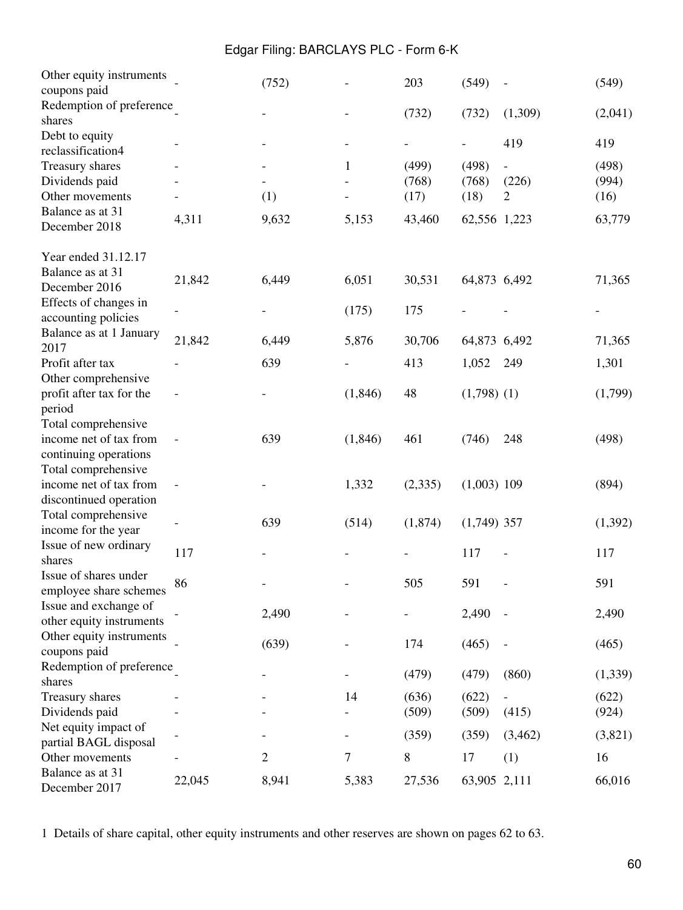| Other equity instruments |                   |              |          | 203     | (549)         |                | (549)   |
|--------------------------|-------------------|--------------|----------|---------|---------------|----------------|---------|
| coupons paid             |                   | (752)        |          |         |               |                |         |
| Redemption of preference |                   |              |          |         |               |                |         |
| shares                   |                   |              |          | (732)   | (732)         | (1,309)        | (2,041) |
| Debt to equity           |                   |              |          |         |               |                |         |
| reclassification4        |                   |              |          |         |               | 419            | 419     |
| Treasury shares          |                   |              | 1        | (499)   | (498)         |                | (498)   |
| Dividends paid           |                   |              |          | (768)   | (768)         | (226)          | (994)   |
| Other movements          |                   | (1)          |          | (17)    | (18)          | $\overline{2}$ | (16)    |
| Balance as at 31         |                   |              |          |         |               |                |         |
| December 2018            | 4,311             | 9,632        | 5,153    | 43,460  | 62,556 1,223  |                | 63,779  |
|                          |                   |              |          |         |               |                |         |
| Year ended 31.12.17      |                   |              |          |         |               |                |         |
| Balance as at 31         | 21,842            | 6,449        | 6,051    | 30,531  | 64,873 6,492  |                | 71,365  |
| December 2016            |                   |              |          |         |               |                |         |
| Effects of changes in    |                   |              | (175)    | 175     |               |                |         |
| accounting policies      |                   |              |          |         |               |                |         |
| Balance as at 1 January  | 21,842            | 6,449        | 5,876    | 30,706  |               |                |         |
| 2017                     |                   |              |          |         | 64,873 6,492  |                | 71,365  |
| Profit after tax         |                   | 639          |          | 413     | 1,052         | 249            | 1,301   |
| Other comprehensive      |                   |              |          |         |               |                |         |
| profit after tax for the |                   |              | (1, 846) | 48      | $(1,798)$ (1) |                | (1,799) |
| period                   |                   |              |          |         |               |                |         |
| Total comprehensive      |                   |              |          |         |               |                |         |
| income net of tax from   | $\qquad \qquad -$ | 639          | (1, 846) | 461     | (746)         | 248            | (498)   |
| continuing operations    |                   |              |          |         |               |                |         |
| Total comprehensive      |                   |              |          |         |               |                |         |
| income net of tax from   |                   |              | 1,332    | (2,335) | $(1,003)$ 109 |                | (894)   |
| discontinued operation   |                   |              |          |         |               |                |         |
| Total comprehensive      |                   |              |          |         |               |                |         |
| income for the year      |                   | 639          | (514)    | (1,874) | $(1,749)$ 357 |                | (1,392) |
| Issue of new ordinary    |                   |              |          |         |               |                |         |
| shares                   | 117               |              |          |         | 117           |                | 117     |
| Issue of shares under    |                   |              |          |         |               |                |         |
| employee share schemes   | 86                |              |          | 505     | 591           |                | 591     |
| Issue and exchange of    |                   |              |          |         |               |                |         |
| other equity instruments |                   | 2,490        |          |         | 2,490         |                | 2,490   |
| Other equity instruments |                   |              |          |         |               |                |         |
| coupons paid             |                   | (639)        |          | 174     | (465)         |                | (465)   |
| Redemption of preference |                   |              |          |         |               |                |         |
| shares                   |                   |              |          | (479)   | (479)         | (860)          | (1,339) |
|                          |                   |              | 14       |         |               |                |         |
| Treasury shares          |                   |              |          | (636)   | (622)         |                | (622)   |
| Dividends paid           |                   |              |          | (509)   | (509)         | (415)          | (924)   |
| Net equity impact of     |                   |              |          | (359)   | (359)         | (3,462)        | (3,821) |
| partial BAGL disposal    |                   |              |          |         |               |                |         |
| Other movements          |                   | $\mathbf{2}$ | 7        | 8       | 17            | (1)            | 16      |
| Balance as at 31         | 22,045            | 8,941        | 5,383    | 27,536  | 63,905 2,111  |                | 66,016  |
| December 2017            |                   |              |          |         |               |                |         |

1 Details of share capital, other equity instruments and other reserves are shown on pages 62 to 63.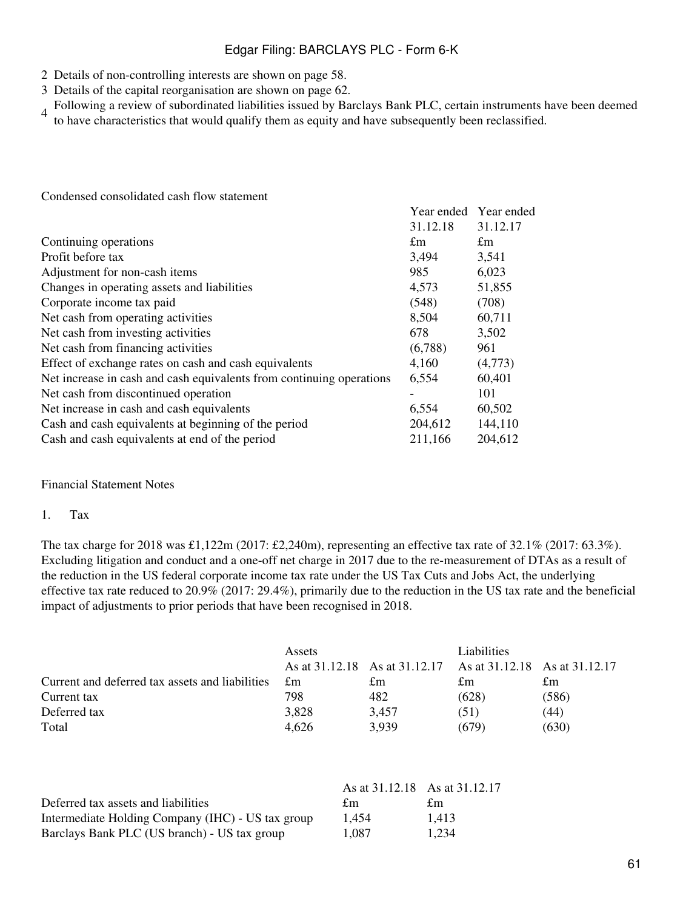- 2 Details of non-controlling interests are shown on page 58.
- 3 Details of the capital reorganisation are shown on page 62.
- 4 Following a review of subordinated liabilities issued by Barclays Bank PLC, certain instruments have been deemed<br>4 to have abereateristics that would qualify them as south and have urbesquartly hear realessified. to have characteristics that would qualify them as equity and have subsequently been reclassified.

Year ended Year ended

Condensed consolidated cash flow statement

|                                                                      | 31.12.18 | 31.12.17    |
|----------------------------------------------------------------------|----------|-------------|
| Continuing operations                                                | £m       | $\pounds$ m |
| Profit before tax                                                    | 3,494    | 3,541       |
| Adjustment for non-cash items                                        | 985      | 6,023       |
| Changes in operating assets and liabilities                          | 4,573    | 51,855      |
| Corporate income tax paid                                            | (548)    | (708)       |
| Net cash from operating activities                                   | 8,504    | 60,711      |
| Net cash from investing activities                                   | 678      | 3,502       |
| Net cash from financing activities                                   | (6,788)  | 961         |
| Effect of exchange rates on cash and cash equivalents                | 4,160    | (4,773)     |
| Net increase in cash and cash equivalents from continuing operations | 6,554    | 60,401      |
| Net cash from discontinued operation                                 |          | 101         |
| Net increase in cash and cash equivalents                            | 6,554    | 60,502      |
| Cash and cash equivalents at beginning of the period                 | 204,612  | 144,110     |
| Cash and cash equivalents at end of the period                       | 211,166  | 204,612     |

#### Financial Statement Notes

#### 1. Tax

The tax charge for 2018 was £1,122m (2017: £2,240m), representing an effective tax rate of 32.1% (2017: 63.3%). Excluding litigation and conduct and a one-off net charge in 2017 due to the re-measurement of DTAs as a result of the reduction in the US federal corporate income tax rate under the US Tax Cuts and Jobs Act, the underlying effective tax rate reduced to 20.9% (2017: 29.4%), primarily due to the reduction in the US tax rate and the beneficial impact of adjustments to prior periods that have been recognised in 2018.

|                                                 | Assets      |                                                             | Liabilities |       |
|-------------------------------------------------|-------------|-------------------------------------------------------------|-------------|-------|
|                                                 |             | As at 31.12.18 As at 31.12.17 As at 31.12.18 As at 31.12.17 |             |       |
| Current and deferred tax assets and liabilities | $\pounds$ m | £m                                                          | £m          | £m    |
| Current tax                                     | 798         | 482                                                         | (628)       | (586) |
| Deferred tax                                    | 3,828       | 3.457                                                       | (51)        | (44)  |
| Total                                           | 4.626       | 3,939                                                       | (679)       | (630) |

|                                                   | As at 31.12.18 As at 31.12.17 |       |
|---------------------------------------------------|-------------------------------|-------|
| Deferred tax assets and liabilities               | £m                            | £m    |
| Intermediate Holding Company (IHC) - US tax group | 1.454                         | 1.413 |
| Barclays Bank PLC (US branch) - US tax group      | 1.087                         | 1.234 |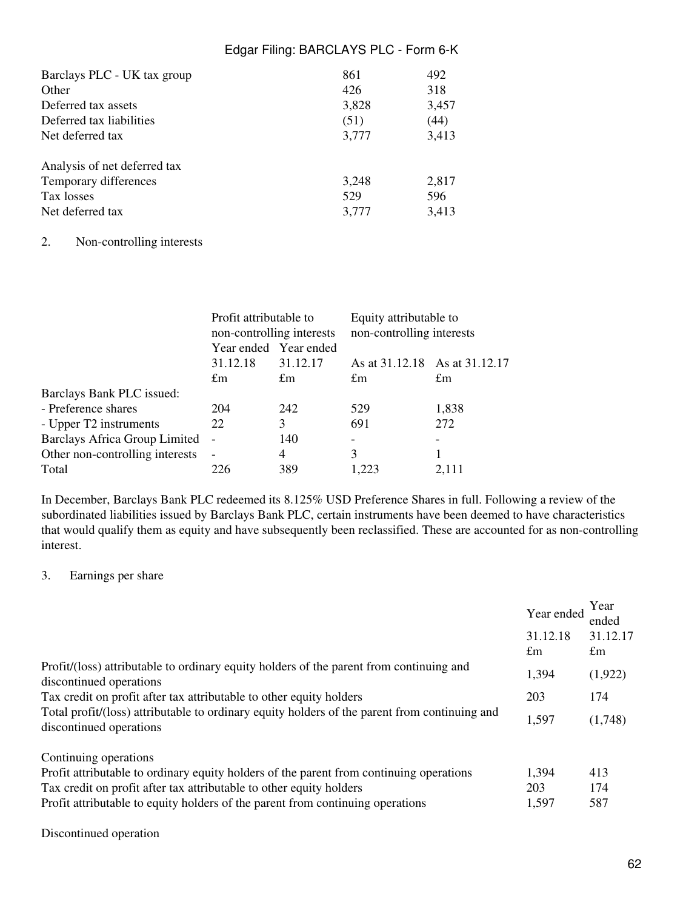| Barclays PLC - UK tax group  | 861   | 492   |
|------------------------------|-------|-------|
| Other                        | 426   | 318   |
| Deferred tax assets          | 3,828 | 3,457 |
| Deferred tax liabilities     | (51)  | (44)  |
| Net deferred tax             | 3,777 | 3,413 |
| Analysis of net deferred tax |       |       |
| Temporary differences        | 3,248 | 2,817 |
| Tax losses                   | 529   | 596   |
| Net deferred tax             | 3,777 | 3,413 |

#### 2. Non-controlling interests

| Profit attributable to<br>non-controlling interests |             | Equity attributable to<br>non-controlling interests |             |
|-----------------------------------------------------|-------------|-----------------------------------------------------|-------------|
| Year ended Year ended                               |             |                                                     |             |
| 31.12.18                                            | 31.12.17    | As at 31.12.18 As at 31.12.17                       |             |
| £m                                                  | $\pounds$ m | $\pounds$ m                                         | $\pounds$ m |
|                                                     |             |                                                     |             |
| 204                                                 | 242         | 529                                                 | 1,838       |
| 22                                                  | 3           | 691                                                 | 272         |
| <b>Barclays Africa Group Limited</b>                | 140         |                                                     |             |
| $\sim$                                              | 4           | 3                                                   |             |
| 226                                                 | 389         | 1.223                                               | 2.111       |
|                                                     |             |                                                     |             |

In December, Barclays Bank PLC redeemed its 8.125% USD Preference Shares in full. Following a review of the subordinated liabilities issued by Barclays Bank PLC, certain instruments have been deemed to have characteristics that would qualify them as equity and have subsequently been reclassified. These are accounted for as non-controlling interest.

#### 3. Earnings per share

|                                                                                                                                                                                                                                                  | Year ended<br>31.12.18<br>$\pounds$ m | Year<br>ended<br>31.12.17<br>$\pounds$ m |
|--------------------------------------------------------------------------------------------------------------------------------------------------------------------------------------------------------------------------------------------------|---------------------------------------|------------------------------------------|
| Profit/(loss) attributable to ordinary equity holders of the parent from continuing and<br>discontinued operations                                                                                                                               | 1,394                                 | (1,922)                                  |
| Tax credit on profit after tax attributable to other equity holders                                                                                                                                                                              | 203                                   | 174                                      |
| Total profit/(loss) attributable to ordinary equity holders of the parent from continuing and<br>discontinued operations                                                                                                                         | 1,597                                 | (1,748)                                  |
| Continuing operations                                                                                                                                                                                                                            |                                       |                                          |
| Profit attributable to ordinary equity holders of the parent from continuing operations<br>Tax credit on profit after tax attributable to other equity holders<br>Profit attributable to equity holders of the parent from continuing operations | 1,394<br>203<br>1,597                 | 413<br>174<br>587                        |

#### Discontinued operation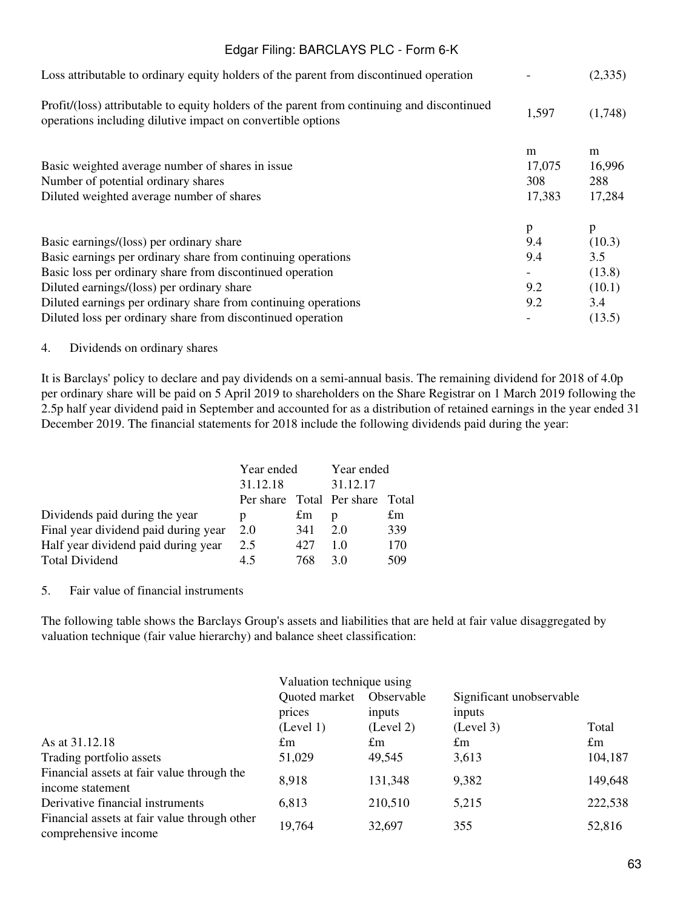|        | (2,335) |
|--------|---------|
| 1,597  | (1,748) |
| m      | m       |
| 17,075 | 16,996  |
| 308    | 288     |
| 17,383 | 17,284  |
|        | p       |
| 9.4    | (10.3)  |
| 9.4    | 3.5     |
|        | (13.8)  |
| 9.2    | (10.1)  |
| 9.2    | 3.4     |
|        | (13.5)  |
|        | p       |

#### 4. Dividends on ordinary shares

It is Barclays' policy to declare and pay dividends on a semi-annual basis. The remaining dividend for 2018 of 4.0p per ordinary share will be paid on 5 April 2019 to shareholders on the Share Registrar on 1 March 2019 following the 2.5p half year dividend paid in September and accounted for as a distribution of retained earnings in the year ended 31 December 2019. The financial statements for 2018 include the following dividends paid during the year:

|                                      | Year ended |     | Year ended                |       |
|--------------------------------------|------------|-----|---------------------------|-------|
|                                      | 31.12.18   |     | 31.12.17                  |       |
|                                      |            |     | Per share Total Per share | Total |
| Dividends paid during the year       | р          | £m  | D                         | £m    |
| Final year dividend paid during year | 2.0        | 341 | 2.0                       | 339   |
| Half year dividend paid during year  | 2.5        | 427 | 10                        | 170   |
| <b>Total Dividend</b>                | 45         | 768 | 3 O                       | 509   |

### 5. Fair value of financial instruments

The following table shows the Barclays Group's assets and liabilities that are held at fair value disaggregated by valuation technique (fair value hierarchy) and balance sheet classification:

|                                                                      | Valuation technique using |                      |                                    |             |  |
|----------------------------------------------------------------------|---------------------------|----------------------|------------------------------------|-------------|--|
|                                                                      | Quoted market<br>prices   | Observable<br>inputs | Significant unobservable<br>inputs |             |  |
|                                                                      | (Level 1)                 | (Level 2)            | (Level 3)                          | Total       |  |
| As at 31.12.18                                                       | $\pounds$ m               | $\pounds$ m          | £m                                 | $\pounds$ m |  |
| Trading portfolio assets                                             | 51,029                    | 49.545               | 3,613                              | 104,187     |  |
| Financial assets at fair value through the<br>income statement       | 8,918                     | 131,348              | 9,382                              | 149,648     |  |
| Derivative financial instruments                                     | 6,813                     | 210,510              | 5,215                              | 222,538     |  |
| Financial assets at fair value through other<br>comprehensive income | 19,764                    | 32,697               | 355                                | 52,816      |  |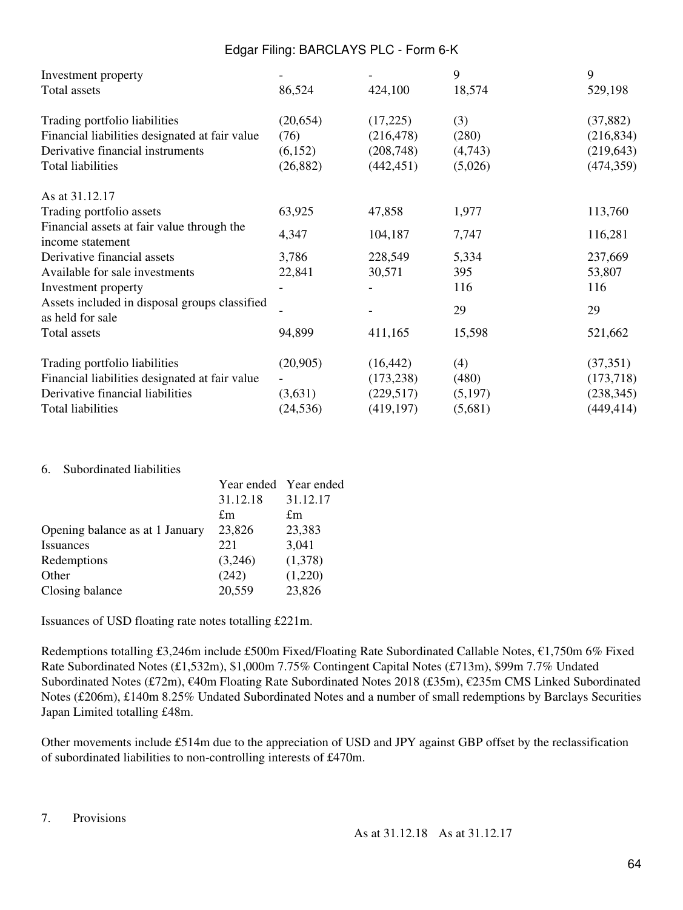| Investment property                                               |           |            | 9       | 9          |
|-------------------------------------------------------------------|-----------|------------|---------|------------|
| Total assets                                                      | 86,524    | 424,100    | 18,574  | 529,198    |
| Trading portfolio liabilities                                     | (20,654)  | (17,225)   | (3)     | (37, 882)  |
| Financial liabilities designated at fair value                    | (76)      | (216, 478) | (280)   | (216, 834) |
| Derivative financial instruments                                  | (6,152)   | (208, 748) | (4,743) | (219, 643) |
| <b>Total liabilities</b>                                          | (26, 882) | (442, 451) | (5,026) | (474, 359) |
| As at 31.12.17                                                    |           |            |         |            |
| Trading portfolio assets                                          | 63,925    | 47,858     | 1,977   | 113,760    |
| Financial assets at fair value through the<br>income statement    | 4,347     | 104,187    | 7,747   | 116,281    |
| Derivative financial assets                                       | 3,786     | 228,549    | 5,334   | 237,669    |
| Available for sale investments                                    | 22,841    | 30,571     | 395     | 53,807     |
| Investment property                                               |           |            | 116     | 116        |
| Assets included in disposal groups classified<br>as held for sale |           |            | 29      | 29         |
| Total assets                                                      | 94,899    | 411,165    | 15,598  | 521,662    |
| Trading portfolio liabilities                                     | (20,905)  | (16, 442)  | (4)     | (37,351)   |
| Financial liabilities designated at fair value                    |           | (173, 238) | (480)   | (173, 718) |
| Derivative financial liabilities                                  | (3,631)   | (229,517)  | (5,197) | (238, 345) |
| <b>Total liabilities</b>                                          | (24, 536) | (419, 197) | (5,681) | (449, 414) |

#### 6. Subordinated liabilities

|                                 |          | Year ended Year ended |
|---------------------------------|----------|-----------------------|
|                                 | 31.12.18 | 31.12.17              |
|                                 | £m       | £m                    |
| Opening balance as at 1 January | 23,826   | 23,383                |
| <i><u><b>Issuances</b></u></i>  | 221      | 3,041                 |
| Redemptions                     | (3,246)  | (1,378)               |
| Other                           | (242)    | (1,220)               |
| Closing balance                 | 20,559   | 23,826                |

Issuances of USD floating rate notes totalling £221m.

Redemptions totalling £3,246m include £500m Fixed/Floating Rate Subordinated Callable Notes, €1,750m 6% Fixed Rate Subordinated Notes (£1,532m), \$1,000m 7.75% Contingent Capital Notes (£713m), \$99m 7.7% Undated Subordinated Notes (£72m), €40m Floating Rate Subordinated Notes 2018 (£35m), €235m CMS Linked Subordinated Notes (£206m), £140m 8.25% Undated Subordinated Notes and a number of small redemptions by Barclays Securities Japan Limited totalling £48m.

Other movements include £514m due to the appreciation of USD and JPY against GBP offset by the reclassification of subordinated liabilities to non-controlling interests of £470m.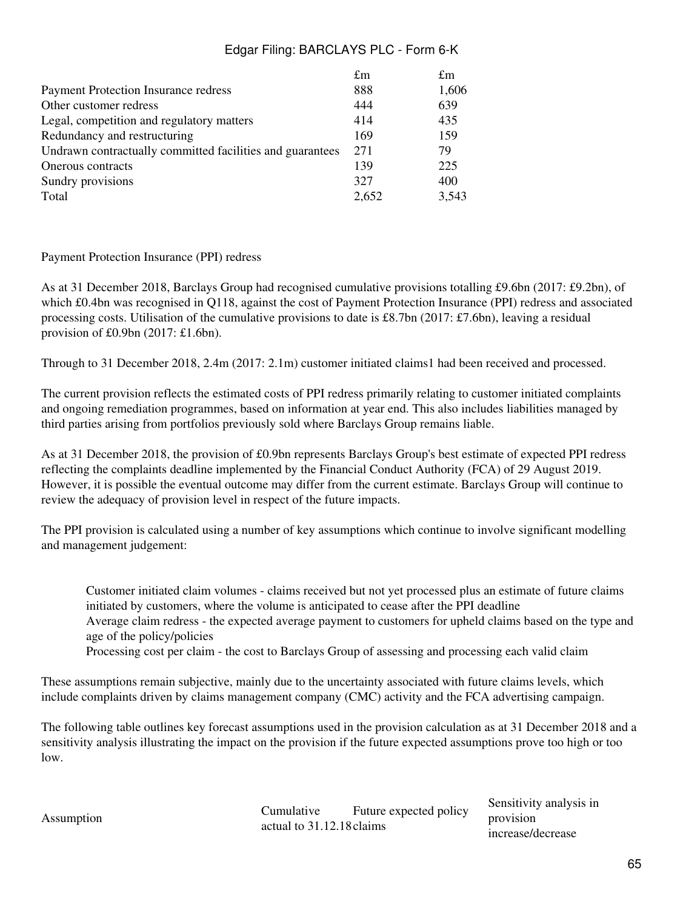|                                                           | £m    | £m    |
|-----------------------------------------------------------|-------|-------|
| <b>Payment Protection Insurance redress</b>               | 888   | 1,606 |
| Other customer redress                                    | 444   | 639   |
| Legal, competition and regulatory matters                 | 414   | 435   |
| Redundancy and restructuring                              | 169   | 159   |
| Undrawn contractually committed facilities and guarantees | 271   | 79    |
| Onerous contracts                                         | 139   | 225   |
| Sundry provisions                                         | 327   | 400   |
| Total                                                     | 2,652 | 3,543 |

### Payment Protection Insurance (PPI) redress

As at 31 December 2018, Barclays Group had recognised cumulative provisions totalling £9.6bn (2017: £9.2bn), of which £0.4bn was recognised in Q118, against the cost of Payment Protection Insurance (PPI) redress and associated processing costs. Utilisation of the cumulative provisions to date is £8.7bn (2017: £7.6bn), leaving a residual provision of £0.9bn (2017: £1.6bn).

Through to 31 December 2018, 2.4m (2017: 2.1m) customer initiated claims1 had been received and processed.

The current provision reflects the estimated costs of PPI redress primarily relating to customer initiated complaints and ongoing remediation programmes, based on information at year end. This also includes liabilities managed by third parties arising from portfolios previously sold where Barclays Group remains liable.

As at 31 December 2018, the provision of £0.9bn represents Barclays Group's best estimate of expected PPI redress reflecting the complaints deadline implemented by the Financial Conduct Authority (FCA) of 29 August 2019. However, it is possible the eventual outcome may differ from the current estimate. Barclays Group will continue to review the adequacy of provision level in respect of the future impacts.

The PPI provision is calculated using a number of key assumptions which continue to involve significant modelling and management judgement:

Customer initiated claim volumes - claims received but not yet processed plus an estimate of future claims initiated by customers, where the volume is anticipated to cease after the PPI deadline Average claim redress - the expected average payment to customers for upheld claims based on the type and age of the policy/policies

Processing cost per claim - the cost to Barclays Group of assessing and processing each valid claim

These assumptions remain subjective, mainly due to the uncertainty associated with future claims levels, which include complaints driven by claims management company (CMC) activity and the FCA advertising campaign.

The following table outlines key forecast assumptions used in the provision calculation as at 31 December 2018 and a sensitivity analysis illustrating the impact on the provision if the future expected assumptions prove too high or too low.

Assumption Cumulative Cumulative actual to 31.12.18 claims Future expected policy

Sensitivity analysis in provision increase/decrease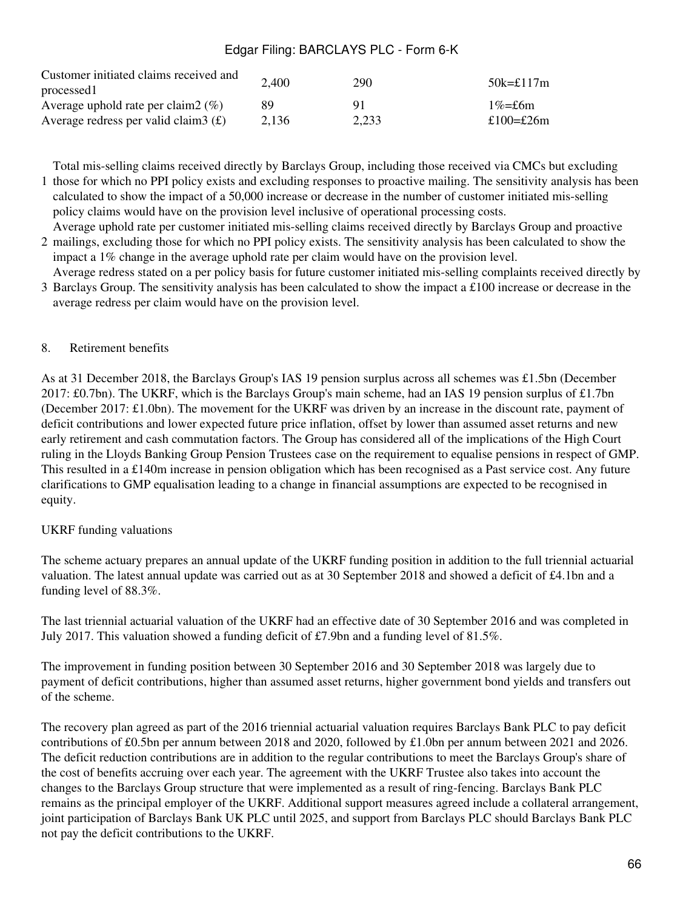| Customer initiated claims received and<br>processed | 2,400 | 290   | $50k = £117m$ |
|-----------------------------------------------------|-------|-------|---------------|
| Average uphold rate per claim $2 \ (\%)$            | 89    | 91    | $1\% = f6m$   |
| Average redress per valid claim $3(f)$              | 2.136 | 2,233 | £100=£26m     |

1 those for which no PPI policy exists and excluding responses to proactive mailing. The sensitivity analysis has been Total mis-selling claims received directly by Barclays Group, including those received via CMCs but excluding calculated to show the impact of a 50,000 increase or decrease in the number of customer initiated mis-selling policy claims would have on the provision level inclusive of operational processing costs.

2 mailings, excluding those for which no PPI policy exists. The sensitivity analysis has been calculated to show the Average uphold rate per customer initiated mis-selling claims received directly by Barclays Group and proactive impact a 1% change in the average uphold rate per claim would have on the provision level.

3 Barclays Group. The sensitivity analysis has been calculated to show the impact a £100 increase or decrease in the Average redress stated on a per policy basis for future customer initiated mis-selling complaints received directly by average redress per claim would have on the provision level.

### 8. Retirement benefits

As at 31 December 2018, the Barclays Group's IAS 19 pension surplus across all schemes was £1.5bn (December 2017: £0.7bn). The UKRF, which is the Barclays Group's main scheme, had an IAS 19 pension surplus of £1.7bn (December 2017: £1.0bn). The movement for the UKRF was driven by an increase in the discount rate, payment of deficit contributions and lower expected future price inflation, offset by lower than assumed asset returns and new early retirement and cash commutation factors. The Group has considered all of the implications of the High Court ruling in the Lloyds Banking Group Pension Trustees case on the requirement to equalise pensions in respect of GMP. This resulted in a £140m increase in pension obligation which has been recognised as a Past service cost. Any future clarifications to GMP equalisation leading to a change in financial assumptions are expected to be recognised in equity.

### UKRF funding valuations

The scheme actuary prepares an annual update of the UKRF funding position in addition to the full triennial actuarial valuation. The latest annual update was carried out as at 30 September 2018 and showed a deficit of £4.1bn and a funding level of 88.3%.

The last triennial actuarial valuation of the UKRF had an effective date of 30 September 2016 and was completed in July 2017. This valuation showed a funding deficit of £7.9bn and a funding level of 81.5%.

The improvement in funding position between 30 September 2016 and 30 September 2018 was largely due to payment of deficit contributions, higher than assumed asset returns, higher government bond yields and transfers out of the scheme.

The recovery plan agreed as part of the 2016 triennial actuarial valuation requires Barclays Bank PLC to pay deficit contributions of £0.5bn per annum between 2018 and 2020, followed by £1.0bn per annum between 2021 and 2026. The deficit reduction contributions are in addition to the regular contributions to meet the Barclays Group's share of the cost of benefits accruing over each year. The agreement with the UKRF Trustee also takes into account the changes to the Barclays Group structure that were implemented as a result of ring-fencing. Barclays Bank PLC remains as the principal employer of the UKRF. Additional support measures agreed include a collateral arrangement, joint participation of Barclays Bank UK PLC until 2025, and support from Barclays PLC should Barclays Bank PLC not pay the deficit contributions to the UKRF.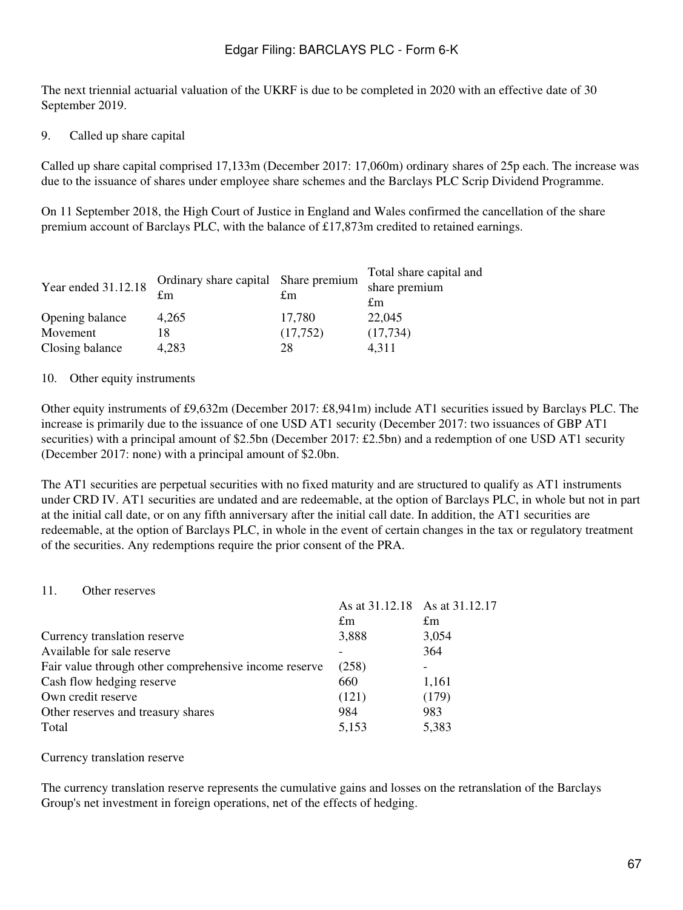The next triennial actuarial valuation of the UKRF is due to be completed in 2020 with an effective date of 30 September 2019.

### 9. Called up share capital

Called up share capital comprised 17,133m (December 2017: 17,060m) ordinary shares of 25p each. The increase was due to the issuance of shares under employee share schemes and the Barclays PLC Scrip Dividend Programme.

On 11 September 2018, the High Court of Justice in England and Wales confirmed the cancellation of the share premium account of Barclays PLC, with the balance of £17,873m credited to retained earnings.

| Year ended 31.12.18 | Ordinary share capital Share premium<br>£m | £m       | Total share capital and<br>share premium<br>$\pounds$ m |
|---------------------|--------------------------------------------|----------|---------------------------------------------------------|
| Opening balance     | 4.265                                      | 17.780   | 22,045                                                  |
| Movement            |                                            | (17,752) | (17, 734)                                               |
| Closing balance     | 4,283                                      | 28       | 4.311                                                   |

#### 10. Other equity instruments

Other equity instruments of £9,632m (December 2017: £8,941m) include AT1 securities issued by Barclays PLC. The increase is primarily due to the issuance of one USD AT1 security (December 2017: two issuances of GBP AT1 securities) with a principal amount of \$2.5bn (December 2017: £2.5bn) and a redemption of one USD AT1 security (December 2017: none) with a principal amount of \$2.0bn.

The AT1 securities are perpetual securities with no fixed maturity and are structured to qualify as AT1 instruments under CRD IV. AT1 securities are undated and are redeemable, at the option of Barclays PLC, in whole but not in part at the initial call date, or on any fifth anniversary after the initial call date. In addition, the AT1 securities are redeemable, at the option of Barclays PLC, in whole in the event of certain changes in the tax or regulatory treatment of the securities. Any redemptions require the prior consent of the PRA.

#### 11 Other reserves

|                                                       |       | As at 31.12.18 As at 31.12.17 |
|-------------------------------------------------------|-------|-------------------------------|
|                                                       | £m    | $\pounds$ m                   |
| Currency translation reserve                          | 3,888 | 3,054                         |
| Available for sale reserve                            |       | 364                           |
| Fair value through other comprehensive income reserve | (258) |                               |
| Cash flow hedging reserve                             | 660   | 1,161                         |
| Own credit reserve                                    | (121) | (179)                         |
| Other reserves and treasury shares                    | 984   | 983                           |
| Total                                                 | 5,153 | 5,383                         |
|                                                       |       |                               |

#### Currency translation reserve

The currency translation reserve represents the cumulative gains and losses on the retranslation of the Barclays Group's net investment in foreign operations, net of the effects of hedging.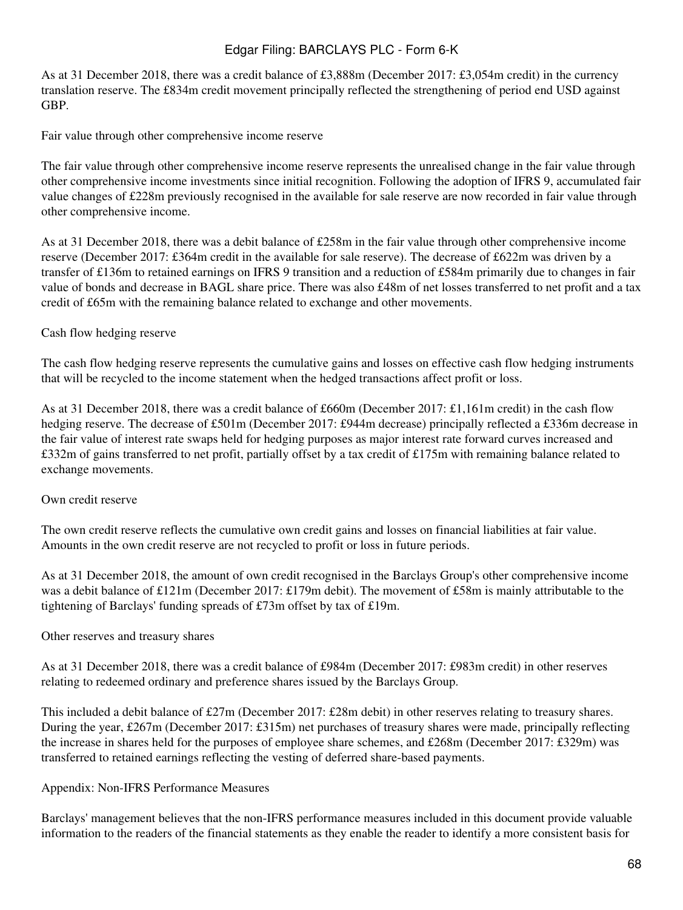As at 31 December 2018, there was a credit balance of £3,888m (December 2017: £3,054m credit) in the currency translation reserve. The £834m credit movement principally reflected the strengthening of period end USD against GBP.

Fair value through other comprehensive income reserve

The fair value through other comprehensive income reserve represents the unrealised change in the fair value through other comprehensive income investments since initial recognition. Following the adoption of IFRS 9, accumulated fair value changes of £228m previously recognised in the available for sale reserve are now recorded in fair value through other comprehensive income.

As at 31 December 2018, there was a debit balance of £258m in the fair value through other comprehensive income reserve (December 2017: £364m credit in the available for sale reserve). The decrease of £622m was driven by a transfer of £136m to retained earnings on IFRS 9 transition and a reduction of £584m primarily due to changes in fair value of bonds and decrease in BAGL share price. There was also £48m of net losses transferred to net profit and a tax credit of £65m with the remaining balance related to exchange and other movements.

### Cash flow hedging reserve

The cash flow hedging reserve represents the cumulative gains and losses on effective cash flow hedging instruments that will be recycled to the income statement when the hedged transactions affect profit or loss.

As at 31 December 2018, there was a credit balance of £660m (December 2017: £1,161m credit) in the cash flow hedging reserve. The decrease of £501m (December 2017: £944m decrease) principally reflected a £336m decrease in the fair value of interest rate swaps held for hedging purposes as major interest rate forward curves increased and £332m of gains transferred to net profit, partially offset by a tax credit of £175m with remaining balance related to exchange movements.

### Own credit reserve

The own credit reserve reflects the cumulative own credit gains and losses on financial liabilities at fair value. Amounts in the own credit reserve are not recycled to profit or loss in future periods.

As at 31 December 2018, the amount of own credit recognised in the Barclays Group's other comprehensive income was a debit balance of £121m (December 2017: £179m debit). The movement of £58m is mainly attributable to the tightening of Barclays' funding spreads of £73m offset by tax of £19m.

#### Other reserves and treasury shares

As at 31 December 2018, there was a credit balance of £984m (December 2017: £983m credit) in other reserves relating to redeemed ordinary and preference shares issued by the Barclays Group.

This included a debit balance of £27m (December 2017: £28m debit) in other reserves relating to treasury shares. During the year, £267m (December 2017: £315m) net purchases of treasury shares were made, principally reflecting the increase in shares held for the purposes of employee share schemes, and £268m (December 2017: £329m) was transferred to retained earnings reflecting the vesting of deferred share-based payments.

#### Appendix: Non-IFRS Performance Measures

Barclays' management believes that the non-IFRS performance measures included in this document provide valuable information to the readers of the financial statements as they enable the reader to identify a more consistent basis for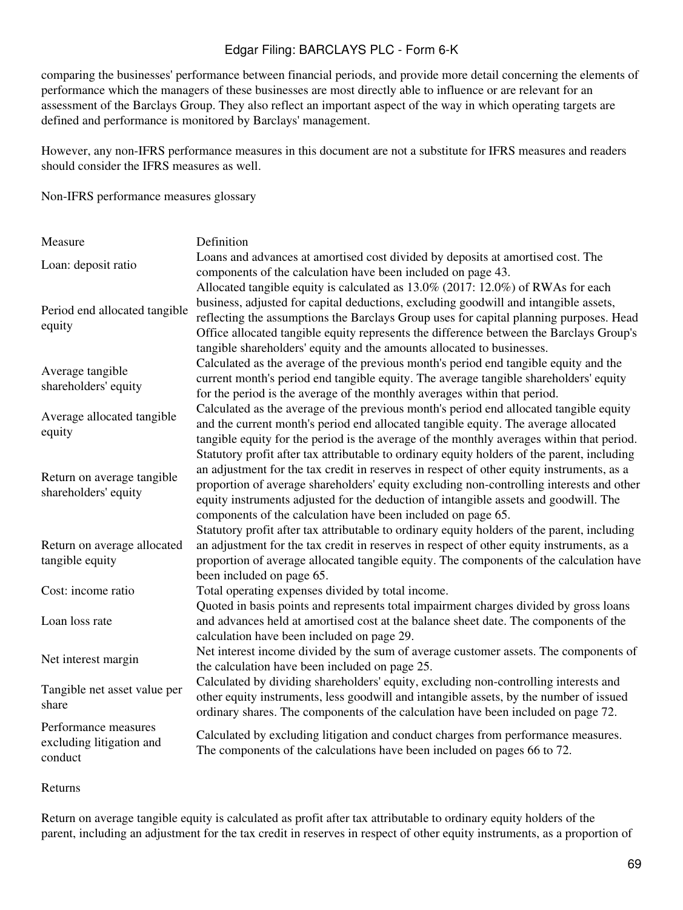comparing the businesses' performance between financial periods, and provide more detail concerning the elements of performance which the managers of these businesses are most directly able to influence or are relevant for an assessment of the Barclays Group. They also reflect an important aspect of the way in which operating targets are defined and performance is monitored by Barclays' management.

However, any non-IFRS performance measures in this document are not a substitute for IFRS measures and readers should consider the IFRS measures as well.

Non-IFRS performance measures glossary

| Measure                                                     | Definition                                                                                                                                                                                                                                                                                                                                                                                                                                   |
|-------------------------------------------------------------|----------------------------------------------------------------------------------------------------------------------------------------------------------------------------------------------------------------------------------------------------------------------------------------------------------------------------------------------------------------------------------------------------------------------------------------------|
| Loan: deposit ratio                                         | Loans and advances at amortised cost divided by deposits at amortised cost. The<br>components of the calculation have been included on page 43.                                                                                                                                                                                                                                                                                              |
| Period end allocated tangible<br>equity                     | Allocated tangible equity is calculated as 13.0% (2017: 12.0%) of RWAs for each<br>business, adjusted for capital deductions, excluding goodwill and intangible assets,<br>reflecting the assumptions the Barclays Group uses for capital planning purposes. Head<br>Office allocated tangible equity represents the difference between the Barclays Group's<br>tangible shareholders' equity and the amounts allocated to businesses.       |
| Average tangible<br>shareholders' equity                    | Calculated as the average of the previous month's period end tangible equity and the<br>current month's period end tangible equity. The average tangible shareholders' equity<br>for the period is the average of the monthly averages within that period.                                                                                                                                                                                   |
| Average allocated tangible<br>equity                        | Calculated as the average of the previous month's period end allocated tangible equity<br>and the current month's period end allocated tangible equity. The average allocated<br>tangible equity for the period is the average of the monthly averages within that period.                                                                                                                                                                   |
| Return on average tangible<br>shareholders' equity          | Statutory profit after tax attributable to ordinary equity holders of the parent, including<br>an adjustment for the tax credit in reserves in respect of other equity instruments, as a<br>proportion of average shareholders' equity excluding non-controlling interests and other<br>equity instruments adjusted for the deduction of intangible assets and goodwill. The<br>components of the calculation have been included on page 65. |
| Return on average allocated<br>tangible equity              | Statutory profit after tax attributable to ordinary equity holders of the parent, including<br>an adjustment for the tax credit in reserves in respect of other equity instruments, as a<br>proportion of average allocated tangible equity. The components of the calculation have<br>been included on page 65.                                                                                                                             |
| Cost: income ratio                                          | Total operating expenses divided by total income.                                                                                                                                                                                                                                                                                                                                                                                            |
| Loan loss rate                                              | Quoted in basis points and represents total impairment charges divided by gross loans<br>and advances held at amortised cost at the balance sheet date. The components of the<br>calculation have been included on page 29.                                                                                                                                                                                                                  |
| Net interest margin                                         | Net interest income divided by the sum of average customer assets. The components of<br>the calculation have been included on page 25.                                                                                                                                                                                                                                                                                                       |
| Tangible net asset value per<br>share                       | Calculated by dividing shareholders' equity, excluding non-controlling interests and<br>other equity instruments, less goodwill and intangible assets, by the number of issued<br>ordinary shares. The components of the calculation have been included on page 72.                                                                                                                                                                          |
| Performance measures<br>excluding litigation and<br>conduct | Calculated by excluding litigation and conduct charges from performance measures.<br>The components of the calculations have been included on pages 66 to 72.                                                                                                                                                                                                                                                                                |

#### Returns

Return on average tangible equity is calculated as profit after tax attributable to ordinary equity holders of the parent, including an adjustment for the tax credit in reserves in respect of other equity instruments, as a proportion of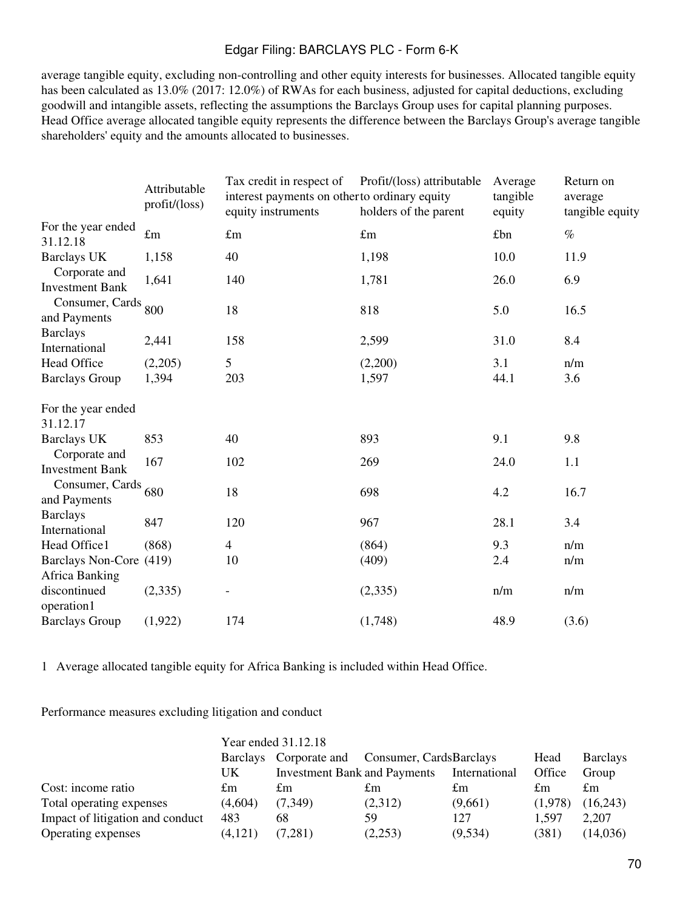average tangible equity, excluding non-controlling and other equity interests for businesses. Allocated tangible equity has been calculated as 13.0% (2017: 12.0%) of RWAs for each business, adjusted for capital deductions, excluding goodwill and intangible assets, reflecting the assumptions the Barclays Group uses for capital planning purposes. Head Office average allocated tangible equity represents the difference between the Barclays Group's average tangible shareholders' equity and the amounts allocated to businesses.

|                                                  | Attributable<br>$profit/(\text{loss})$ | Tax credit in respect of<br>interest payments on other to ordinary equity<br>equity instruments | Profit/(loss) attributable<br>holders of the parent | Average<br>tangible<br>equity | Return on<br>average<br>tangible equity |
|--------------------------------------------------|----------------------------------------|-------------------------------------------------------------------------------------------------|-----------------------------------------------------|-------------------------------|-----------------------------------------|
| For the year ended<br>31.12.18                   | $\pounds$ m                            | $\pounds$ m                                                                                     | $\pounds$ m                                         | £bn                           | $\%$                                    |
| <b>Barclays UK</b>                               | 1,158                                  | 40                                                                                              | 1,198                                               | 10.0                          | 11.9                                    |
| Corporate and<br><b>Investment Bank</b>          | 1,641                                  | 140                                                                                             | 1,781                                               | 26.0                          | 6.9                                     |
| Consumer, Cards<br>and Payments                  | 800                                    | 18                                                                                              | 818                                                 | 5.0                           | 16.5                                    |
| <b>Barclays</b><br>International                 | 2,441                                  | 158                                                                                             | 2,599                                               | 31.0                          | 8.4                                     |
| Head Office                                      | (2,205)                                | 5                                                                                               | (2,200)                                             | 3.1                           | n/m                                     |
| <b>Barclays Group</b>                            | 1,394                                  | 203                                                                                             | 1,597                                               | 44.1                          | 3.6                                     |
| For the year ended<br>31.12.17                   |                                        |                                                                                                 |                                                     |                               |                                         |
| <b>Barclays UK</b>                               | 853                                    | 40                                                                                              | 893                                                 | 9.1                           | 9.8                                     |
| Corporate and<br><b>Investment Bank</b>          | 167                                    | 102                                                                                             | 269                                                 | 24.0                          | 1.1                                     |
| Consumer, Cards<br>and Payments                  | 680                                    | 18                                                                                              | 698                                                 | 4.2                           | 16.7                                    |
| <b>Barclays</b><br>International                 | 847                                    | 120                                                                                             | 967                                                 | 28.1                          | 3.4                                     |
| Head Office1                                     | (868)                                  | $\overline{4}$                                                                                  | (864)                                               | 9.3                           | n/m                                     |
| Barclays Non-Core (419)<br><b>Africa Banking</b> |                                        | 10                                                                                              | (409)                                               | 2.4                           | n/m                                     |
| discontinued<br>operation1                       | (2,335)                                | $\overline{\phantom{a}}$                                                                        | (2, 335)                                            | n/m                           | n/m                                     |
| <b>Barclays Group</b>                            | (1,922)                                | 174                                                                                             | (1,748)                                             | 48.9                          | (3.6)                                   |

1 Average allocated tangible equity for Africa Banking is included within Head Office.

Performance measures excluding litigation and conduct

|                                  | Year ended 31.12.18 |                                                                                                        |         |         |         |                 |  |
|----------------------------------|---------------------|--------------------------------------------------------------------------------------------------------|---------|---------|---------|-----------------|--|
|                                  |                     | Barclays Corporate and Consumer, CardsBarclays<br><b>Investment Bank and Payments</b><br>International |         |         | Head    | <b>Barclays</b> |  |
|                                  | UK.                 |                                                                                                        |         |         | Office  | Group           |  |
| Cost: income ratio               | £m                  | £m                                                                                                     | £m      | £m      | £m      | £m              |  |
| Total operating expenses         | (4,604)             | (7,349)                                                                                                | (2,312) | (9,661) | (1,978) | (16,243)        |  |
| Impact of litigation and conduct | 483                 | 68                                                                                                     | 59      | 127     | 1,597   | 2,207           |  |
| Operating expenses               | (4,121)             | (7.281)                                                                                                | (2,253) | (9,534) | (381)   | (14,036)        |  |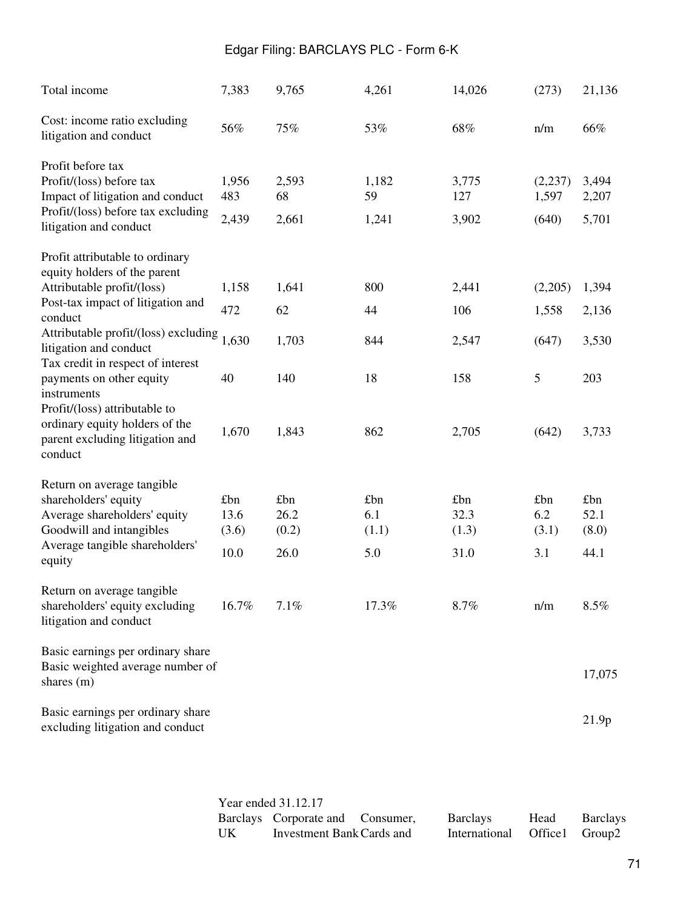| Total income                                                                                                                                                                                  | 7,383                        | 9,765                        | 4,261                      | 14,026                       | (273)                      | 21,136                       |
|-----------------------------------------------------------------------------------------------------------------------------------------------------------------------------------------------|------------------------------|------------------------------|----------------------------|------------------------------|----------------------------|------------------------------|
| Cost: income ratio excluding<br>litigation and conduct                                                                                                                                        | 56%                          | 75%                          | 53%                        | 68%                          | n/m                        | 66%                          |
| Profit before tax<br>Profit/(loss) before tax<br>Impact of litigation and conduct<br>Profit/(loss) before tax excluding<br>litigation and conduct                                             | 1,956<br>483<br>2,439        | 2,593<br>68<br>2,661         | 1,182<br>59<br>1,241       | 3,775<br>127<br>3,902        | (2,237)<br>1,597<br>(640)  | 3,494<br>2,207<br>5,701      |
| Profit attributable to ordinary<br>equity holders of the parent                                                                                                                               |                              |                              |                            |                              |                            |                              |
| Attributable profit/(loss)<br>Post-tax impact of litigation and<br>conduct                                                                                                                    | 1,158<br>472                 | 1,641<br>62                  | 800<br>44                  | 2,441<br>106                 | (2,205)<br>1,558           | 1,394<br>2,136               |
| Attributable profit/(loss) excluding<br>litigation and conduct                                                                                                                                | 1,630                        | 1,703                        | 844                        | 2,547                        | (647)                      | 3,530                        |
| Tax credit in respect of interest<br>payments on other equity<br>instruments<br>Profit/(loss) attributable to<br>ordinary equity holders of the<br>parent excluding litigation and<br>conduct | 40                           | 140                          | 18                         | 158                          | $\mathfrak{S}$             | 203                          |
|                                                                                                                                                                                               | 1,670                        | 1,843                        | 862                        | 2,705                        | (642)                      | 3,733                        |
| Return on average tangible<br>shareholders' equity<br>Average shareholders' equity<br>Goodwill and intangibles<br>Average tangible shareholders'<br>equity                                    | £bn<br>13.6<br>(3.6)<br>10.0 | £bn<br>26.2<br>(0.2)<br>26.0 | £bn<br>6.1<br>(1.1)<br>5.0 | £bn<br>32.3<br>(1.3)<br>31.0 | £bn<br>6.2<br>(3.1)<br>3.1 | £bn<br>52.1<br>(8.0)<br>44.1 |
| Return on average tangible<br>shareholders' equity excluding<br>litigation and conduct                                                                                                        | 16.7%                        | 7.1%                         | 17.3%                      | 8.7%                         | n/m                        | 8.5%                         |
| Basic earnings per ordinary share<br>Basic weighted average number of<br>shares (m)                                                                                                           |                              |                              |                            |                              |                            | 17,075                       |
| Basic earnings per ordinary share<br>excluding litigation and conduct                                                                                                                         |                              |                              |                            |                              |                            | 21.9p                        |

Year ended 31.12.17 Barclays Corporate and Consumer, UK Investment Bank Cards and Barclays International Head Office1 Barclays Group2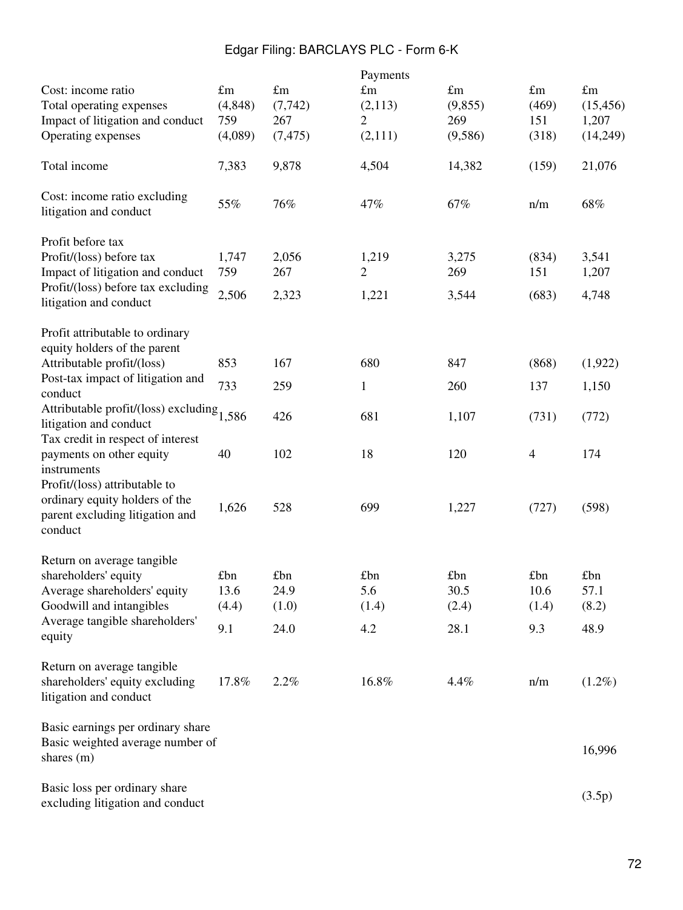| Cost: income ratio<br>Total operating expenses<br>Impact of litigation and conduct<br>Operating expenses                                          | $\pounds$ m<br>(4, 848)<br>759<br>(4,089) | $\pounds$ m<br>(7, 742)<br>267<br>(7, 475) | Payments<br>$\pounds$ m<br>(2,113)<br>2<br>(2,111) | $\pounds$ m<br>(9, 855)<br>269<br>(9,586) | $\pounds$ m<br>(469)<br>151<br>(318) | $\pounds$ m<br>(15, 456)<br>1,207<br>(14,249) |
|---------------------------------------------------------------------------------------------------------------------------------------------------|-------------------------------------------|--------------------------------------------|----------------------------------------------------|-------------------------------------------|--------------------------------------|-----------------------------------------------|
| Total income                                                                                                                                      | 7,383                                     | 9,878                                      | 4,504                                              | 14,382                                    | (159)                                | 21,076                                        |
| Cost: income ratio excluding<br>litigation and conduct                                                                                            | 55%                                       | 76%                                        | 47%                                                | 67%                                       | n/m                                  | 68%                                           |
| Profit before tax<br>Profit/(loss) before tax<br>Impact of litigation and conduct<br>Profit/(loss) before tax excluding<br>litigation and conduct | 1,747<br>759<br>2,506                     | 2,056<br>267<br>2,323                      | 1,219<br>2<br>1,221                                | 3,275<br>269<br>3,544                     | (834)<br>151<br>(683)                | 3,541<br>1,207<br>4,748                       |
| Profit attributable to ordinary<br>equity holders of the parent<br>Attributable profit/(loss)                                                     | 853                                       | 167                                        | 680                                                | 847                                       | (868)                                | (1,922)                                       |
| Post-tax impact of litigation and<br>conduct                                                                                                      | 733                                       | 259                                        | $\mathbf{1}$                                       | 260                                       | 137                                  | 1,150                                         |
| Attributable profit/(loss) excluding $1,586$<br>litigation and conduct                                                                            |                                           | 426                                        | 681                                                | 1,107                                     | (731)                                | (772)                                         |
| Tax credit in respect of interest<br>payments on other equity<br>instruments                                                                      | 40                                        | 102                                        | 18                                                 | 120                                       | $\overline{4}$                       | 174                                           |
| Profit/(loss) attributable to<br>ordinary equity holders of the<br>parent excluding litigation and<br>conduct                                     | 1,626                                     | 528                                        | 699                                                | 1,227                                     | (727)                                | (598)                                         |
| Return on average tangible<br>shareholders' equity<br>Average shareholders' equity<br>Goodwill and intangibles                                    | £bn<br>13.6<br>(4.4)                      | £bn<br>24.9<br>(1.0)                       | £bn<br>5.6<br>(1.4)                                | £bn<br>30.5<br>(2.4)                      | £bn<br>10.6<br>(1.4)                 | £bn<br>57.1<br>(8.2)                          |
| Average tangible shareholders'<br>equity                                                                                                          | 9.1                                       | 24.0                                       | 4.2                                                | 28.1                                      | 9.3                                  | 48.9                                          |
| Return on average tangible<br>shareholders' equity excluding<br>litigation and conduct                                                            | 17.8%                                     | 2.2%                                       | 16.8%                                              | 4.4%                                      | n/m                                  | $(1.2\%)$                                     |
| Basic earnings per ordinary share<br>Basic weighted average number of<br>shares (m)                                                               |                                           |                                            |                                                    |                                           |                                      | 16,996                                        |
| Basic loss per ordinary share<br>excluding litigation and conduct                                                                                 |                                           |                                            |                                                    |                                           |                                      | (3.5p)                                        |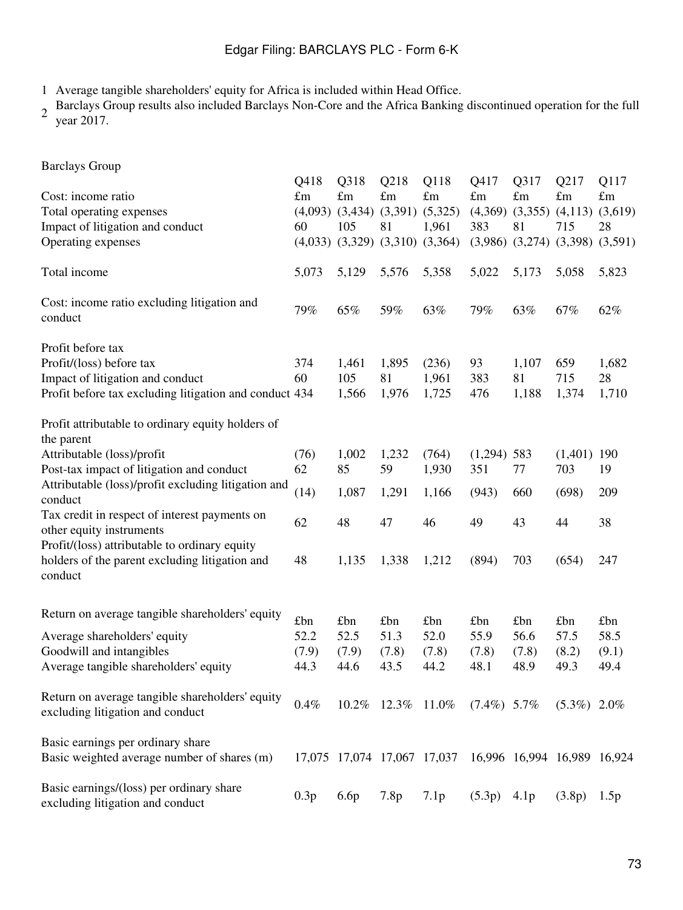1 Average tangible shareholders' equity for Africa is included within Head Office.

2 Barclays Group results also included Barclays Non-Core and the Africa Banking discontinued operation for the full year 2017.

| <b>Barclays Group</b>                                                                                      |                             |                                                                         |                                      |                                         |                                       |                             |                                                                                  |                                      |
|------------------------------------------------------------------------------------------------------------|-----------------------------|-------------------------------------------------------------------------|--------------------------------------|-----------------------------------------|---------------------------------------|-----------------------------|----------------------------------------------------------------------------------|--------------------------------------|
| Cost: income ratio<br>Total operating expenses<br>Impact of litigation and conduct<br>Operating expenses   | Q418<br>£m<br>(4,093)<br>60 | Q318<br>£m<br>(3,434)<br>105<br>$(4,033)$ $(3,329)$ $(3,310)$ $(3,364)$ | Q218<br>$\pounds$ m<br>(3,391)<br>81 | Q118<br>$\pounds$ m<br>(5,325)<br>1,961 | Q417<br>$\pounds$ m<br>(4,369)<br>383 | Q317<br>£m<br>(3,355)<br>81 | Q217<br>$\pounds$ m<br>(4,113)<br>715<br>$(3,986)$ $(3,274)$ $(3,398)$ $(3,591)$ | Q117<br>$\pounds$ m<br>(3,619)<br>28 |
| Total income                                                                                               | 5,073                       | 5,129                                                                   | 5,576                                | 5,358                                   | 5,022                                 | 5,173                       | 5,058                                                                            | 5,823                                |
| Cost: income ratio excluding litigation and<br>conduct                                                     | 79%                         | 65%                                                                     | 59%                                  | 63%                                     | 79%                                   | 63%                         | 67%                                                                              | 62%                                  |
| Profit before tax<br>Profit/(loss) before tax                                                              | 374                         | 1,461                                                                   | 1,895                                | (236)                                   | 93                                    | 1,107                       | 659                                                                              | 1,682                                |
| Impact of litigation and conduct<br>Profit before tax excluding litigation and conduct 434                 | 60                          | 105<br>1,566                                                            | 81<br>1,976                          | 1,961<br>1,725                          | 383<br>476                            | 81<br>1,188                 | 715<br>1,374                                                                     | 28<br>1,710                          |
| Profit attributable to ordinary equity holders of<br>the parent                                            |                             |                                                                         |                                      |                                         |                                       |                             |                                                                                  |                                      |
| Attributable (loss)/profit<br>Post-tax impact of litigation and conduct                                    | (76)<br>62                  | 1,002<br>85                                                             | 1,232<br>59                          | (764)<br>1,930                          | $(1,294)$ 583<br>351                  | 77                          | (1,401)<br>703                                                                   | 190<br>19                            |
| Attributable (loss)/profit excluding litigation and<br>conduct                                             | (14)                        | 1,087                                                                   | 1,291                                | 1,166                                   | (943)                                 | 660                         | (698)                                                                            | 209                                  |
| Tax credit in respect of interest payments on<br>other equity instruments                                  | 62                          | 48                                                                      | 47                                   | 46                                      | 49                                    | 43                          | 44                                                                               | 38                                   |
| Profit/(loss) attributable to ordinary equity<br>holders of the parent excluding litigation and<br>conduct | 48                          | 1,135                                                                   | 1,338                                | 1,212                                   | (894)                                 | 703                         | (654)                                                                            | 247                                  |
| Return on average tangible shareholders' equity                                                            | £bn                         | £bn                                                                     | £bn                                  | £bn                                     | £bn                                   | £bn                         | £bn                                                                              | £bn                                  |
| Average shareholders' equity<br>Goodwill and intangibles<br>Average tangible shareholders' equity          | 52.2<br>(7.9)<br>44.3       | 52.5<br>(7.9)<br>44.6                                                   | 51.3<br>(7.8)<br>43.5                | 52.0<br>(7.8)<br>44.2                   | 55.9<br>(7.8)<br>48.1                 | 56.6<br>(7.8)<br>48.9       | 57.5<br>(8.2)<br>49.3                                                            | 58.5<br>(9.1)<br>49.4                |
| Return on average tangible shareholders' equity<br>excluding litigation and conduct                        | 0.4%                        |                                                                         | 10.2% 12.3% 11.0%                    |                                         | $(7.4\%)$ 5.7\%                       |                             | $(5.3\%)$ 2.0%                                                                   |                                      |
| Basic earnings per ordinary share<br>Basic weighted average number of shares (m)                           |                             | 17,075 17,074 17,067 17,037                                             |                                      |                                         |                                       |                             | 16,996 16,994 16,989 16,924                                                      |                                      |
| Basic earnings/(loss) per ordinary share<br>excluding litigation and conduct                               | 0.3p                        | 6.6p                                                                    | 7.8p                                 | 7.1p                                    | (5.3p)                                | 4.1p                        | (3.8p)                                                                           | 1.5p                                 |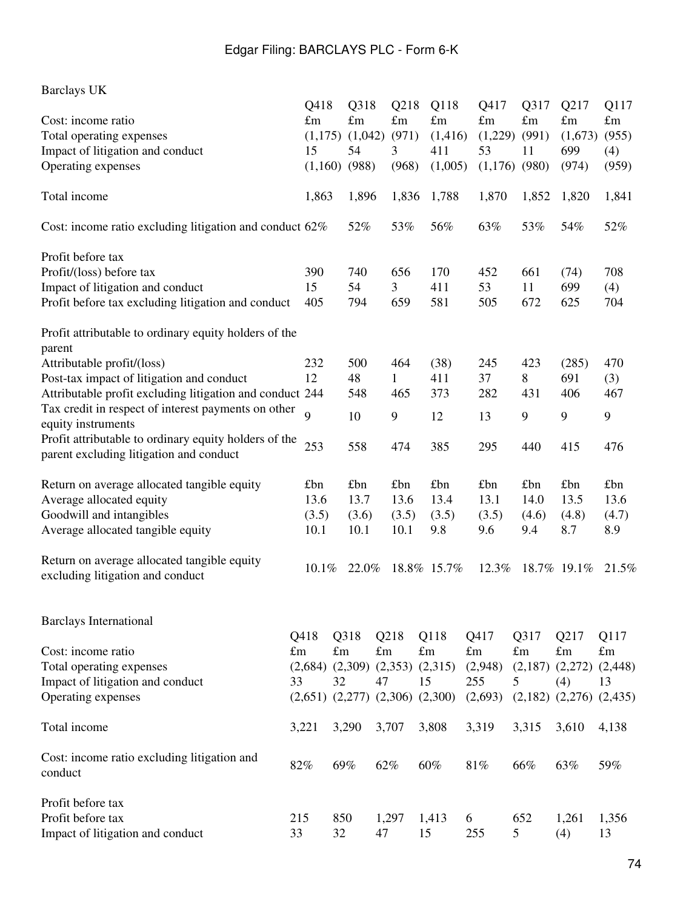| <b>Barclays UK</b>                                                              |                |                                         |             |             |                     |             |             |                               |             |
|---------------------------------------------------------------------------------|----------------|-----------------------------------------|-------------|-------------|---------------------|-------------|-------------|-------------------------------|-------------|
|                                                                                 | Q418           | Q318                                    |             | Q218        | Q118                | Q417        | Q317        | Q217                          | Q117        |
| Cost: income ratio                                                              | $\pounds$ m    | $\pounds$ m                             |             | $\pounds$ m | $\pounds$ m         | $\pounds$ m | $\pounds$ m | $\pounds$ m                   | $\pounds$ m |
| Total operating expenses                                                        | (1,175)        | (1,042)                                 |             | (971)       | (1,416)             | (1,229)     | (991)       | (1,673)                       | (955)       |
| Impact of litigation and conduct                                                | 15             | 54                                      | 3           |             | 411                 | 53          | 11          | 699                           | (4)         |
| Operating expenses                                                              | (1,160)        | (988)                                   |             | (968)       | (1,005)             | (1,176)     | (980)       | (974)                         | (959)       |
| Total income                                                                    | 1,863          | 1,896                                   |             | 1,836       | 1,788               | 1,870       | 1,852       | 1,820                         | 1,841       |
| Cost: income ratio excluding litigation and conduct 62%                         |                | 52%                                     |             | 53%         | 56%                 | 63%         | 53%         | 54%                           | 52%         |
| Profit before tax                                                               |                |                                         |             |             |                     |             |             |                               |             |
| Profit/(loss) before tax                                                        | 390            | 740                                     |             | 656         | 170                 | 452         | 661         | (74)                          | 708         |
| Impact of litigation and conduct                                                | 15             | 54                                      | 3           |             | 411                 | 53          | 11          | 699                           | (4)         |
| Profit before tax excluding litigation and conduct                              | 405            | 794                                     |             | 659         | 581                 | 505         | 672         | 625                           | 704         |
| Profit attributable to ordinary equity holders of the<br>parent                 |                |                                         |             |             |                     |             |             |                               |             |
| Attributable profit/(loss)                                                      | 232            | 500                                     |             | 464         | (38)                | 245         | 423         | (285)                         | 470         |
| Post-tax impact of litigation and conduct                                       | 12             | 48                                      | 1           |             | 411                 | 37          | 8           | 691                           | (3)         |
| Attributable profit excluding litigation and conduct 244                        |                | 548                                     |             | 465         | 373                 | 282         | 431         | 406                           | 467         |
| Tax credit in respect of interest payments on other                             |                |                                         |             |             |                     |             |             |                               |             |
| equity instruments                                                              | $\overline{9}$ | 10                                      | 9           |             | 12                  | 13          | 9           | 9                             | 9           |
| Profit attributable to ordinary equity holders of the                           |                |                                         |             |             |                     |             |             |                               |             |
| parent excluding litigation and conduct                                         | 253            | 558                                     |             | 474         | 385                 | 295         | 440         | 415                           | 476         |
| Return on average allocated tangible equity                                     | £bn            | £bn                                     |             | £bn         | £bn                 | £bn         | £bn         | £bn                           | £bn         |
| Average allocated equity                                                        | 13.6           | 13.7                                    |             | 13.6        | 13.4                | 13.1        | 14.0        | 13.5                          | 13.6        |
| Goodwill and intangibles                                                        | (3.5)          | (3.6)                                   |             | (3.5)       | (3.5)               | (3.5)       | (4.6)       | (4.8)                         | (4.7)       |
| Average allocated tangible equity                                               | 10.1           | 10.1                                    |             | 10.1        | 9.8                 | 9.6         | 9.4         | 8.7                           | 8.9         |
| Return on average allocated tangible equity<br>excluding litigation and conduct | 10.1%          | 22.0%                                   |             |             | 18.8% 15.7%         | 12.3%       |             | 18.7% 19.1%                   | 21.5%       |
| <b>Barclays International</b>                                                   |                |                                         |             |             |                     |             |             |                               |             |
|                                                                                 | Q418           | Q318                                    | Q218        |             | Q118                | Q417        | Q317        | Q217                          | Q117        |
| Cost: income ratio                                                              | $\pounds$ m    | $\pounds$ m                             | $\pounds$ m |             | $\pounds$ m         | $\pounds$ m | $\pounds$ m | $\pounds$ m                   | $\pounds$ m |
| Total operating expenses                                                        | (2,684)        | (2,309)                                 |             |             | $(2,353)$ $(2,315)$ | (2,948)     | (2,187)     | $(2,272)$ $(2,448)$           |             |
| Impact of litigation and conduct                                                | 33             | 32                                      | 47          |             | 15                  | 255         | 5           | (4)                           | 13          |
| Operating expenses                                                              |                | $(2,651)$ $(2,277)$ $(2,306)$ $(2,300)$ |             |             |                     | (2,693)     |             | $(2,182)$ $(2,276)$ $(2,435)$ |             |
| Total income                                                                    | 3,221          | 3,290                                   | 3,707       |             | 3,808               | 3,319       | 3,315       | 3,610                         | 4,138       |
| Cost: income ratio excluding litigation and<br>conduct                          | 82%            | 69%                                     | 62%         |             | 60%                 | 81%         | 66%         | 63%                           | 59%         |
| Profit before tax                                                               |                |                                         |             |             |                     |             |             |                               |             |
| Profit before tax                                                               | 215            | 850                                     | 1,297       |             | 1,413               | 6           | 652         | 1,261                         | 1,356       |
| Impact of litigation and conduct                                                | 33             | 32                                      | 47          |             | 15                  | 255         | 5           | (4)                           | 13          |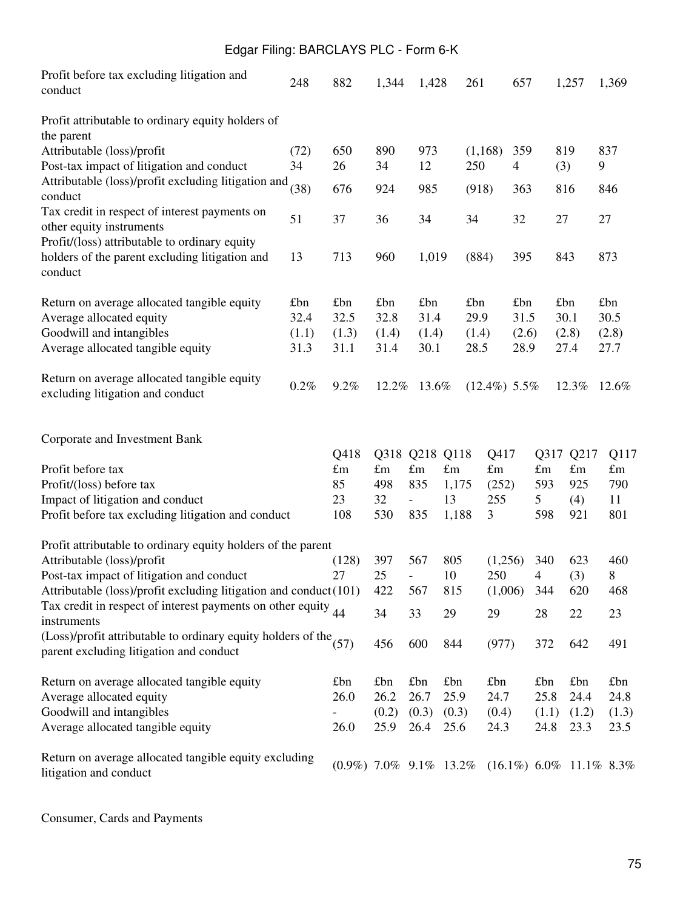| Profit before tax excluding litigation and<br>conduct                                                          | 248   | 882                       | 1,344         | 1,428                    |                     | 261                 | 657            |                     | 1,257               | 1,369                      |
|----------------------------------------------------------------------------------------------------------------|-------|---------------------------|---------------|--------------------------|---------------------|---------------------|----------------|---------------------|---------------------|----------------------------|
| Profit attributable to ordinary equity holders of<br>the parent                                                |       |                           |               |                          |                     |                     |                |                     |                     |                            |
| Attributable (loss)/profit                                                                                     | (72)  | 650                       | 890           | 973                      |                     | (1, 168)            | 359            |                     | 819                 | 837                        |
| Post-tax impact of litigation and conduct<br>Attributable (loss)/profit excluding litigation and               | 34    | 26                        | 34            | 12                       |                     | 250                 | $\overline{4}$ |                     | (3)                 | 9                          |
| conduct                                                                                                        | (38)  | 676                       | 924           | 985                      |                     | (918)               | 363            |                     | 816                 | 846                        |
| Tax credit in respect of interest payments on                                                                  | 51    | 37                        | 36            | 34                       |                     | 34                  | 32             | 27                  |                     | 27                         |
| other equity instruments<br>Profit/(loss) attributable to ordinary equity                                      |       |                           |               |                          |                     |                     |                |                     |                     |                            |
| holders of the parent excluding litigation and<br>conduct                                                      | 13    | 713                       | 960           | 1,019                    |                     | (884)               | 395            |                     | 843                 | 873                        |
| Return on average allocated tangible equity                                                                    | £bn   | £bn                       | £bn           | £bn                      |                     | £bn                 | £bn            |                     | £bn                 | £bn                        |
| Average allocated equity                                                                                       | 32.4  | 32.5                      | 32.8          | 31.4                     |                     | 29.9                | 31.5           |                     | 30.1                | 30.5                       |
| Goodwill and intangibles                                                                                       | (1.1) | (1.3)                     | (1.4)         | (1.4)                    |                     | (1.4)               | (2.6)          |                     | (2.8)               | (2.8)                      |
| Average allocated tangible equity                                                                              | 31.3  | 31.1                      | 31.4          | 30.1                     |                     | 28.5                | 28.9           |                     | 27.4                | 27.7                       |
| Return on average allocated tangible equity<br>excluding litigation and conduct                                | 0.2%  | 9.2%                      | 12.2%         | 13.6%                    |                     | $(12.4\%)$ 5.5%     |                |                     | 12.3%               | 12.6%                      |
| Corporate and Investment Bank                                                                                  |       |                           |               |                          |                     |                     |                |                     |                     |                            |
| Profit before tax                                                                                              |       | Q418<br>$\pounds$ m       | $\pounds$ m   | Q318 Q218<br>$\pounds$ m | Q118<br>$\pounds$ m | Q417<br>$\pounds$ m |                | Q317<br>$\pounds$ m | Q217<br>$\pounds$ m | Q117<br>$\pounds$ m        |
| Profit/(loss) before tax                                                                                       |       | 85                        | 498           | 835                      | 1,175               | (252)               |                | 593                 | 925                 | 790                        |
| Impact of litigation and conduct                                                                               |       | 23                        | 32            | $\overline{\phantom{0}}$ | 13                  | 255                 |                | 5                   | (4)                 | 11                         |
| Profit before tax excluding litigation and conduct                                                             |       | 108                       | 530           | 835                      | 1,188               | 3                   |                | 598                 | 921                 | 801                        |
| Profit attributable to ordinary equity holders of the parent                                                   |       |                           |               |                          |                     |                     |                |                     |                     |                            |
| Attributable (loss)/profit                                                                                     |       | (128)                     | 397           | 567                      | 805                 | (1,256)             |                | 340                 | 623                 | 460                        |
| Post-tax impact of litigation and conduct                                                                      |       | 27                        | 25            | $\overline{\phantom{0}}$ | 10                  | 250                 |                | $\overline{4}$      | (3)                 | 8                          |
| Attributable (loss)/profit excluding litigation and conduct(101)                                               |       |                           | 422           | 567                      | 815                 | (1,006)             |                | 344                 | 620                 | 468                        |
| Tax credit in respect of interest payments on other equity $_{44}$<br>instruments                              |       |                           | 34            | 33                       | 29                  | 29                  |                | 28                  | 22                  | 23                         |
| (Loss)/profit attributable to ordinary equity holders of the $(57)$<br>parent excluding litigation and conduct |       |                           | 456           | 600                      | 844                 | (977)               |                | 372                 | 642                 | 491                        |
| Return on average allocated tangible equity                                                                    |       | £bn                       | £bn           | £bn                      | £bn                 | £bn                 |                | £bn                 | £bn                 | £bn                        |
| Average allocated equity                                                                                       |       | 26.0                      | 26.2          | 26.7                     | 25.9                | 24.7                |                | 25.8                | 24.4                | 24.8                       |
| Goodwill and intangibles<br>Average allocated tangible equity                                                  |       | 26.0                      | (0.2)<br>25.9 | (0.3)<br>26.4            | (0.3)<br>25.6       | (0.4)<br>24.3       |                | (1.1)<br>24.8       | (1.2)<br>23.3       | (1.3)<br>23.5              |
| Return on average allocated tangible equity excluding<br>litigation and conduct                                |       | $(0.9\%)$ 7.0% 9.1% 13.2% |               |                          |                     |                     |                |                     |                     | $(16.1\%)$ 6.0% 11.1% 8.3% |

Consumer, Cards and Payments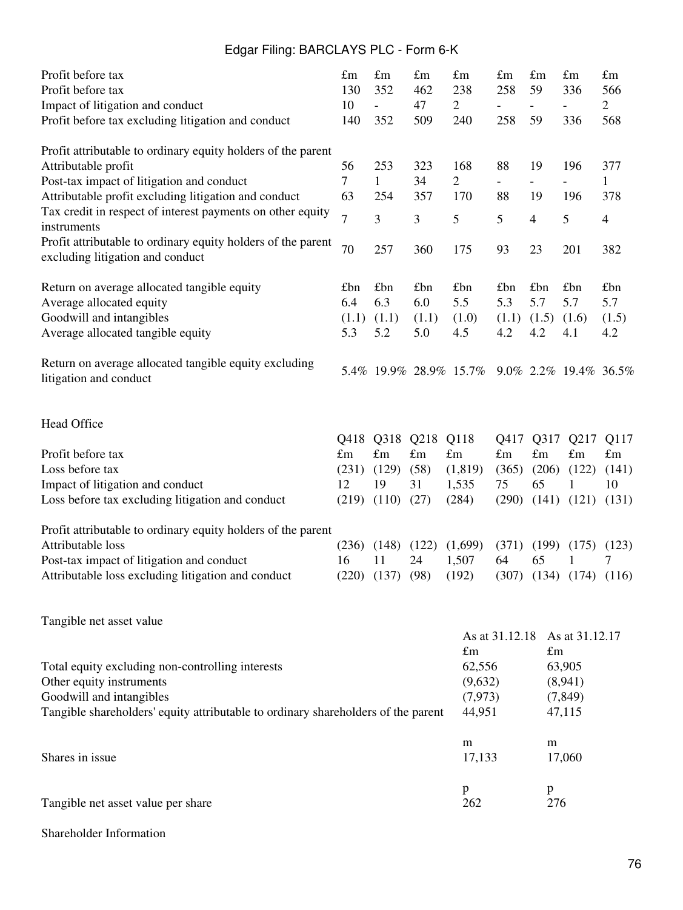| Profit before tax                                                                                             | $\pounds$ m    | $\pounds$ m              | $\pounds$ m | $\pounds$ m            | $\pounds$ m              | $\pounds$ m              | $\pounds$ m           | $\pounds$ m    |
|---------------------------------------------------------------------------------------------------------------|----------------|--------------------------|-------------|------------------------|--------------------------|--------------------------|-----------------------|----------------|
| Profit before tax                                                                                             | 130            | 352                      | 462         | 238                    | 258                      | 59                       | 336                   | 566            |
| Impact of litigation and conduct                                                                              | 10             | $\overline{\phantom{a}}$ | 47          | $\overline{2}$         |                          |                          |                       | $\overline{2}$ |
| Profit before tax excluding litigation and conduct                                                            | 140            | 352                      | 509         | 240                    | 258                      | 59                       | 336                   | 568            |
| Profit attributable to ordinary equity holders of the parent                                                  |                |                          |             |                        |                          |                          |                       |                |
| Attributable profit                                                                                           | 56             | 253                      | 323         | 168                    | 88                       | 19                       | 196                   | 377            |
| Post-tax impact of litigation and conduct                                                                     | $\tau$         | $\mathbf{1}$             | 34          | $\overline{2}$         | $\overline{\phantom{0}}$ | $\overline{\phantom{0}}$ |                       | $\mathbf{1}$   |
| Attributable profit excluding litigation and conduct                                                          | 63             | 254                      | 357         | 170                    | 88                       | 19                       | 196                   | 378            |
| Tax credit in respect of interest payments on other equity<br>instruments                                     | $\overline{7}$ | 3                        | 3           | 5                      | 5                        | $\overline{4}$           | 5                     | $\overline{4}$ |
| Profit attributable to ordinary equity holders of the parent<br>excluding litigation and conduct              | 70             | 257                      | 360         | 175                    | 93                       | 23                       | 201                   | 382            |
| Return on average allocated tangible equity                                                                   | £bn            | £bn                      | £bn         | £bn                    | £bn                      | £bn                      | £bn                   | £bn            |
| Average allocated equity                                                                                      | 6.4            | 6.3                      | 6.0         | 5.5                    | 5.3                      | 5.7                      | 5.7                   | 5.7            |
| Goodwill and intangibles                                                                                      | (1.1)          | (1.1)                    | (1.1)       | (1.0)                  | (1.1)                    | (1.5)                    | (1.6)                 | (1.5)          |
| Average allocated tangible equity                                                                             | 5.3            | 5.2                      | 5.0         | 4.5                    | 4.2                      | 4.2                      | 4.1                   | 4.2            |
| Return on average allocated tangible equity excluding<br>litigation and conduct                               |                |                          |             | 5.4% 19.9% 28.9% 15.7% |                          |                          | 9.0% 2.2% 19.4% 36.5% |                |
| Head Office                                                                                                   | Q418           | Q318                     | Q218        | Q118                   | Q417                     | Q317                     | Q217                  | Q117           |
| Profit before tax                                                                                             | $\pounds$ m    | $\pounds$ m              | $\pounds$ m | $\pounds$ m            | $\pounds$ m              | $\pounds$ m              | $\pounds$ m           | $\pounds$ m    |
| Loss before tax                                                                                               | (231)          | (129)                    | (58)        | (1, 819)               | (365)                    | (206)                    | (122)                 | (141)          |
| Impact of litigation and conduct                                                                              | 12             | 19                       | 31          | 1,535                  | 75                       | 65                       | 1                     | 10             |
| Loss before tax excluding litigation and conduct                                                              | (219)          | (110)                    | (27)        | (284)                  | (290)                    |                          | $(141)$ $(121)$       | (131)          |
| Profit attributable to ordinary equity holders of the parent                                                  |                |                          |             |                        |                          |                          |                       |                |
| Attributable loss                                                                                             | (236)          | (148)                    | (122)       | (1,699)                | (371)                    | (199)                    | (175)                 | (123)          |
| Post-tax impact of litigation and conduct                                                                     | 16             | 11                       | 24          | 1,507                  | 64                       | 65                       | 1                     | 7              |
| Attributable loss excluding litigation and conduct                                                            | (220)          | (137)                    | (98)        | (192)                  | (307)                    | (134)                    | (174)                 | (116)          |
| Tangible net asset value                                                                                      |                |                          |             |                        |                          |                          |                       |                |
|                                                                                                               |                |                          |             |                        | As at 31.12.18           |                          | As at 31.12.17        |                |
|                                                                                                               |                |                          |             | $\pounds$ m            |                          | $\pounds$ m              |                       |                |
| Total equity excluding non-controlling interests                                                              |                |                          |             | 62,556                 |                          |                          | 63,905                |                |
| Other equity instruments                                                                                      |                |                          |             | (9,632)                |                          |                          | (8,941)               |                |
| Goodwill and intangibles<br>Tangible shareholders' equity attributable to ordinary shareholders of the parent |                |                          |             | (7, 973)<br>44,951     |                          |                          | (7, 849)<br>47,115    |                |
| Shares in issue                                                                                               |                |                          |             | m<br>17,133            |                          | m                        | 17,060                |                |
|                                                                                                               |                |                          |             |                        |                          |                          |                       |                |
| Tangible net asset value per share                                                                            |                |                          |             | p<br>262               |                          | p<br>276                 |                       |                |

Shareholder Information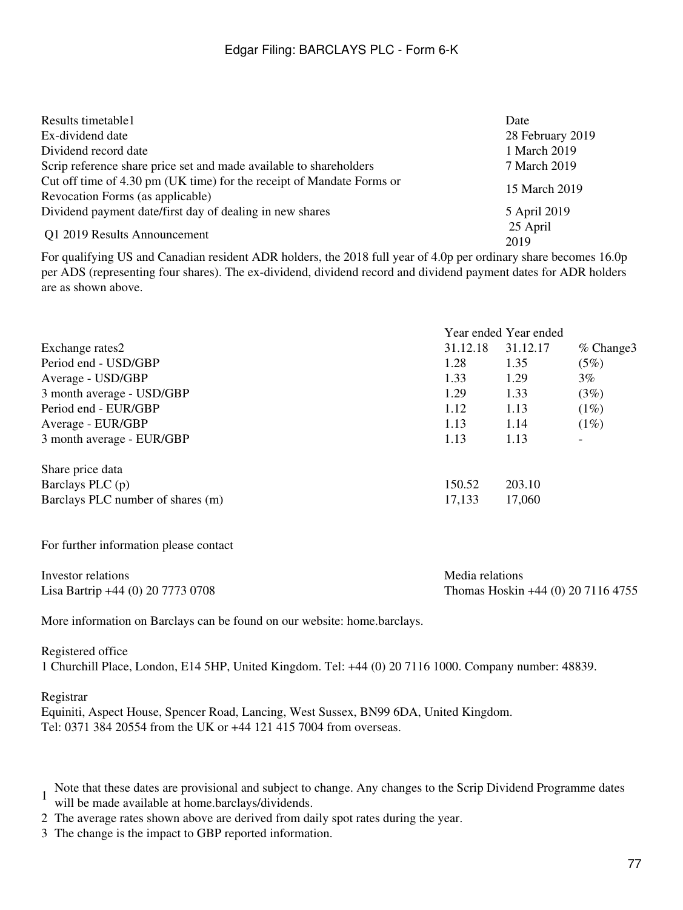| Results timetable1                                                                                        | Date             |
|-----------------------------------------------------------------------------------------------------------|------------------|
| Ex-dividend date                                                                                          | 28 February 2019 |
| Dividend record date                                                                                      | 1 March 2019     |
| Scrip reference share price set and made available to shareholders                                        | 7 March 2019     |
| Cut off time of 4.30 pm (UK time) for the receipt of Mandate Forms or<br>Revocation Forms (as applicable) | 15 March 2019    |
| Dividend payment date/first day of dealing in new shares                                                  | 5 April 2019     |
| Q1 2019 Results Announcement                                                                              | 25 April<br>2019 |

For qualifying US and Canadian resident ADR holders, the 2018 full year of 4.0p per ordinary share becomes 16.0p per ADS (representing four shares). The ex-dividend, dividend record and dividend payment dates for ADR holders are as shown above.

|                                   |          | Year ended Year ended |                          |  |
|-----------------------------------|----------|-----------------------|--------------------------|--|
| Exchange rates2                   | 31.12.18 | 31.12.17              | $%$ Change 3             |  |
| Period end - USD/GBP              | 1.28     | 1.35                  | (5%)                     |  |
| Average - USD/GBP                 | 1.33     | 1.29                  | $3\%$                    |  |
| 3 month average - USD/GBP         | 1.29     | 1.33                  | (3%)                     |  |
| Period end - EUR/GBP              | 1.12     | 1.13                  | (1%)                     |  |
| Average - EUR/GBP                 | 1.13     | 1.14                  | (1%)                     |  |
| 3 month average - EUR/GBP         | 1.13     | 1.13                  | $\overline{\phantom{a}}$ |  |
| Share price data                  |          |                       |                          |  |
| Barclays PLC $(p)$                | 150.52   | 203.10                |                          |  |
| Barclays PLC number of shares (m) | 17,133   | 17,060                |                          |  |

For further information please contact

| Investor relations                | Media relations                    |
|-----------------------------------|------------------------------------|
| Lisa Bartrip +44 (0) 20 7773 0708 | Thomas Hoskin +44 (0) 20 7116 4755 |

More information on Barclays can be found on our website: home.barclays.

Registered office 1 Churchill Place, London, E14 5HP, United Kingdom. Tel: +44 (0) 20 7116 1000. Company number: 48839.

#### Registrar

Equiniti, Aspect House, Spencer Road, Lancing, West Sussex, BN99 6DA, United Kingdom. Tel: 0371 384 20554 from the UK or +44 121 415 7004 from overseas.

- 1 Note that these dates are provisional and subject to change. Any changes to the Scrip Dividend Programme dates
- will be made available at home.barclays/dividends.
- 2 The average rates shown above are derived from daily spot rates during the year.
- 3 The change is the impact to GBP reported information.